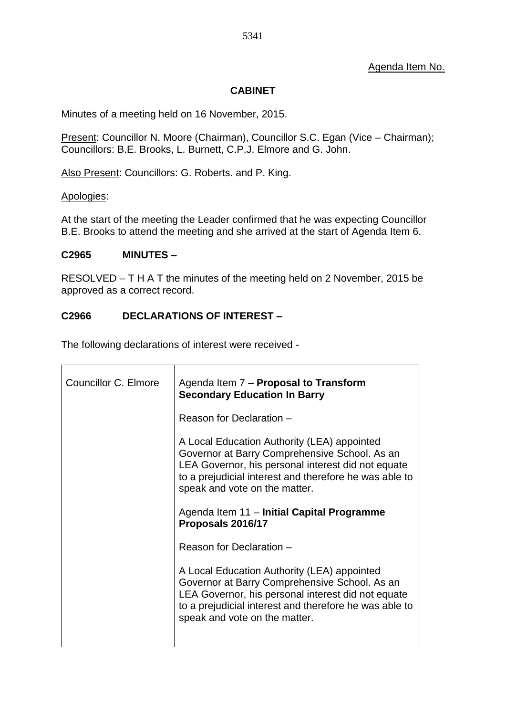#### **CABINET**

Minutes of a meeting held on 16 November, 2015.

Present: Councillor N. Moore (Chairman), Councillor S.C. Egan (Vice – Chairman); Councillors: B.E. Brooks, L. Burnett, C.P.J. Elmore and G. John.

Also Present: Councillors: G. Roberts. and P. King.

Apologies:

At the start of the meeting the Leader confirmed that he was expecting Councillor B.E. Brooks to attend the meeting and she arrived at the start of Agenda Item 6.

#### **C2965 MINUTES –**

RESOLVED – T H A T the minutes of the meeting held on 2 November, 2015 be approved as a correct record.

#### **C2966 DECLARATIONS OF INTEREST –**

The following declarations of interest were received -

| <b>Councillor C. Elmore</b> | Agenda Item 7 - Proposal to Transform<br><b>Secondary Education In Barry</b>                                                                                                                                                                  |
|-----------------------------|-----------------------------------------------------------------------------------------------------------------------------------------------------------------------------------------------------------------------------------------------|
|                             | Reason for Declaration -                                                                                                                                                                                                                      |
|                             | A Local Education Authority (LEA) appointed<br>Governor at Barry Comprehensive School. As an<br>LEA Governor, his personal interest did not equate<br>to a prejudicial interest and therefore he was able to<br>speak and vote on the matter. |
|                             | Agenda Item 11 - Initial Capital Programme<br>Proposals 2016/17                                                                                                                                                                               |
|                             | Reason for Declaration -                                                                                                                                                                                                                      |
|                             | A Local Education Authority (LEA) appointed<br>Governor at Barry Comprehensive School. As an<br>LEA Governor, his personal interest did not equate<br>to a prejudicial interest and therefore he was able to<br>speak and vote on the matter. |
|                             |                                                                                                                                                                                                                                               |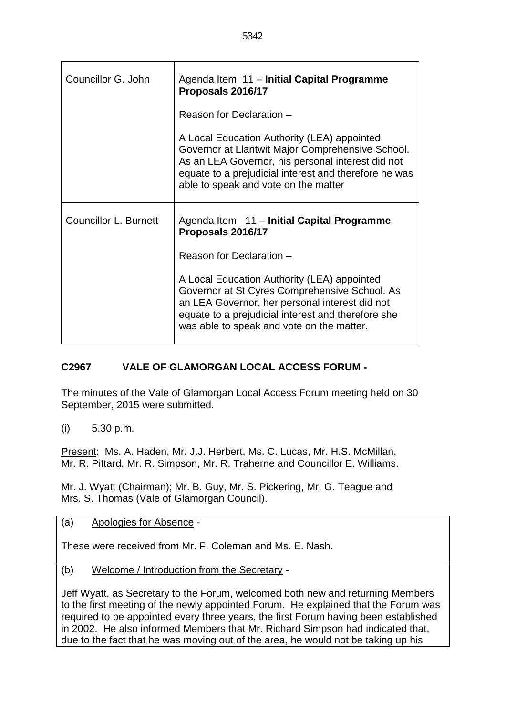| Councillor G. John           | Agenda Item 11 - Initial Capital Programme<br>Proposals 2016/17                                                                                                                                                                                       |  |
|------------------------------|-------------------------------------------------------------------------------------------------------------------------------------------------------------------------------------------------------------------------------------------------------|--|
|                              | Reason for Declaration -                                                                                                                                                                                                                              |  |
|                              | A Local Education Authority (LEA) appointed<br>Governor at Llantwit Major Comprehensive School.<br>As an LEA Governor, his personal interest did not<br>equate to a prejudicial interest and therefore he was<br>able to speak and vote on the matter |  |
|                              |                                                                                                                                                                                                                                                       |  |
| <b>Councillor L. Burnett</b> | Agenda Item 11 - Initial Capital Programme<br>Proposals 2016/17                                                                                                                                                                                       |  |
|                              | Reason for Declaration -                                                                                                                                                                                                                              |  |

### **C2967 VALE OF GLAMORGAN LOCAL ACCESS FORUM -**

The minutes of the Vale of Glamorgan Local Access Forum meeting held on 30 September, 2015 were submitted.

(i) 5.30 p.m.

Present: Ms. A. Haden, Mr. J.J. Herbert, Ms. C. Lucas, Mr. H.S. McMillan, Mr. R. Pittard, Mr. R. Simpson, Mr. R. Traherne and Councillor E. Williams.

Mr. J. Wyatt (Chairman); Mr. B. Guy, Mr. S. Pickering, Mr. G. Teague and Mrs. S. Thomas (Vale of Glamorgan Council).

(a) Apologies for Absence -

These were received from Mr. F. Coleman and Ms. E. Nash.

(b) Welcome / Introduction from the Secretary -

Jeff Wyatt, as Secretary to the Forum, welcomed both new and returning Members to the first meeting of the newly appointed Forum. He explained that the Forum was required to be appointed every three years, the first Forum having been established in 2002. He also informed Members that Mr. Richard Simpson had indicated that, due to the fact that he was moving out of the area, he would not be taking up his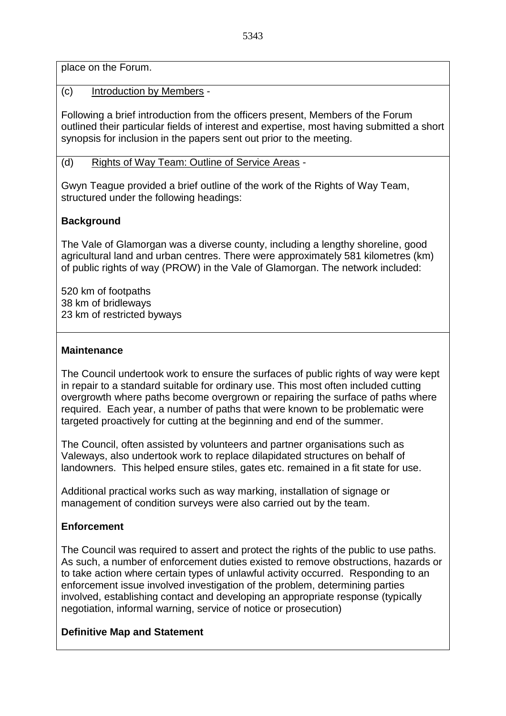place on the Forum.

(c) Introduction by Members -

Following a brief introduction from the officers present, Members of the Forum outlined their particular fields of interest and expertise, most having submitted a short synopsis for inclusion in the papers sent out prior to the meeting.

(d) Rights of Way Team: Outline of Service Areas -

Gwyn Teague provided a brief outline of the work of the Rights of Way Team, structured under the following headings:

### **Background**

The Vale of Glamorgan was a diverse county, including a lengthy shoreline, good agricultural land and urban centres. There were approximately 581 kilometres (km) of public rights of way (PROW) in the Vale of Glamorgan. The network included:

520 km of footpaths 38 km of bridleways 23 km of restricted byways

#### **Maintenance**

The Council undertook work to ensure the surfaces of public rights of way were kept in repair to a standard suitable for ordinary use. This most often included cutting overgrowth where paths become overgrown or repairing the surface of paths where required. Each year, a number of paths that were known to be problematic were targeted proactively for cutting at the beginning and end of the summer.

The Council, often assisted by volunteers and partner organisations such as Valeways, also undertook work to replace dilapidated structures on behalf of landowners. This helped ensure stiles, gates etc. remained in a fit state for use.

Additional practical works such as way marking, installation of signage or management of condition surveys were also carried out by the team.

### **Enforcement**

The Council was required to assert and protect the rights of the public to use paths. As such, a number of enforcement duties existed to remove obstructions, hazards or to take action where certain types of unlawful activity occurred. Responding to an enforcement issue involved investigation of the problem, determining parties involved, establishing contact and developing an appropriate response (typically negotiation, informal warning, service of notice or prosecution)

### **Definitive Map and Statement**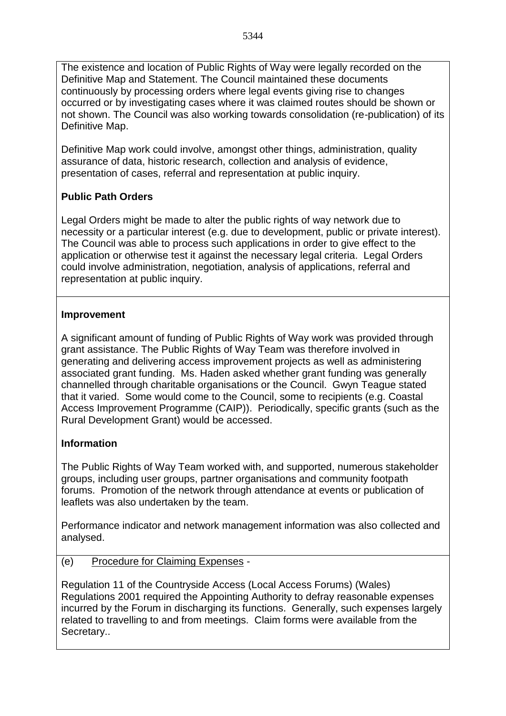The existence and location of Public Rights of Way were legally recorded on the Definitive Map and Statement. The Council maintained these documents continuously by processing orders where legal events giving rise to changes occurred or by investigating cases where it was claimed routes should be shown or not shown. The Council was also working towards consolidation (re-publication) of its Definitive Map.

Definitive Map work could involve, amongst other things, administration, quality assurance of data, historic research, collection and analysis of evidence, presentation of cases, referral and representation at public inquiry.

# **Public Path Orders**

Legal Orders might be made to alter the public rights of way network due to necessity or a particular interest (e.g. due to development, public or private interest). The Council was able to process such applications in order to give effect to the application or otherwise test it against the necessary legal criteria. Legal Orders could involve administration, negotiation, analysis of applications, referral and representation at public inquiry.

### **Improvement**

A significant amount of funding of Public Rights of Way work was provided through grant assistance. The Public Rights of Way Team was therefore involved in generating and delivering access improvement projects as well as administering associated grant funding. Ms. Haden asked whether grant funding was generally channelled through charitable organisations or the Council. Gwyn Teague stated that it varied. Some would come to the Council, some to recipients (e.g. Coastal Access Improvement Programme (CAIP)). Periodically, specific grants (such as the Rural Development Grant) would be accessed.

## **Information**

The Public Rights of Way Team worked with, and supported, numerous stakeholder groups, including user groups, partner organisations and community footpath forums. Promotion of the network through attendance at events or publication of leaflets was also undertaken by the team.

Performance indicator and network management information was also collected and analysed.

## (e) Procedure for Claiming Expenses -

Regulation 11 of the Countryside Access (Local Access Forums) (Wales) Regulations 2001 required the Appointing Authority to defray reasonable expenses incurred by the Forum in discharging its functions. Generally, such expenses largely related to travelling to and from meetings. Claim forms were available from the Secretary..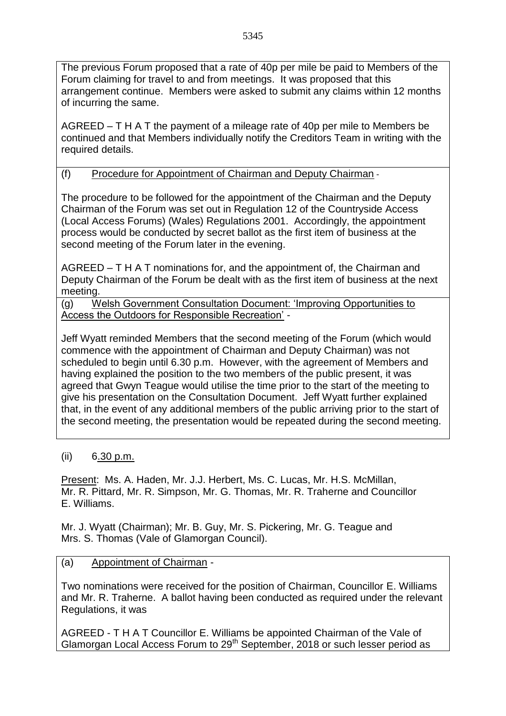The previous Forum proposed that a rate of 40p per mile be paid to Members of the Forum claiming for travel to and from meetings. It was proposed that this arrangement continue. Members were asked to submit any claims within 12 months of incurring the same.

AGREED – T H A T the payment of a mileage rate of 40p per mile to Members be continued and that Members individually notify the Creditors Team in writing with the required details.

## (f) Procedure for Appointment of Chairman and Deputy Chairman -

The procedure to be followed for the appointment of the Chairman and the Deputy Chairman of the Forum was set out in Regulation 12 of the Countryside Access (Local Access Forums) (Wales) Regulations 2001. Accordingly, the appointment process would be conducted by secret ballot as the first item of business at the second meeting of the Forum later in the evening.

AGREED – T H A T nominations for, and the appointment of, the Chairman and Deputy Chairman of the Forum be dealt with as the first item of business at the next meeting.

(g) Welsh Government Consultation Document: 'Improving Opportunities to Access the Outdoors for Responsible Recreation' -

Jeff Wyatt reminded Members that the second meeting of the Forum (which would commence with the appointment of Chairman and Deputy Chairman) was not scheduled to begin until 6.30 p.m. However, with the agreement of Members and having explained the position to the two members of the public present, it was agreed that Gwyn Teague would utilise the time prior to the start of the meeting to give his presentation on the Consultation Document. Jeff Wyatt further explained that, in the event of any additional members of the public arriving prior to the start of the second meeting, the presentation would be repeated during the second meeting.

### (ii) 6.30 p.m.

Present: Ms. A. Haden, Mr. J.J. Herbert, Ms. C. Lucas, Mr. H.S. McMillan, Mr. R. Pittard, Mr. R. Simpson, Mr. G. Thomas, Mr. R. Traherne and Councillor E. Williams.

Mr. J. Wyatt (Chairman); Mr. B. Guy, Mr. S. Pickering, Mr. G. Teague and Mrs. S. Thomas (Vale of Glamorgan Council).

### (a) Appointment of Chairman -

Two nominations were received for the position of Chairman, Councillor E. Williams and Mr. R. Traherne. A ballot having been conducted as required under the relevant Regulations, it was

AGREED - T H A T Councillor E. Williams be appointed Chairman of the Vale of Glamorgan Local Access Forum to 29<sup>th</sup> September, 2018 or such lesser period as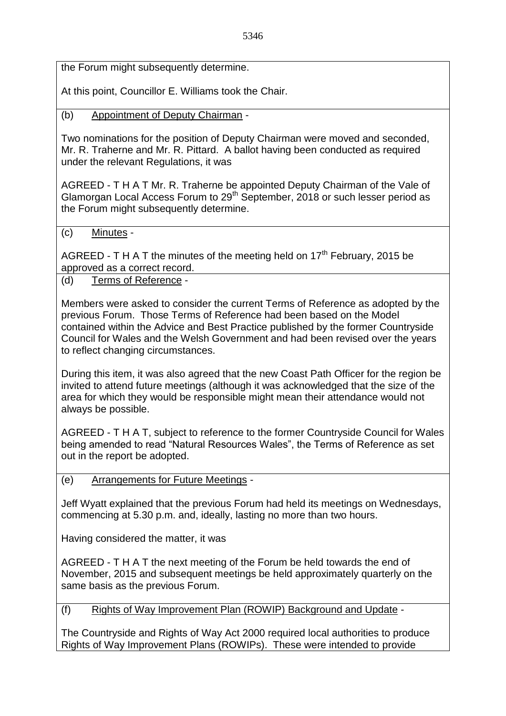the Forum might subsequently determine.

At this point, Councillor E. Williams took the Chair.

(b) Appointment of Deputy Chairman -

Two nominations for the position of Deputy Chairman were moved and seconded, Mr. R. Traherne and Mr. R. Pittard. A ballot having been conducted as required under the relevant Regulations, it was

AGREED - T H A T Mr. R. Traherne be appointed Deputy Chairman of the Vale of Glamorgan Local Access Forum to  $29<sup>th</sup>$  September, 2018 or such lesser period as the Forum might subsequently determine.

(c) Minutes -

AGREED - T H A T the minutes of the meeting held on  $17<sup>th</sup>$  February, 2015 be approved as a correct record.

(d) Terms of Reference -

Members were asked to consider the current Terms of Reference as adopted by the previous Forum. Those Terms of Reference had been based on the Model contained within the Advice and Best Practice published by the former Countryside Council for Wales and the Welsh Government and had been revised over the years to reflect changing circumstances.

During this item, it was also agreed that the new Coast Path Officer for the region be invited to attend future meetings (although it was acknowledged that the size of the area for which they would be responsible might mean their attendance would not always be possible.

AGREED - T H A T, subject to reference to the former Countryside Council for Wales being amended to read "Natural Resources Wales", the Terms of Reference as set out in the report be adopted.

(e) Arrangements for Future Meetings -

Jeff Wyatt explained that the previous Forum had held its meetings on Wednesdays, commencing at 5.30 p.m. and, ideally, lasting no more than two hours.

Having considered the matter, it was

AGREED - T H A T the next meeting of the Forum be held towards the end of November, 2015 and subsequent meetings be held approximately quarterly on the same basis as the previous Forum.

(f) Rights of Way Improvement Plan (ROWIP) Background and Update -

The Countryside and Rights of Way Act 2000 required local authorities to produce Rights of Way Improvement Plans (ROWIPs). These were intended to provide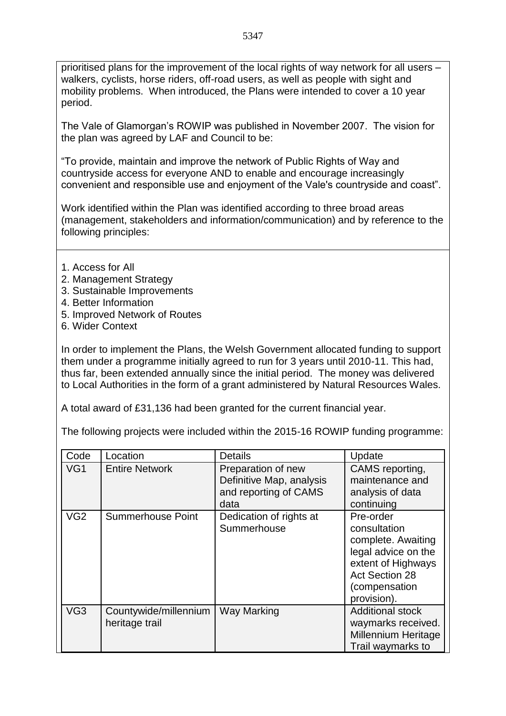prioritised plans for the improvement of the local rights of way network for all users – walkers, cyclists, horse riders, off-road users, as well as people with sight and mobility problems. When introduced, the Plans were intended to cover a 10 year period.

The Vale of Glamorgan's ROWIP was published in November 2007. The vision for the plan was agreed by LAF and Council to be:

"To provide, maintain and improve the network of Public Rights of Way and countryside access for everyone AND to enable and encourage increasingly convenient and responsible use and enjoyment of the Vale's countryside and coast".

Work identified within the Plan was identified according to three broad areas (management, stakeholders and information/communication) and by reference to the following principles:

- 1. Access for All
- 2. Management Strategy
- 3. Sustainable Improvements
- 4. Better Information
- 5. Improved Network of Routes
- 6. Wider Context

In order to implement the Plans, the Welsh Government allocated funding to support them under a programme initially agreed to run for 3 years until 2010-11. This had, thus far, been extended annually since the initial period. The money was delivered to Local Authorities in the form of a grant administered by Natural Resources Wales.

A total award of £31,136 had been granted for the current financial year.

The following projects were included within the 2015-16 ROWIP funding programme:

| Code            | Location                                | <b>Details</b>                                                                  | Update                                                                                                                                                |
|-----------------|-----------------------------------------|---------------------------------------------------------------------------------|-------------------------------------------------------------------------------------------------------------------------------------------------------|
| VG1             | <b>Entire Network</b>                   | Preparation of new<br>Definitive Map, analysis<br>and reporting of CAMS<br>data | CAMS reporting,<br>maintenance and<br>analysis of data<br>continuing                                                                                  |
| VG <sub>2</sub> | <b>Summerhouse Point</b>                | Dedication of rights at<br>Summerhouse                                          | Pre-order<br>consultation<br>complete. Awaiting<br>legal advice on the<br>extent of Highways<br><b>Act Section 28</b><br>(compensation<br>provision). |
| VG <sub>3</sub> | Countywide/millennium<br>heritage trail | Way Marking                                                                     | <b>Additional stock</b><br>waymarks received.<br><b>Millennium Heritage</b><br>Trail waymarks to                                                      |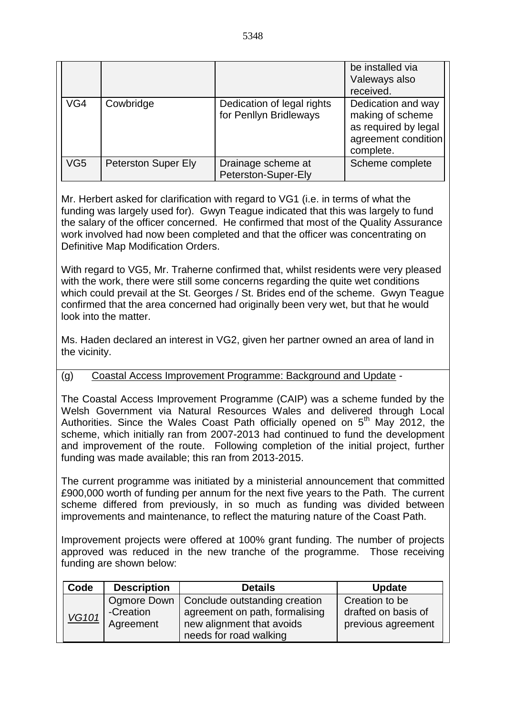|     |                            |                                                      | be installed via<br>Valeways also<br>received.                                                     |
|-----|----------------------------|------------------------------------------------------|----------------------------------------------------------------------------------------------------|
| VG4 | Cowbridge                  | Dedication of legal rights<br>for Penllyn Bridleways | Dedication and way<br>making of scheme<br>as required by legal<br>agreement condition<br>complete. |
| VG5 | <b>Peterston Super Ely</b> | Drainage scheme at<br>Peterston-Super-Ely            | Scheme complete                                                                                    |

Mr. Herbert asked for clarification with regard to VG1 (i.e. in terms of what the funding was largely used for). Gwyn Teague indicated that this was largely to fund the salary of the officer concerned. He confirmed that most of the Quality Assurance work involved had now been completed and that the officer was concentrating on Definitive Map Modification Orders.

With regard to VG5, Mr. Traherne confirmed that, whilst residents were very pleased with the work, there were still some concerns regarding the quite wet conditions which could prevail at the St. Georges / St. Brides end of the scheme. Gwyn Teague confirmed that the area concerned had originally been very wet, but that he would look into the matter.

Ms. Haden declared an interest in VG2, given her partner owned an area of land in the vicinity.

### (g) Coastal Access Improvement Programme: Background and Update -

The Coastal Access Improvement Programme (CAIP) was a scheme funded by the Welsh Government via Natural Resources Wales and delivered through Local Authorities. Since the Wales Coast Path officially opened on  $5<sup>th</sup>$  May 2012, the scheme, which initially ran from 2007-2013 had continued to fund the development and improvement of the route. Following completion of the initial project, further funding was made available; this ran from 2013-2015.

The current programme was initiated by a ministerial announcement that committed £900,000 worth of funding per annum for the next five years to the Path. The current scheme differed from previously, in so much as funding was divided between improvements and maintenance, to reflect the maturing nature of the Coast Path.

Improvement projects were offered at 100% grant funding. The number of projects approved was reduced in the new tranche of the programme. Those receiving funding are shown below:

| Code         | <b>Description</b>       | <b>Details</b>                                                  | <b>Update</b>                         |
|--------------|--------------------------|-----------------------------------------------------------------|---------------------------------------|
|              | Ogmore Down<br>-Creation | Conclude outstanding creation<br>agreement on path, formalising | Creation to be<br>drafted on basis of |
| <b>VG101</b> | Agreement                | new alignment that avoids                                       | previous agreement                    |
|              |                          | needs for road walking                                          |                                       |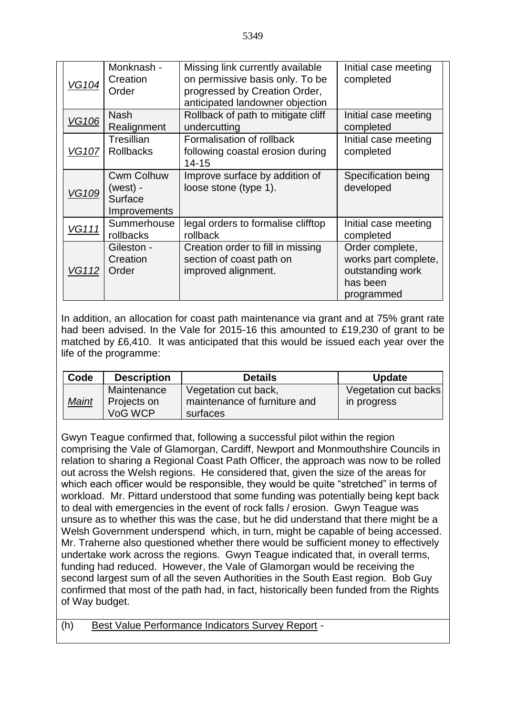| <b>VG104</b> | Monknash -<br>Creation<br>Order                            | Missing link currently available<br>on permissive basis only. To be<br>progressed by Creation Order,<br>anticipated landowner objection | Initial case meeting<br>completed                                                     |
|--------------|------------------------------------------------------------|-----------------------------------------------------------------------------------------------------------------------------------------|---------------------------------------------------------------------------------------|
| <b>VG106</b> | <b>Nash</b><br>Realignment                                 | Rollback of path to mitigate cliff<br>undercutting                                                                                      | Initial case meeting<br>completed                                                     |
| <b>VG107</b> | Tresillian<br><b>Rollbacks</b>                             | Formalisation of rollback<br>following coastal erosion during<br>$14 - 15$                                                              | Initial case meeting<br>completed                                                     |
| <b>VG109</b> | <b>Cwm Colhuw</b><br>$(west)$ -<br>Surface<br>Improvements | Improve surface by addition of<br>loose stone (type 1).                                                                                 | Specification being<br>developed                                                      |
| <b>VG111</b> | Summerhouse<br>rollbacks                                   | legal orders to formalise clifftop<br>rollback                                                                                          | Initial case meeting<br>completed                                                     |
| <b>VG112</b> | Gileston -<br>Creation<br>Order                            | Creation order to fill in missing<br>section of coast path on<br>improved alignment.                                                    | Order complete,<br>works part complete,<br>outstanding work<br>has been<br>programmed |

In addition, an allocation for coast path maintenance via grant and at 75% grant rate had been advised. In the Vale for 2015-16 this amounted to £19,230 of grant to be matched by £6,410. It was anticipated that this would be issued each year over the life of the programme:

| Code  | <b>Description</b>                    | <b>Details</b>                                                   | <b>Update</b>                       |
|-------|---------------------------------------|------------------------------------------------------------------|-------------------------------------|
| Maint | Maintenance<br>Projects on<br>VoG WCP | Vegetation cut back,<br>maintenance of furniture and<br>surfaces | Vegetation cut backs<br>in progress |

Gwyn Teague confirmed that, following a successful pilot within the region comprising the Vale of Glamorgan, Cardiff, Newport and Monmouthshire Councils in relation to sharing a Regional Coast Path Officer, the approach was now to be rolled out across the Welsh regions. He considered that, given the size of the areas for which each officer would be responsible, they would be quite "stretched" in terms of workload. Mr. Pittard understood that some funding was potentially being kept back to deal with emergencies in the event of rock falls / erosion. Gwyn Teague was unsure as to whether this was the case, but he did understand that there might be a Welsh Government underspend which, in turn, might be capable of being accessed. Mr. Traherne also questioned whether there would be sufficient money to effectively undertake work across the regions. Gwyn Teague indicated that, in overall terms, funding had reduced. However, the Vale of Glamorgan would be receiving the second largest sum of all the seven Authorities in the South East region. Bob Guy confirmed that most of the path had, in fact, historically been funded from the Rights of Way budget.

| (h) | <b>Best Value Performance Indicators Survey Report -</b> |  |
|-----|----------------------------------------------------------|--|
|     |                                                          |  |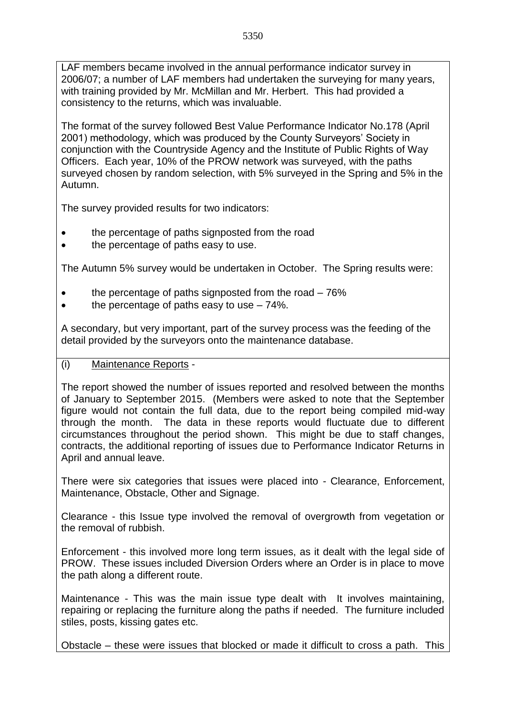LAF members became involved in the annual performance indicator survey in 2006/07; a number of LAF members had undertaken the surveying for many years, with training provided by Mr. McMillan and Mr. Herbert. This had provided a consistency to the returns, which was invaluable.

The format of the survey followed Best Value Performance Indicator No.178 (April 2001) methodology, which was produced by the County Surveyors' Society in conjunction with the Countryside Agency and the Institute of Public Rights of Way Officers. Each year, 10% of the PROW network was surveyed, with the paths surveyed chosen by random selection, with 5% surveyed in the Spring and 5% in the Autumn.

The survey provided results for two indicators:

- the percentage of paths signposted from the road
- the percentage of paths easy to use.

The Autumn 5% survey would be undertaken in October. The Spring results were:

- the percentage of paths signposted from the road 76%
- the percentage of paths easy to use 74%.

A secondary, but very important, part of the survey process was the feeding of the detail provided by the surveyors onto the maintenance database.

#### (i) Maintenance Reports -

The report showed the number of issues reported and resolved between the months of January to September 2015. (Members were asked to note that the September figure would not contain the full data, due to the report being compiled mid-way through the month. The data in these reports would fluctuate due to different circumstances throughout the period shown. This might be due to staff changes, contracts, the additional reporting of issues due to Performance Indicator Returns in April and annual leave.

There were six categories that issues were placed into - Clearance, Enforcement, Maintenance, Obstacle, Other and Signage.

Clearance - this Issue type involved the removal of overgrowth from vegetation or the removal of rubbish.

Enforcement - this involved more long term issues, as it dealt with the legal side of PROW. These issues included Diversion Orders where an Order is in place to move the path along a different route.

Maintenance - This was the main issue type dealt with It involves maintaining, repairing or replacing the furniture along the paths if needed. The furniture included stiles, posts, kissing gates etc.

Obstacle – these were issues that blocked or made it difficult to cross a path. This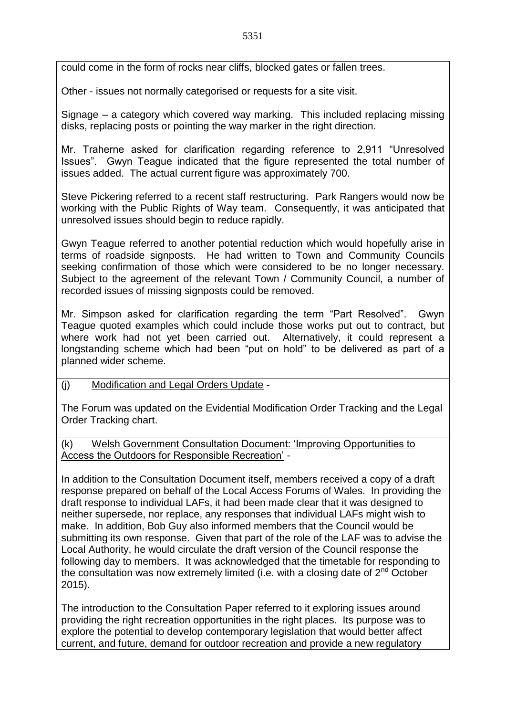could come in the form of rocks near cliffs, blocked gates or fallen trees.

Other - issues not normally categorised or requests for a site visit.

Signage – a category which covered way marking. This included replacing missing disks, replacing posts or pointing the way marker in the right direction.

Mr. Traherne asked for clarification regarding reference to 2,911 "Unresolved Issues". Gwyn Teague indicated that the figure represented the total number of issues added. The actual current figure was approximately 700.

Steve Pickering referred to a recent staff restructuring. Park Rangers would now be working with the Public Rights of Way team. Consequently, it was anticipated that unresolved issues should begin to reduce rapidly.

Gwyn Teague referred to another potential reduction which would hopefully arise in terms of roadside signposts. He had written to Town and Community Councils seeking confirmation of those which were considered to be no longer necessary. Subject to the agreement of the relevant Town / Community Council, a number of recorded issues of missing signposts could be removed.

Mr. Simpson asked for clarification regarding the term "Part Resolved". Gwyn Teague quoted examples which could include those works put out to contract, but where work had not yet been carried out. Alternatively, it could represent a longstanding scheme which had been "put on hold" to be delivered as part of a planned wider scheme.

#### (j) Modification and Legal Orders Update -

The Forum was updated on the Evidential Modification Order Tracking and the Legal Order Tracking chart.

(k) Welsh Government Consultation Document: 'Improving Opportunities to Access the Outdoors for Responsible Recreation' -

In addition to the Consultation Document itself, members received a copy of a draft response prepared on behalf of the Local Access Forums of Wales. In providing the draft response to individual LAFs, it had been made clear that it was designed to neither supersede, nor replace, any responses that individual LAFs might wish to make. In addition, Bob Guy also informed members that the Council would be submitting its own response. Given that part of the role of the LAF was to advise the Local Authority, he would circulate the draft version of the Council response the following day to members. It was acknowledged that the timetable for responding to the consultation was now extremely limited (i.e. with a closing date of  $2^{nd}$  October 2015).

The introduction to the Consultation Paper referred to it exploring issues around providing the right recreation opportunities in the right places. Its purpose was to explore the potential to develop contemporary legislation that would better affect current, and future, demand for outdoor recreation and provide a new regulatory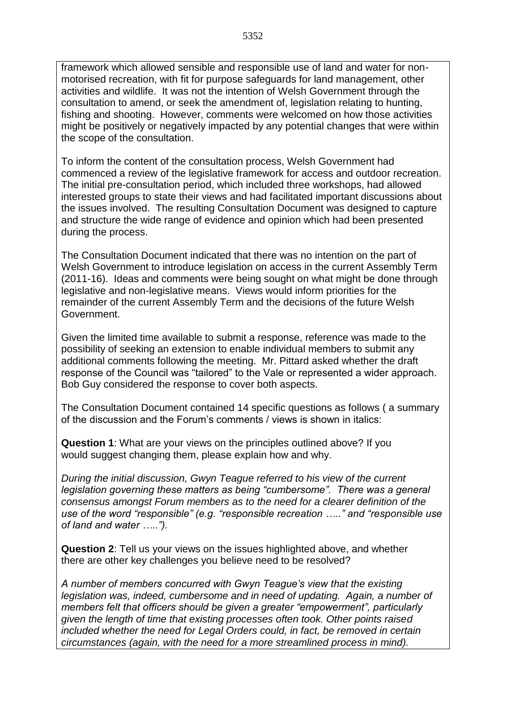framework which allowed sensible and responsible use of land and water for nonmotorised recreation, with fit for purpose safeguards for land management, other activities and wildlife. It was not the intention of Welsh Government through the consultation to amend, or seek the amendment of, legislation relating to hunting, fishing and shooting. However, comments were welcomed on how those activities might be positively or negatively impacted by any potential changes that were within the scope of the consultation.

To inform the content of the consultation process, Welsh Government had commenced a review of the legislative framework for access and outdoor recreation. The initial pre-consultation period, which included three workshops, had allowed interested groups to state their views and had facilitated important discussions about the issues involved. The resulting Consultation Document was designed to capture and structure the wide range of evidence and opinion which had been presented during the process.

The Consultation Document indicated that there was no intention on the part of Welsh Government to introduce legislation on access in the current Assembly Term (2011-16). Ideas and comments were being sought on what might be done through legislative and non-legislative means. Views would inform priorities for the remainder of the current Assembly Term and the decisions of the future Welsh Government.

Given the limited time available to submit a response, reference was made to the possibility of seeking an extension to enable individual members to submit any additional comments following the meeting. Mr. Pittard asked whether the draft response of the Council was "tailored" to the Vale or represented a wider approach. Bob Guy considered the response to cover both aspects.

The Consultation Document contained 14 specific questions as follows ( a summary of the discussion and the Forum's comments / views is shown in italics:

**Question 1**: What are your views on the principles outlined above? If you would suggest changing them, please explain how and why.

*During the initial discussion, Gwyn Teague referred to his view of the current legislation governing these matters as being "cumbersome". There was a general consensus amongst Forum members as to the need for a clearer definition of the use of the word "responsible" (e.g. "responsible recreation ….." and "responsible use of land and water …..").*

**Question 2**: Tell us your views on the issues highlighted above, and whether there are other key challenges you believe need to be resolved?

*A number of members concurred with Gwyn Teague's view that the existing legislation was, indeed, cumbersome and in need of updating. Again, a number of members felt that officers should be given a greater "empowerment", particularly given the length of time that existing processes often took. Other points raised included whether the need for Legal Orders could, in fact, be removed in certain circumstances (again, with the need for a more streamlined process in mind).*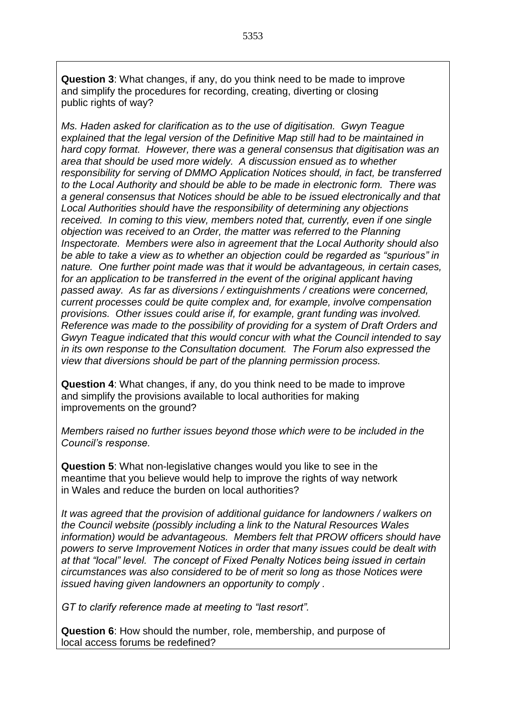**Question 3**: What changes, if any, do you think need to be made to improve and simplify the procedures for recording, creating, diverting or closing public rights of way?

*Ms. Haden asked for clarification as to the use of digitisation. Gwyn Teague explained that the legal version of the Definitive Map still had to be maintained in hard copy format. However, there was a general consensus that digitisation was an area that should be used more widely. A discussion ensued as to whether responsibility for serving of DMMO Application Notices should, in fact, be transferred to the Local Authority and should be able to be made in electronic form. There was a general consensus that Notices should be able to be issued electronically and that Local Authorities should have the responsibility of determining any objections received. In coming to this view, members noted that, currently, even if one single objection was received to an Order, the matter was referred to the Planning Inspectorate. Members were also in agreement that the Local Authority should also be able to take a view as to whether an objection could be regarded as "spurious" in nature. One further point made was that it would be advantageous, in certain cases, for an application to be transferred in the event of the original applicant having passed away. As far as diversions / extinguishments / creations were concerned, current processes could be quite complex and, for example, involve compensation provisions. Other issues could arise if, for example, grant funding was involved. Reference was made to the possibility of providing for a system of Draft Orders and Gwyn Teague indicated that this would concur with what the Council intended to say in its own response to the Consultation document. The Forum also expressed the view that diversions should be part of the planning permission process.* 

**Question 4**: What changes, if any, do you think need to be made to improve and simplify the provisions available to local authorities for making improvements on the ground?

*Members raised no further issues beyond those which were to be included in the Council's response.*

**Question 5**: What non-legislative changes would you like to see in the meantime that you believe would help to improve the rights of way network in Wales and reduce the burden on local authorities?

*It was agreed that the provision of additional guidance for landowners / walkers on the Council website (possibly including a link to the Natural Resources Wales information) would be advantageous. Members felt that PROW officers should have powers to serve Improvement Notices in order that many issues could be dealt with at that "local" level. The concept of Fixed Penalty Notices being issued in certain circumstances was also considered to be of merit so long as those Notices were issued having given landowners an opportunity to comply .* 

*GT to clarify reference made at meeting to "last resort".*

**Question 6**: How should the number, role, membership, and purpose of local access forums be redefined?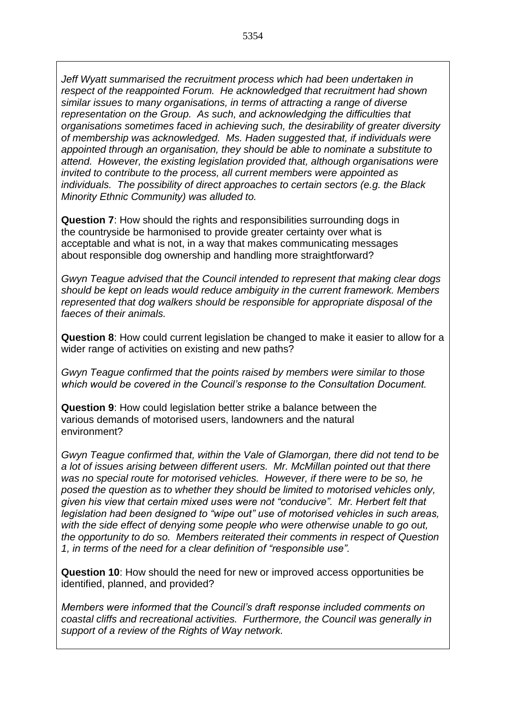*Jeff Wyatt summarised the recruitment process which had been undertaken in respect of the reappointed Forum. He acknowledged that recruitment had shown similar issues to many organisations, in terms of attracting a range of diverse representation on the Group. As such, and acknowledging the difficulties that organisations sometimes faced in achieving such, the desirability of greater diversity of membership was acknowledged. Ms. Haden suggested that, if individuals were appointed through an organisation, they should be able to nominate a substitute to attend. However, the existing legislation provided that, although organisations were invited to contribute to the process, all current members were appointed as individuals. The possibility of direct approaches to certain sectors (e.g. the Black Minority Ethnic Community) was alluded to.* 

**Question 7**: How should the rights and responsibilities surrounding dogs in the countryside be harmonised to provide greater certainty over what is acceptable and what is not, in a way that makes communicating messages about responsible dog ownership and handling more straightforward?

*Gwyn Teague advised that the Council intended to represent that making clear dogs should be kept on leads would reduce ambiguity in the current framework. Members represented that dog walkers should be responsible for appropriate disposal of the faeces of their animals.*

**Question 8**: How could current legislation be changed to make it easier to allow for a wider range of activities on existing and new paths?

*Gwyn Teague confirmed that the points raised by members were similar to those which would be covered in the Council's response to the Consultation Document.* 

**Question 9**: How could legislation better strike a balance between the various demands of motorised users, landowners and the natural environment?

*Gwyn Teague confirmed that, within the Vale of Glamorgan, there did not tend to be a lot of issues arising between different users. Mr. McMillan pointed out that there was no special route for motorised vehicles. However, if there were to be so, he posed the question as to whether they should be limited to motorised vehicles only, given his view that certain mixed uses were not "conducive". Mr. Herbert felt that legislation had been designed to "wipe out" use of motorised vehicles in such areas, with the side effect of denying some people who were otherwise unable to go out, the opportunity to do so. Members reiterated their comments in respect of Question 1, in terms of the need for a clear definition of "responsible use".* 

**Question 10**: How should the need for new or improved access opportunities be identified, planned, and provided?

*Members were informed that the Council's draft response included comments on coastal cliffs and recreational activities. Furthermore, the Council was generally in support of a review of the Rights of Way network.*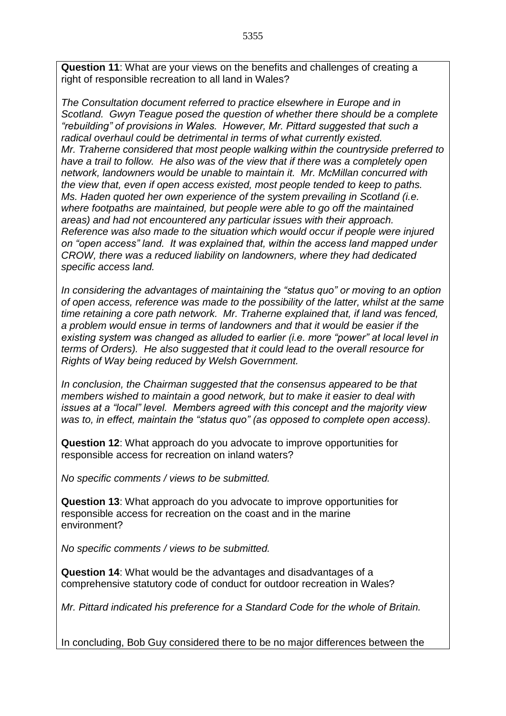**Question 11**: What are your views on the benefits and challenges of creating a right of responsible recreation to all land in Wales?

*The Consultation document referred to practice elsewhere in Europe and in Scotland. Gwyn Teague posed the question of whether there should be a complete "rebuilding" of provisions in Wales. However, Mr. Pittard suggested that such a radical overhaul could be detrimental in terms of what currently existed. Mr. Traherne considered that most people walking within the countryside preferred to have a trail to follow. He also was of the view that if there was a completely open network, landowners would be unable to maintain it. Mr. McMillan concurred with the view that, even if open access existed, most people tended to keep to paths. Ms. Haden quoted her own experience of the system prevailing in Scotland (i.e. where footpaths are maintained, but people were able to go off the maintained areas) and had not encountered any particular issues with their approach. Reference was also made to the situation which would occur if people were injured on "open access" land. It was explained that, within the access land mapped under CROW, there was a reduced liability on landowners, where they had dedicated specific access land.*

*In considering the advantages of maintaining the "status quo" or moving to an option of open access, reference was made to the possibility of the latter, whilst at the same time retaining a core path network. Mr. Traherne explained that, if land was fenced, a problem would ensue in terms of landowners and that it would be easier if the existing system was changed as alluded to earlier (i.e. more "power" at local level in terms of Orders). He also suggested that it could lead to the overall resource for Rights of Way being reduced by Welsh Government.* 

*In conclusion, the Chairman suggested that the consensus appeared to be that members wished to maintain a good network, but to make it easier to deal with issues at a "local" level. Members agreed with this concept and the majority view was to, in effect, maintain the "status quo" (as opposed to complete open access).*

**Question 12**: What approach do you advocate to improve opportunities for responsible access for recreation on inland waters?

*No specific comments / views to be submitted.*

**Question 13**: What approach do you advocate to improve opportunities for responsible access for recreation on the coast and in the marine environment?

*No specific comments / views to be submitted.*

**Question 14**: What would be the advantages and disadvantages of a comprehensive statutory code of conduct for outdoor recreation in Wales?

*Mr. Pittard indicated his preference for a Standard Code for the whole of Britain.* 

In concluding, Bob Guy considered there to be no major differences between the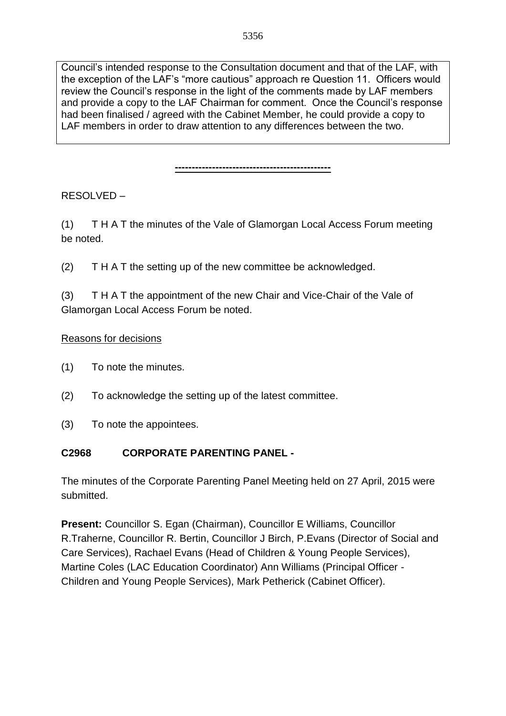Council's intended response to the Consultation document and that of the LAF, with the exception of the LAF's "more cautious" approach re Question 11. Officers would review the Council's response in the light of the comments made by LAF members and provide a copy to the LAF Chairman for comment. Once the Council's response had been finalised / agreed with the Cabinet Member, he could provide a copy to LAF members in order to draw attention to any differences between the two.

**----------------------------------------------**

RESOLVED –

(1) T H A T the minutes of the Vale of Glamorgan Local Access Forum meeting be noted.

(2) T H A T the setting up of the new committee be acknowledged.

(3) T H A T the appointment of the new Chair and Vice-Chair of the Vale of Glamorgan Local Access Forum be noted.

### Reasons for decisions

- (1) To note the minutes.
- (2) To acknowledge the setting up of the latest committee.
- (3) To note the appointees.

## **C2968 CORPORATE PARENTING PANEL -**

The minutes of the Corporate Parenting Panel Meeting held on 27 April, 2015 were submitted.

**Present:** Councillor S. Egan (Chairman), Councillor E Williams, Councillor R.Traherne, Councillor R. Bertin, Councillor J Birch, P.Evans (Director of Social and Care Services), Rachael Evans (Head of Children & Young People Services), Martine Coles (LAC Education Coordinator) Ann Williams (Principal Officer - Children and Young People Services), Mark Petherick (Cabinet Officer).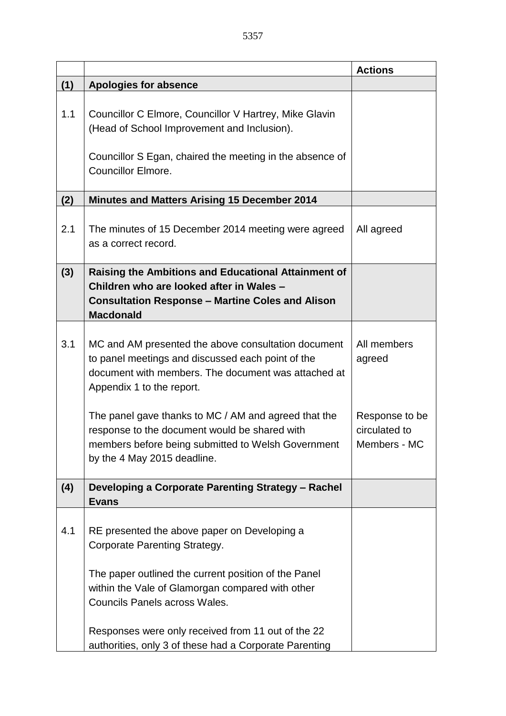|     |                                                                                                                                                                                              | <b>Actions</b>                                  |
|-----|----------------------------------------------------------------------------------------------------------------------------------------------------------------------------------------------|-------------------------------------------------|
| (1) | <b>Apologies for absence</b>                                                                                                                                                                 |                                                 |
| 1.1 | Councillor C Elmore, Councillor V Hartrey, Mike Glavin<br>(Head of School Improvement and Inclusion).<br>Councillor S Egan, chaired the meeting in the absence of                            |                                                 |
|     | <b>Councillor Elmore.</b>                                                                                                                                                                    |                                                 |
| (2) | <b>Minutes and Matters Arising 15 December 2014</b>                                                                                                                                          |                                                 |
| 2.1 | The minutes of 15 December 2014 meeting were agreed<br>as a correct record.                                                                                                                  | All agreed                                      |
| (3) | <b>Raising the Ambitions and Educational Attainment of</b><br>Children who are looked after in Wales -<br><b>Consultation Response - Martine Coles and Alison</b><br><b>Macdonald</b>        |                                                 |
| 3.1 | MC and AM presented the above consultation document<br>to panel meetings and discussed each point of the<br>document with members. The document was attached at<br>Appendix 1 to the report. | All members<br>agreed                           |
|     | The panel gave thanks to MC / AM and agreed that the<br>response to the document would be shared with<br>members before being submitted to Welsh Government<br>by the 4 May 2015 deadline.   | Response to be<br>circulated to<br>Members - MC |
| (4) | Developing a Corporate Parenting Strategy - Rachel<br><b>Evans</b>                                                                                                                           |                                                 |
| 4.1 | RE presented the above paper on Developing a<br>Corporate Parenting Strategy.                                                                                                                |                                                 |
|     | The paper outlined the current position of the Panel<br>within the Vale of Glamorgan compared with other<br><b>Councils Panels across Wales.</b>                                             |                                                 |
|     | Responses were only received from 11 out of the 22<br>authorities, only 3 of these had a Corporate Parenting                                                                                 |                                                 |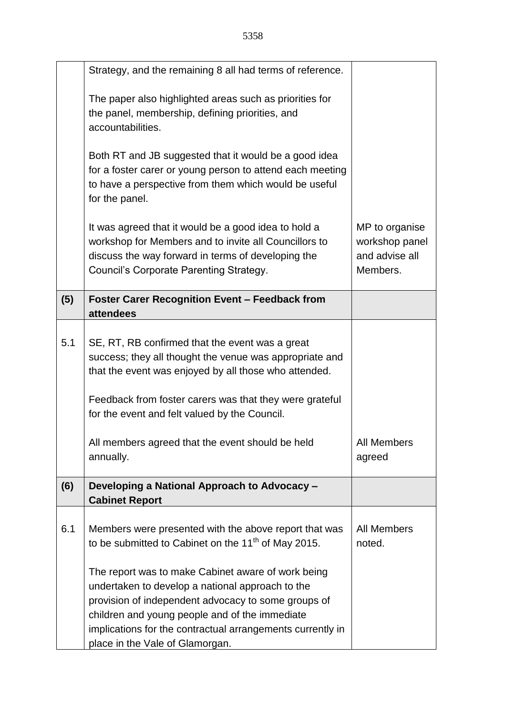|     | Strategy, and the remaining 8 all had terms of reference.                                                                                                                                                                                                                                                        |                                                                |
|-----|------------------------------------------------------------------------------------------------------------------------------------------------------------------------------------------------------------------------------------------------------------------------------------------------------------------|----------------------------------------------------------------|
|     | The paper also highlighted areas such as priorities for<br>the panel, membership, defining priorities, and<br>accountabilities.                                                                                                                                                                                  |                                                                |
|     | Both RT and JB suggested that it would be a good idea<br>for a foster carer or young person to attend each meeting<br>to have a perspective from them which would be useful<br>for the panel.                                                                                                                    |                                                                |
|     | It was agreed that it would be a good idea to hold a<br>workshop for Members and to invite all Councillors to<br>discuss the way forward in terms of developing the<br>Council's Corporate Parenting Strategy.                                                                                                   | MP to organise<br>workshop panel<br>and advise all<br>Members. |
| (5) | <b>Foster Carer Recognition Event - Feedback from</b><br>attendees                                                                                                                                                                                                                                               |                                                                |
| 5.1 | SE, RT, RB confirmed that the event was a great<br>success; they all thought the venue was appropriate and<br>that the event was enjoyed by all those who attended.                                                                                                                                              |                                                                |
|     | Feedback from foster carers was that they were grateful<br>for the event and felt valued by the Council.                                                                                                                                                                                                         |                                                                |
|     | All members agreed that the event should be held<br>annually.                                                                                                                                                                                                                                                    | All Members<br>agreed                                          |
| (6) | Developing a National Approach to Advocacy -<br><b>Cabinet Report</b>                                                                                                                                                                                                                                            |                                                                |
| 6.1 | Members were presented with the above report that was<br>to be submitted to Cabinet on the 11 <sup>th</sup> of May 2015.                                                                                                                                                                                         | All Members<br>noted.                                          |
|     | The report was to make Cabinet aware of work being<br>undertaken to develop a national approach to the<br>provision of independent advocacy to some groups of<br>children and young people and of the immediate<br>implications for the contractual arrangements currently in<br>place in the Vale of Glamorgan. |                                                                |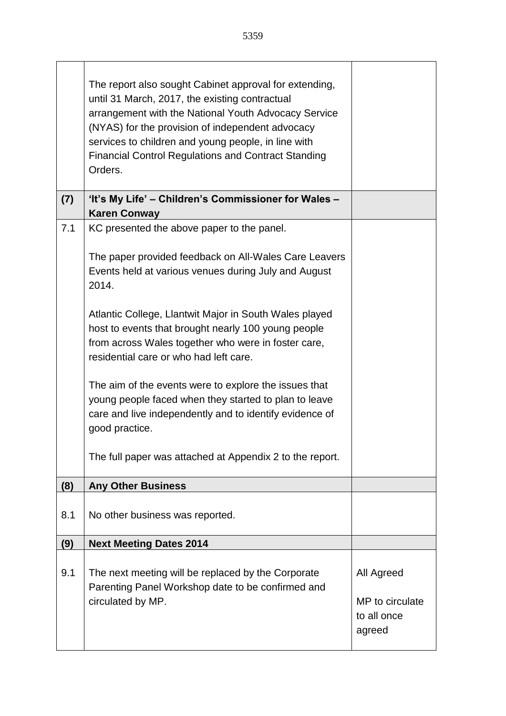|     | The report also sought Cabinet approval for extending,<br>until 31 March, 2017, the existing contractual<br>arrangement with the National Youth Advocacy Service<br>(NYAS) for the provision of independent advocacy<br>services to children and young people, in line with<br><b>Financial Control Regulations and Contract Standing</b><br>Orders.                                                                                                                                                                                                                                                                                              |  |
|-----|---------------------------------------------------------------------------------------------------------------------------------------------------------------------------------------------------------------------------------------------------------------------------------------------------------------------------------------------------------------------------------------------------------------------------------------------------------------------------------------------------------------------------------------------------------------------------------------------------------------------------------------------------|--|
| (7) | 'It's My Life' - Children's Commissioner for Wales -<br><b>Karen Conway</b>                                                                                                                                                                                                                                                                                                                                                                                                                                                                                                                                                                       |  |
| 7.1 | KC presented the above paper to the panel.<br>The paper provided feedback on All-Wales Care Leavers<br>Events held at various venues during July and August<br>2014.<br>Atlantic College, Llantwit Major in South Wales played<br>host to events that brought nearly 100 young people<br>from across Wales together who were in foster care,<br>residential care or who had left care.<br>The aim of the events were to explore the issues that<br>young people faced when they started to plan to leave<br>care and live independently and to identify evidence of<br>good practice.<br>The full paper was attached at Appendix 2 to the report. |  |
| (8) | <b>Any Other Business</b>                                                                                                                                                                                                                                                                                                                                                                                                                                                                                                                                                                                                                         |  |
|     |                                                                                                                                                                                                                                                                                                                                                                                                                                                                                                                                                                                                                                                   |  |

| (8) | <b>Any Other Business</b>                                                                               |                       |
|-----|---------------------------------------------------------------------------------------------------------|-----------------------|
| 8.1 | No other business was reported.                                                                         |                       |
| (9) | <b>Next Meeting Dates 2014</b>                                                                          |                       |
| 9.1 | The next meeting will be replaced by the Corporate<br>Parenting Panel Workshop date to be confirmed and | All Agreed            |
|     | circulated by MP.                                                                                       | MP to circulate       |
|     |                                                                                                         | to all once<br>agreed |
|     |                                                                                                         |                       |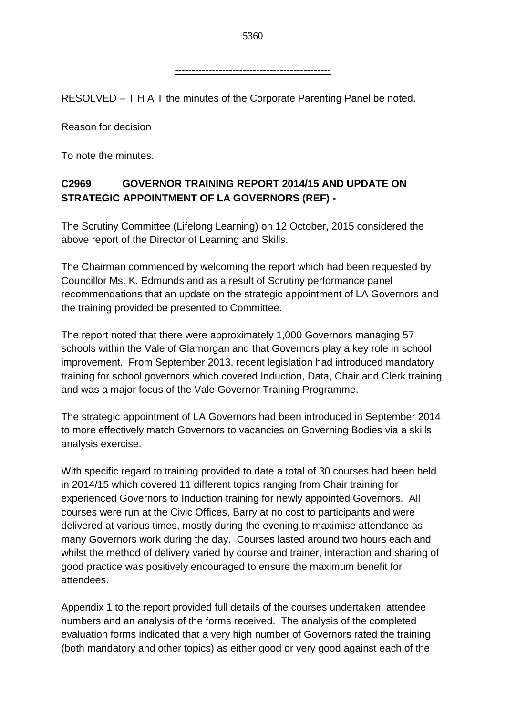**----------------------------------------------**

RESOLVED – T H A T the minutes of the Corporate Parenting Panel be noted.

Reason for decision

To note the minutes.

# **C2969 GOVERNOR TRAINING REPORT 2014/15 AND UPDATE ON STRATEGIC APPOINTMENT OF LA GOVERNORS (REF) -**

The Scrutiny Committee (Lifelong Learning) on 12 October, 2015 considered the above report of the Director of Learning and Skills.

The Chairman commenced by welcoming the report which had been requested by Councillor Ms. K. Edmunds and as a result of Scrutiny performance panel recommendations that an update on the strategic appointment of LA Governors and the training provided be presented to Committee.

The report noted that there were approximately 1,000 Governors managing 57 schools within the Vale of Glamorgan and that Governors play a key role in school improvement. From September 2013, recent legislation had introduced mandatory training for school governors which covered Induction, Data, Chair and Clerk training and was a major focus of the Vale Governor Training Programme.

The strategic appointment of LA Governors had been introduced in September 2014 to more effectively match Governors to vacancies on Governing Bodies via a skills analysis exercise.

With specific regard to training provided to date a total of 30 courses had been held in 2014/15 which covered 11 different topics ranging from Chair training for experienced Governors to Induction training for newly appointed Governors. All courses were run at the Civic Offices, Barry at no cost to participants and were delivered at various times, mostly during the evening to maximise attendance as many Governors work during the day. Courses lasted around two hours each and whilst the method of delivery varied by course and trainer, interaction and sharing of good practice was positively encouraged to ensure the maximum benefit for attendees.

Appendix 1 to the report provided full details of the courses undertaken, attendee numbers and an analysis of the forms received. The analysis of the completed evaluation forms indicated that a very high number of Governors rated the training (both mandatory and other topics) as either good or very good against each of the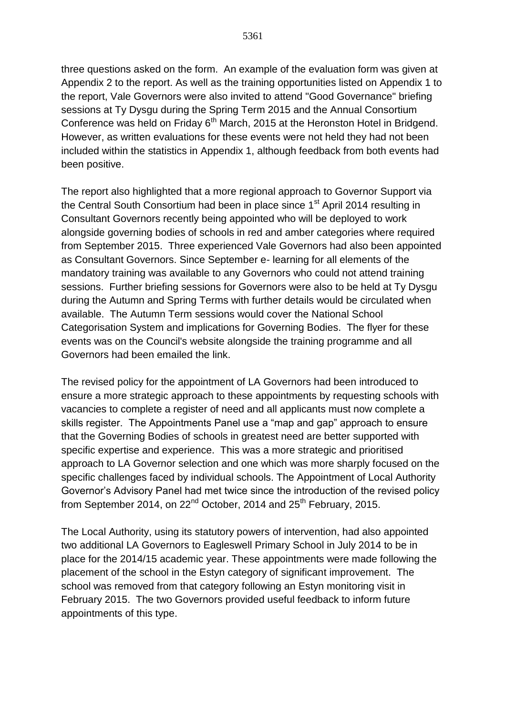three questions asked on the form. An example of the evaluation form was given at Appendix 2 to the report. As well as the training opportunities listed on Appendix 1 to the report, Vale Governors were also invited to attend "Good Governance" briefing sessions at Ty Dysgu during the Spring Term 2015 and the Annual Consortium Conference was held on Friday 6<sup>th</sup> March, 2015 at the Heronston Hotel in Bridgend. However, as written evaluations for these events were not held they had not been included within the statistics in Appendix 1, although feedback from both events had been positive.

The report also highlighted that a more regional approach to Governor Support via the Central South Consortium had been in place since 1<sup>st</sup> April 2014 resulting in Consultant Governors recently being appointed who will be deployed to work alongside governing bodies of schools in red and amber categories where required from September 2015. Three experienced Vale Governors had also been appointed as Consultant Governors. Since September e- learning for all elements of the mandatory training was available to any Governors who could not attend training sessions. Further briefing sessions for Governors were also to be held at Ty Dysgu during the Autumn and Spring Terms with further details would be circulated when available. The Autumn Term sessions would cover the National School Categorisation System and implications for Governing Bodies. The flyer for these events was on the Council's website alongside the training programme and all Governors had been emailed the link.

The revised policy for the appointment of LA Governors had been introduced to ensure a more strategic approach to these appointments by requesting schools with vacancies to complete a register of need and all applicants must now complete a skills register. The Appointments Panel use a "map and gap" approach to ensure that the Governing Bodies of schools in greatest need are better supported with specific expertise and experience. This was a more strategic and prioritised approach to LA Governor selection and one which was more sharply focused on the specific challenges faced by individual schools. The Appointment of Local Authority Governor's Advisory Panel had met twice since the introduction of the revised policy from September 2014, on  $22<sup>nd</sup>$  October, 2014 and  $25<sup>th</sup>$  February, 2015.

The Local Authority, using its statutory powers of intervention, had also appointed two additional LA Governors to Eagleswell Primary School in July 2014 to be in place for the 2014/15 academic year. These appointments were made following the placement of the school in the Estyn category of significant improvement. The school was removed from that category following an Estyn monitoring visit in February 2015. The two Governors provided useful feedback to inform future appointments of this type.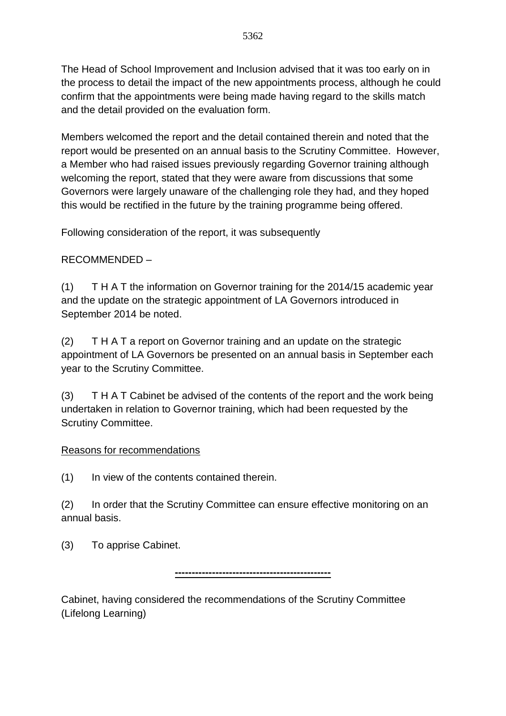The Head of School Improvement and Inclusion advised that it was too early on in the process to detail the impact of the new appointments process, although he could confirm that the appointments were being made having regard to the skills match and the detail provided on the evaluation form.

Members welcomed the report and the detail contained therein and noted that the report would be presented on an annual basis to the Scrutiny Committee. However, a Member who had raised issues previously regarding Governor training although welcoming the report, stated that they were aware from discussions that some Governors were largely unaware of the challenging role they had, and they hoped this would be rectified in the future by the training programme being offered.

Following consideration of the report, it was subsequently

### RECOMMENDED –

(1) T H A T the information on Governor training for the 2014/15 academic year and the update on the strategic appointment of LA Governors introduced in September 2014 be noted.

(2) T H A T a report on Governor training and an update on the strategic appointment of LA Governors be presented on an annual basis in September each year to the Scrutiny Committee.

(3) T H A T Cabinet be advised of the contents of the report and the work being undertaken in relation to Governor training, which had been requested by the Scrutiny Committee.

### Reasons for recommendations

(1) In view of the contents contained therein.

(2) In order that the Scrutiny Committee can ensure effective monitoring on an annual basis.

**----------------------------------------------**

(3) To apprise Cabinet.

Cabinet, having considered the recommendations of the Scrutiny Committee (Lifelong Learning)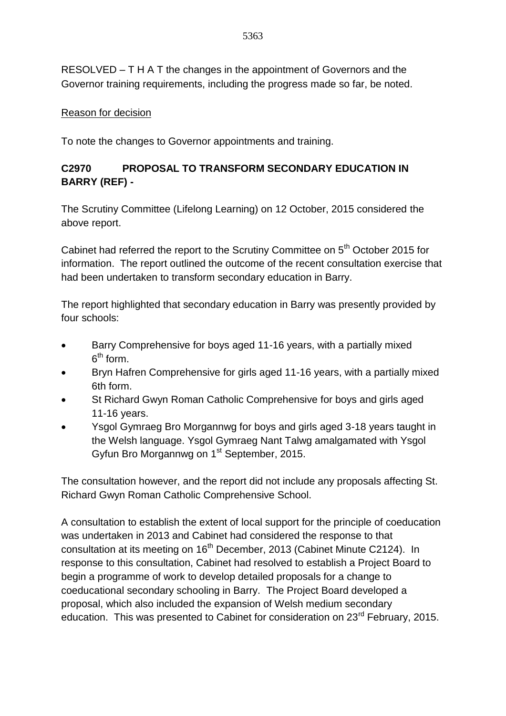RESOLVED – T H A T the changes in the appointment of Governors and the Governor training requirements, including the progress made so far, be noted.

### Reason for decision

To note the changes to Governor appointments and training.

## **C2970 PROPOSAL TO TRANSFORM SECONDARY EDUCATION IN BARRY (REF) -**

The Scrutiny Committee (Lifelong Learning) on 12 October, 2015 considered the above report.

Cabinet had referred the report to the Scrutiny Committee on 5<sup>th</sup> October 2015 for information. The report outlined the outcome of the recent consultation exercise that had been undertaken to transform secondary education in Barry.

The report highlighted that secondary education in Barry was presently provided by four schools:

- Barry Comprehensive for boys aged 11-16 years, with a partially mixed  $6^{\text{th}}$  form.
- Bryn Hafren Comprehensive for girls aged 11-16 years, with a partially mixed 6th form.
- St Richard Gwyn Roman Catholic Comprehensive for boys and girls aged 11-16 years.
- Ysgol Gymraeg Bro Morgannwg for boys and girls aged 3-18 years taught in the Welsh language. Ysgol Gymraeg Nant Talwg amalgamated with Ysgol Gyfun Bro Morgannwg on 1<sup>st</sup> September, 2015.

The consultation however, and the report did not include any proposals affecting St. Richard Gwyn Roman Catholic Comprehensive School.

A consultation to establish the extent of local support for the principle of coeducation was undertaken in 2013 and Cabinet had considered the response to that consultation at its meeting on 16<sup>th</sup> December, 2013 (Cabinet Minute C2124). In response to this consultation, Cabinet had resolved to establish a Project Board to begin a programme of work to develop detailed proposals for a change to coeducational secondary schooling in Barry. The Project Board developed a proposal, which also included the expansion of Welsh medium secondary education. This was presented to Cabinet for consideration on 23<sup>rd</sup> February. 2015.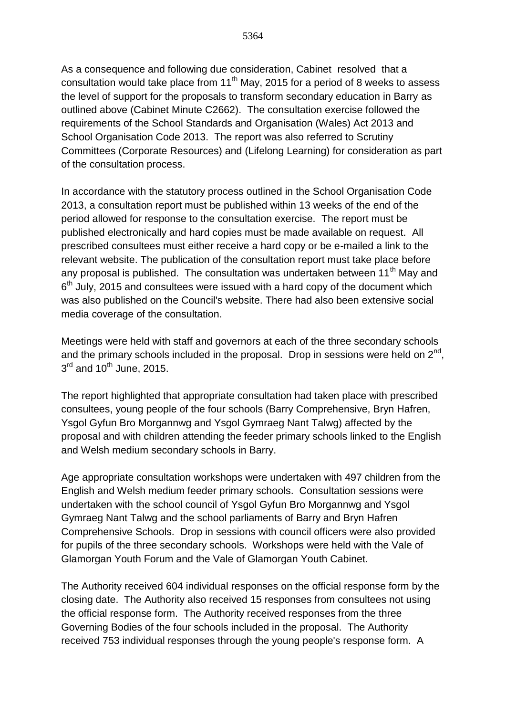As a consequence and following due consideration, Cabinet resolved that a consultation would take place from  $11<sup>th</sup>$  May, 2015 for a period of 8 weeks to assess the level of support for the proposals to transform secondary education in Barry as outlined above (Cabinet Minute C2662). The consultation exercise followed the requirements of the School Standards and Organisation (Wales) Act 2013 and School Organisation Code 2013. The report was also referred to Scrutiny Committees (Corporate Resources) and (Lifelong Learning) for consideration as part of the consultation process.

In accordance with the statutory process outlined in the School Organisation Code 2013, a consultation report must be published within 13 weeks of the end of the period allowed for response to the consultation exercise. The report must be published electronically and hard copies must be made available on request. All prescribed consultees must either receive a hard copy or be e-mailed a link to the relevant website. The publication of the consultation report must take place before any proposal is published. The consultation was undertaken between 11<sup>th</sup> May and  $6<sup>th</sup>$  July, 2015 and consultees were issued with a hard copy of the document which was also published on the Council's website. There had also been extensive social media coverage of the consultation.

Meetings were held with staff and governors at each of the three secondary schools and the primary schools included in the proposal. Drop in sessions were held on  $2^{nd}$ ,  $3<sup>rd</sup>$  and 10<sup>th</sup> June, 2015.

The report highlighted that appropriate consultation had taken place with prescribed consultees, young people of the four schools (Barry Comprehensive, Bryn Hafren, Ysgol Gyfun Bro Morgannwg and Ysgol Gymraeg Nant Talwg) affected by the proposal and with children attending the feeder primary schools linked to the English and Welsh medium secondary schools in Barry.

Age appropriate consultation workshops were undertaken with 497 children from the English and Welsh medium feeder primary schools. Consultation sessions were undertaken with the school council of Ysgol Gyfun Bro Morgannwg and Ysgol Gymraeg Nant Talwg and the school parliaments of Barry and Bryn Hafren Comprehensive Schools. Drop in sessions with council officers were also provided for pupils of the three secondary schools. Workshops were held with the Vale of Glamorgan Youth Forum and the Vale of Glamorgan Youth Cabinet.

The Authority received 604 individual responses on the official response form by the closing date. The Authority also received 15 responses from consultees not using the official response form. The Authority received responses from the three Governing Bodies of the four schools included in the proposal. The Authority received 753 individual responses through the young people's response form. A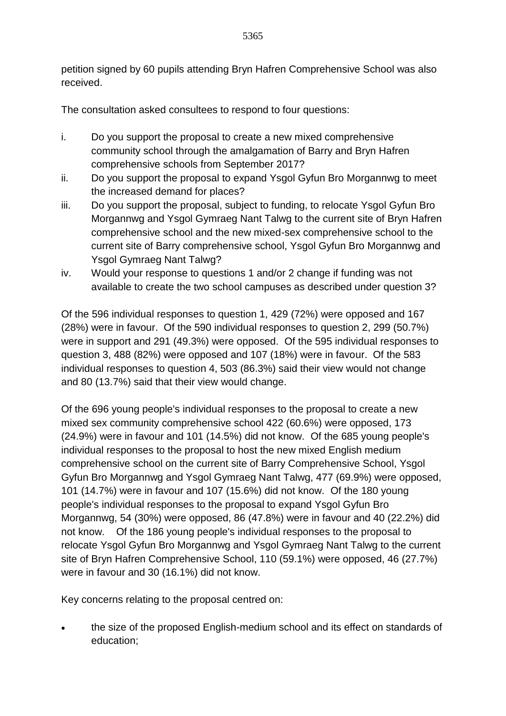petition signed by 60 pupils attending Bryn Hafren Comprehensive School was also received.

The consultation asked consultees to respond to four questions:

- i. Do you support the proposal to create a new mixed comprehensive community school through the amalgamation of Barry and Bryn Hafren comprehensive schools from September 2017?
- ii. Do you support the proposal to expand Ysgol Gyfun Bro Morgannwg to meet the increased demand for places?
- iii. Do you support the proposal, subject to funding, to relocate Ysgol Gyfun Bro Morgannwg and Ysgol Gymraeg Nant Talwg to the current site of Bryn Hafren comprehensive school and the new mixed-sex comprehensive school to the current site of Barry comprehensive school, Ysgol Gyfun Bro Morgannwg and Ysgol Gymraeg Nant Talwg?
- iv. Would your response to questions 1 and/or 2 change if funding was not available to create the two school campuses as described under question 3?

Of the 596 individual responses to question 1, 429 (72%) were opposed and 167 (28%) were in favour. Of the 590 individual responses to question 2, 299 (50.7%) were in support and 291 (49.3%) were opposed. Of the 595 individual responses to question 3, 488 (82%) were opposed and 107 (18%) were in favour. Of the 583 individual responses to question 4, 503 (86.3%) said their view would not change and 80 (13.7%) said that their view would change.

Of the 696 young people's individual responses to the proposal to create a new mixed sex community comprehensive school 422 (60.6%) were opposed, 173 (24.9%) were in favour and 101 (14.5%) did not know. Of the 685 young people's individual responses to the proposal to host the new mixed English medium comprehensive school on the current site of Barry Comprehensive School, Ysgol Gyfun Bro Morgannwg and Ysgol Gymraeg Nant Talwg, 477 (69.9%) were opposed, 101 (14.7%) were in favour and 107 (15.6%) did not know. Of the 180 young people's individual responses to the proposal to expand Ysgol Gyfun Bro Morgannwg, 54 (30%) were opposed, 86 (47.8%) were in favour and 40 (22.2%) did not know. Of the 186 young people's individual responses to the proposal to relocate Ysgol Gyfun Bro Morgannwg and Ysgol Gymraeg Nant Talwg to the current site of Bryn Hafren Comprehensive School, 110 (59.1%) were opposed, 46 (27.7%) were in favour and 30 (16.1%) did not know.

Key concerns relating to the proposal centred on:

 the size of the proposed English-medium school and its effect on standards of education;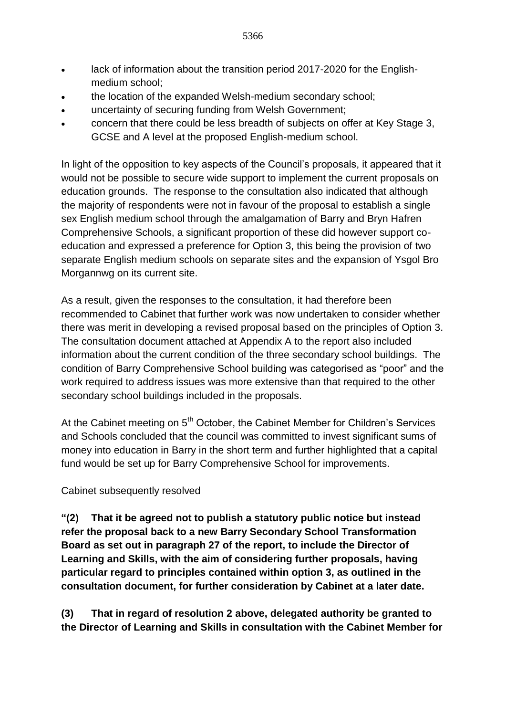- lack of information about the transition period 2017-2020 for the Englishmedium school;
- the location of the expanded Welsh-medium secondary school;
- uncertainty of securing funding from Welsh Government;
- concern that there could be less breadth of subjects on offer at Key Stage 3, GCSE and A level at the proposed English-medium school.

In light of the opposition to key aspects of the Council's proposals, it appeared that it would not be possible to secure wide support to implement the current proposals on education grounds. The response to the consultation also indicated that although the majority of respondents were not in favour of the proposal to establish a single sex English medium school through the amalgamation of Barry and Bryn Hafren Comprehensive Schools, a significant proportion of these did however support coeducation and expressed a preference for Option 3, this being the provision of two separate English medium schools on separate sites and the expansion of Ysgol Bro Morgannwg on its current site.

As a result, given the responses to the consultation, it had therefore been recommended to Cabinet that further work was now undertaken to consider whether there was merit in developing a revised proposal based on the principles of Option 3. The consultation document attached at Appendix A to the report also included information about the current condition of the three secondary school buildings. The condition of Barry Comprehensive School building was categorised as "poor" and the work required to address issues was more extensive than that required to the other secondary school buildings included in the proposals.

At the Cabinet meeting on  $5<sup>th</sup>$  October, the Cabinet Member for Children's Services and Schools concluded that the council was committed to invest significant sums of money into education in Barry in the short term and further highlighted that a capital fund would be set up for Barry Comprehensive School for improvements.

Cabinet subsequently resolved

**"(2) That it be agreed not to publish a statutory public notice but instead refer the proposal back to a new Barry Secondary School Transformation Board as set out in paragraph 27 of the report, to include the Director of Learning and Skills, with the aim of considering further proposals, having particular regard to principles contained within option 3, as outlined in the consultation document, for further consideration by Cabinet at a later date.**

**(3) That in regard of resolution 2 above, delegated authority be granted to the Director of Learning and Skills in consultation with the Cabinet Member for**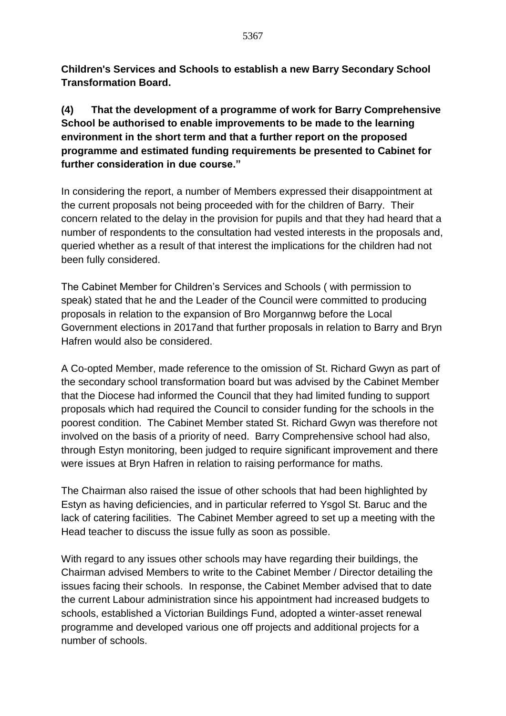**Children's Services and Schools to establish a new Barry Secondary School Transformation Board.**

## **(4) That the development of a programme of work for Barry Comprehensive School be authorised to enable improvements to be made to the learning environment in the short term and that a further report on the proposed programme and estimated funding requirements be presented to Cabinet for further consideration in due course."**

In considering the report, a number of Members expressed their disappointment at the current proposals not being proceeded with for the children of Barry. Their concern related to the delay in the provision for pupils and that they had heard that a number of respondents to the consultation had vested interests in the proposals and, queried whether as a result of that interest the implications for the children had not been fully considered.

The Cabinet Member for Children's Services and Schools ( with permission to speak) stated that he and the Leader of the Council were committed to producing proposals in relation to the expansion of Bro Morgannwg before the Local Government elections in 2017and that further proposals in relation to Barry and Bryn Hafren would also be considered.

A Co-opted Member, made reference to the omission of St. Richard Gwyn as part of the secondary school transformation board but was advised by the Cabinet Member that the Diocese had informed the Council that they had limited funding to support proposals which had required the Council to consider funding for the schools in the poorest condition. The Cabinet Member stated St. Richard Gwyn was therefore not involved on the basis of a priority of need. Barry Comprehensive school had also, through Estyn monitoring, been judged to require significant improvement and there were issues at Bryn Hafren in relation to raising performance for maths.

The Chairman also raised the issue of other schools that had been highlighted by Estyn as having deficiencies, and in particular referred to Ysgol St. Baruc and the lack of catering facilities. The Cabinet Member agreed to set up a meeting with the Head teacher to discuss the issue fully as soon as possible.

With regard to any issues other schools may have regarding their buildings, the Chairman advised Members to write to the Cabinet Member / Director detailing the issues facing their schools. In response, the Cabinet Member advised that to date the current Labour administration since his appointment had increased budgets to schools, established a Victorian Buildings Fund, adopted a winter-asset renewal programme and developed various one off projects and additional projects for a number of schools.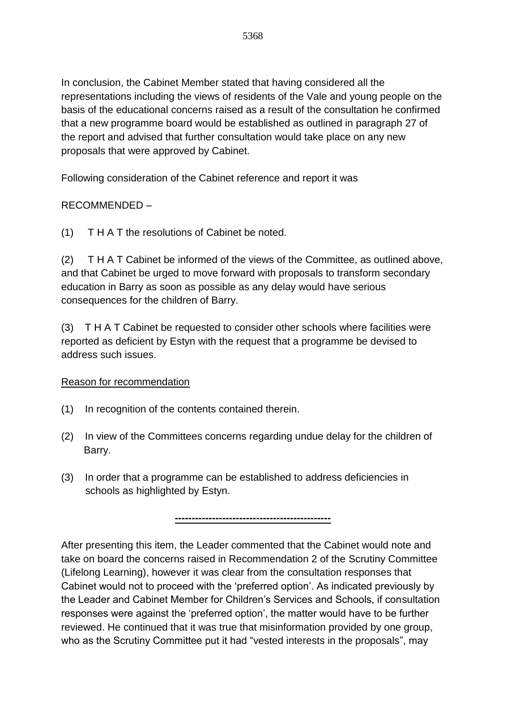In conclusion, the Cabinet Member stated that having considered all the representations including the views of residents of the Vale and young people on the basis of the educational concerns raised as a result of the consultation he confirmed that a new programme board would be established as outlined in paragraph 27 of the report and advised that further consultation would take place on any new proposals that were approved by Cabinet.

Following consideration of the Cabinet reference and report it was

## RECOMMENDED –

(1) T H A T the resolutions of Cabinet be noted.

(2) T H A T Cabinet be informed of the views of the Committee, as outlined above, and that Cabinet be urged to move forward with proposals to transform secondary education in Barry as soon as possible as any delay would have serious consequences for the children of Barry.

(3) T H A T Cabinet be requested to consider other schools where facilities were reported as deficient by Estyn with the request that a programme be devised to address such issues.

### Reason for recommendation

- (1) In recognition of the contents contained therein.
- (2) In view of the Committees concerns regarding undue delay for the children of Barry.
- (3) In order that a programme can be established to address deficiencies in schools as highlighted by Estyn.

**----------------------------------------------**

After presenting this item, the Leader commented that the Cabinet would note and take on board the concerns raised in Recommendation 2 of the Scrutiny Committee (Lifelong Learning), however it was clear from the consultation responses that Cabinet would not to proceed with the 'preferred option'. As indicated previously by the Leader and Cabinet Member for Children's Services and Schools, if consultation responses were against the 'preferred option', the matter would have to be further reviewed. He continued that it was true that misinformation provided by one group, who as the Scrutiny Committee put it had "vested interests in the proposals", may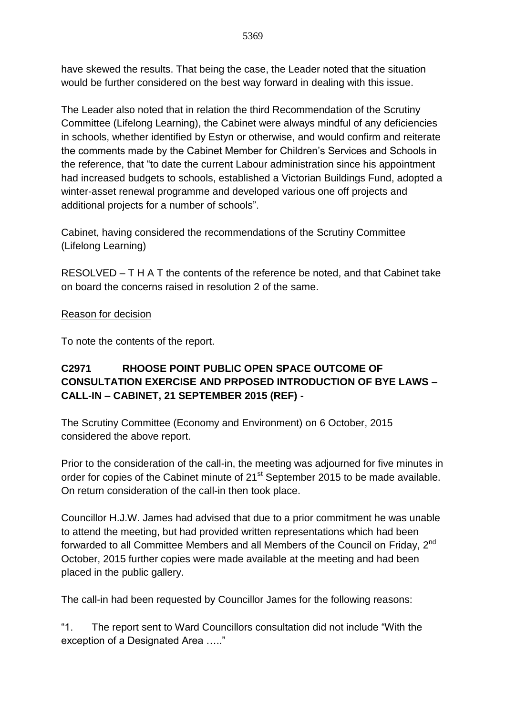have skewed the results. That being the case, the Leader noted that the situation would be further considered on the best way forward in dealing with this issue.

The Leader also noted that in relation the third Recommendation of the Scrutiny Committee (Lifelong Learning), the Cabinet were always mindful of any deficiencies in schools, whether identified by Estyn or otherwise, and would confirm and reiterate the comments made by the Cabinet Member for Children's Services and Schools in the reference, that "to date the current Labour administration since his appointment had increased budgets to schools, established a Victorian Buildings Fund, adopted a winter-asset renewal programme and developed various one off projects and additional projects for a number of schools".

Cabinet, having considered the recommendations of the Scrutiny Committee (Lifelong Learning)

RESOLVED – T H A T the contents of the reference be noted, and that Cabinet take on board the concerns raised in resolution 2 of the same.

### Reason for decision

To note the contents of the report.

## **C2971 RHOOSE POINT PUBLIC OPEN SPACE OUTCOME OF CONSULTATION EXERCISE AND PRPOSED INTRODUCTION OF BYE LAWS – CALL-IN – CABINET, 21 SEPTEMBER 2015 (REF) -**

The Scrutiny Committee (Economy and Environment) on 6 October, 2015 considered the above report.

Prior to the consideration of the call-in, the meeting was adjourned for five minutes in order for copies of the Cabinet minute of 21<sup>st</sup> September 2015 to be made available. On return consideration of the call-in then took place.

Councillor H.J.W. James had advised that due to a prior commitment he was unable to attend the meeting, but had provided written representations which had been forwarded to all Committee Members and all Members of the Council on Friday, 2<sup>nd</sup> October, 2015 further copies were made available at the meeting and had been placed in the public gallery.

The call-in had been requested by Councillor James for the following reasons:

"1. The report sent to Ward Councillors consultation did not include "With the exception of a Designated Area ….."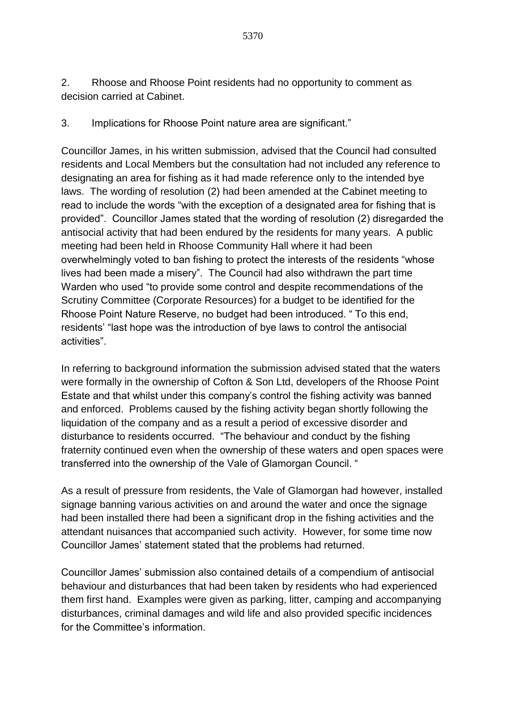2. Rhoose and Rhoose Point residents had no opportunity to comment as decision carried at Cabinet.

3. Implications for Rhoose Point nature area are significant."

Councillor James, in his written submission, advised that the Council had consulted residents and Local Members but the consultation had not included any reference to designating an area for fishing as it had made reference only to the intended bye laws. The wording of resolution (2) had been amended at the Cabinet meeting to read to include the words "with the exception of a designated area for fishing that is provided". Councillor James stated that the wording of resolution (2) disregarded the antisocial activity that had been endured by the residents for many years. A public meeting had been held in Rhoose Community Hall where it had been overwhelmingly voted to ban fishing to protect the interests of the residents "whose lives had been made a misery". The Council had also withdrawn the part time Warden who used "to provide some control and despite recommendations of the Scrutiny Committee (Corporate Resources) for a budget to be identified for the Rhoose Point Nature Reserve, no budget had been introduced. " To this end, residents' "last hope was the introduction of bye laws to control the antisocial activities".

In referring to background information the submission advised stated that the waters were formally in the ownership of Cofton & Son Ltd, developers of the Rhoose Point Estate and that whilst under this company's control the fishing activity was banned and enforced. Problems caused by the fishing activity began shortly following the liquidation of the company and as a result a period of excessive disorder and disturbance to residents occurred. "The behaviour and conduct by the fishing fraternity continued even when the ownership of these waters and open spaces were transferred into the ownership of the Vale of Glamorgan Council. "

As a result of pressure from residents, the Vale of Glamorgan had however, installed signage banning various activities on and around the water and once the signage had been installed there had been a significant drop in the fishing activities and the attendant nuisances that accompanied such activity. However, for some time now Councillor James' statement stated that the problems had returned.

Councillor James' submission also contained details of a compendium of antisocial behaviour and disturbances that had been taken by residents who had experienced them first hand. Examples were given as parking, litter, camping and accompanying disturbances, criminal damages and wild life and also provided specific incidences for the Committee's information.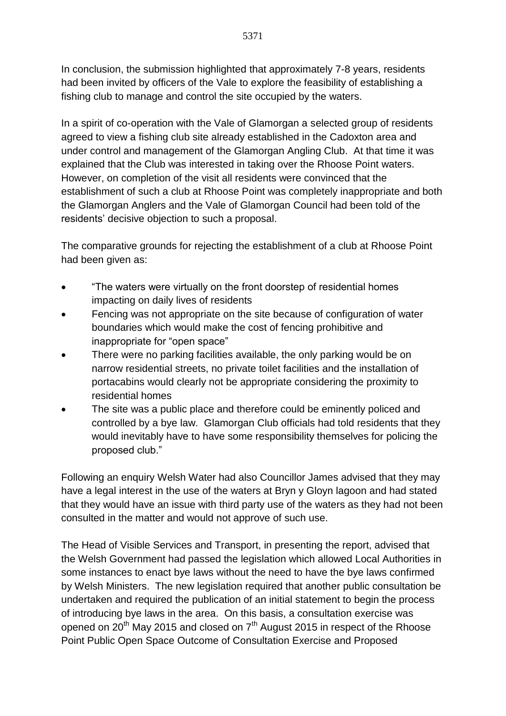In conclusion, the submission highlighted that approximately 7-8 years, residents had been invited by officers of the Vale to explore the feasibility of establishing a fishing club to manage and control the site occupied by the waters.

In a spirit of co-operation with the Vale of Glamorgan a selected group of residents agreed to view a fishing club site already established in the Cadoxton area and under control and management of the Glamorgan Angling Club. At that time it was explained that the Club was interested in taking over the Rhoose Point waters. However, on completion of the visit all residents were convinced that the establishment of such a club at Rhoose Point was completely inappropriate and both the Glamorgan Anglers and the Vale of Glamorgan Council had been told of the residents' decisive objection to such a proposal.

The comparative grounds for rejecting the establishment of a club at Rhoose Point had been given as:

- "The waters were virtually on the front doorstep of residential homes impacting on daily lives of residents
- Fencing was not appropriate on the site because of configuration of water boundaries which would make the cost of fencing prohibitive and inappropriate for "open space"
- There were no parking facilities available, the only parking would be on narrow residential streets, no private toilet facilities and the installation of portacabins would clearly not be appropriate considering the proximity to residential homes
- The site was a public place and therefore could be eminently policed and controlled by a bye law. Glamorgan Club officials had told residents that they would inevitably have to have some responsibility themselves for policing the proposed club."

Following an enquiry Welsh Water had also Councillor James advised that they may have a legal interest in the use of the waters at Bryn y Gloyn lagoon and had stated that they would have an issue with third party use of the waters as they had not been consulted in the matter and would not approve of such use.

The Head of Visible Services and Transport, in presenting the report, advised that the Welsh Government had passed the legislation which allowed Local Authorities in some instances to enact bye laws without the need to have the bye laws confirmed by Welsh Ministers. The new legislation required that another public consultation be undertaken and required the publication of an initial statement to begin the process of introducing bye laws in the area. On this basis, a consultation exercise was opened on 20<sup>th</sup> May 2015 and closed on  $7<sup>th</sup>$  August 2015 in respect of the Rhoose Point Public Open Space Outcome of Consultation Exercise and Proposed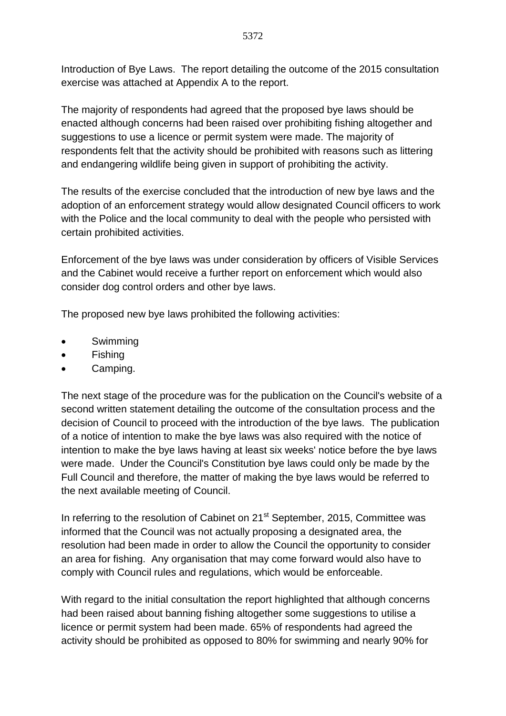Introduction of Bye Laws. The report detailing the outcome of the 2015 consultation exercise was attached at Appendix A to the report.

The majority of respondents had agreed that the proposed bye laws should be enacted although concerns had been raised over prohibiting fishing altogether and suggestions to use a licence or permit system were made. The majority of respondents felt that the activity should be prohibited with reasons such as littering and endangering wildlife being given in support of prohibiting the activity.

The results of the exercise concluded that the introduction of new bye laws and the adoption of an enforcement strategy would allow designated Council officers to work with the Police and the local community to deal with the people who persisted with certain prohibited activities.

Enforcement of the bye laws was under consideration by officers of Visible Services and the Cabinet would receive a further report on enforcement which would also consider dog control orders and other bye laws.

The proposed new bye laws prohibited the following activities:

- Swimming
- Fishing
- Camping.

The next stage of the procedure was for the publication on the Council's website of a second written statement detailing the outcome of the consultation process and the decision of Council to proceed with the introduction of the bye laws. The publication of a notice of intention to make the bye laws was also required with the notice of intention to make the bye laws having at least six weeks' notice before the bye laws were made. Under the Council's Constitution bye laws could only be made by the Full Council and therefore, the matter of making the bye laws would be referred to the next available meeting of Council.

In referring to the resolution of Cabinet on 21<sup>st</sup> September, 2015, Committee was informed that the Council was not actually proposing a designated area, the resolution had been made in order to allow the Council the opportunity to consider an area for fishing. Any organisation that may come forward would also have to comply with Council rules and regulations, which would be enforceable.

With regard to the initial consultation the report highlighted that although concerns had been raised about banning fishing altogether some suggestions to utilise a licence or permit system had been made. 65% of respondents had agreed the activity should be prohibited as opposed to 80% for swimming and nearly 90% for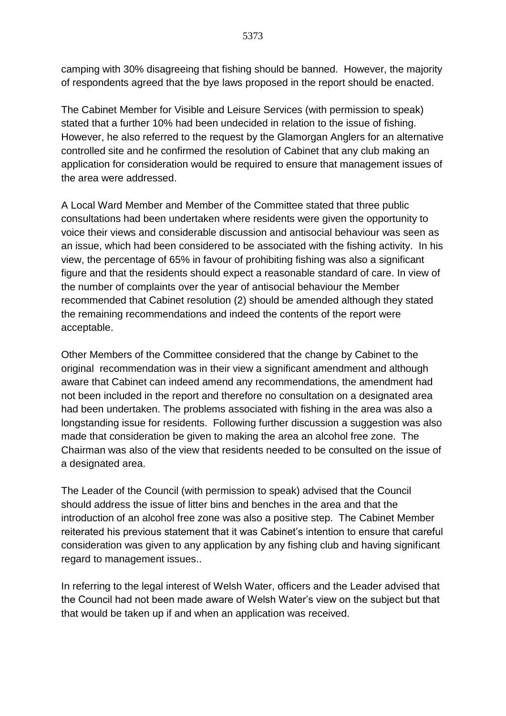camping with 30% disagreeing that fishing should be banned. However, the majority of respondents agreed that the bye laws proposed in the report should be enacted.

The Cabinet Member for Visible and Leisure Services (with permission to speak) stated that a further 10% had been undecided in relation to the issue of fishing. However, he also referred to the request by the Glamorgan Anglers for an alternative controlled site and he confirmed the resolution of Cabinet that any club making an application for consideration would be required to ensure that management issues of the area were addressed.

A Local Ward Member and Member of the Committee stated that three public consultations had been undertaken where residents were given the opportunity to voice their views and considerable discussion and antisocial behaviour was seen as an issue, which had been considered to be associated with the fishing activity. In his view, the percentage of 65% in favour of prohibiting fishing was also a significant figure and that the residents should expect a reasonable standard of care. In view of the number of complaints over the year of antisocial behaviour the Member recommended that Cabinet resolution (2) should be amended although they stated the remaining recommendations and indeed the contents of the report were acceptable.

Other Members of the Committee considered that the change by Cabinet to the original recommendation was in their view a significant amendment and although aware that Cabinet can indeed amend any recommendations, the amendment had not been included in the report and therefore no consultation on a designated area had been undertaken. The problems associated with fishing in the area was also a longstanding issue for residents. Following further discussion a suggestion was also made that consideration be given to making the area an alcohol free zone. The Chairman was also of the view that residents needed to be consulted on the issue of a designated area.

The Leader of the Council (with permission to speak) advised that the Council should address the issue of litter bins and benches in the area and that the introduction of an alcohol free zone was also a positive step. The Cabinet Member reiterated his previous statement that it was Cabinet's intention to ensure that careful consideration was given to any application by any fishing club and having significant regard to management issues..

In referring to the legal interest of Welsh Water, officers and the Leader advised that the Council had not been made aware of Welsh Water's view on the subject but that that would be taken up if and when an application was received.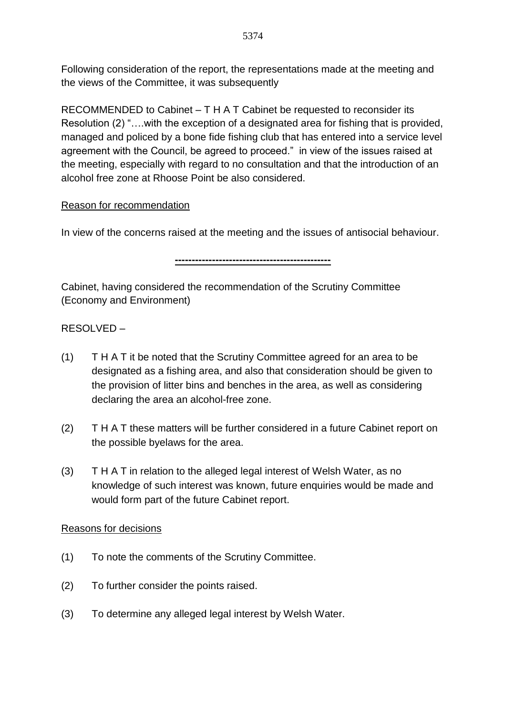Following consideration of the report, the representations made at the meeting and the views of the Committee, it was subsequently

RECOMMENDED to Cabinet – T H A T Cabinet be requested to reconsider its Resolution (2) "….with the exception of a designated area for fishing that is provided, managed and policed by a bone fide fishing club that has entered into a service level agreement with the Council, be agreed to proceed." in view of the issues raised at the meeting, especially with regard to no consultation and that the introduction of an alcohol free zone at Rhoose Point be also considered.

### Reason for recommendation

In view of the concerns raised at the meeting and the issues of antisocial behaviour.

**----------------------------------------------**

Cabinet, having considered the recommendation of the Scrutiny Committee (Economy and Environment)

## RESOLVED –

- (1) T H A T it be noted that the Scrutiny Committee agreed for an area to be designated as a fishing area, and also that consideration should be given to the provision of litter bins and benches in the area, as well as considering declaring the area an alcohol-free zone.
- (2) T H A T these matters will be further considered in a future Cabinet report on the possible byelaws for the area.
- (3) T H A T in relation to the alleged legal interest of Welsh Water, as no knowledge of such interest was known, future enquiries would be made and would form part of the future Cabinet report.

### Reasons for decisions

- (1) To note the comments of the Scrutiny Committee.
- (2) To further consider the points raised.
- (3) To determine any alleged legal interest by Welsh Water.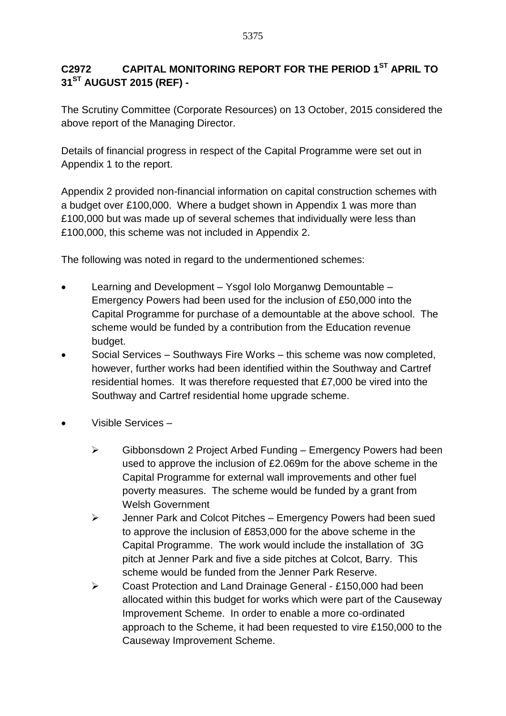# **C2972 CAPITAL MONITORING REPORT FOR THE PERIOD 1ST APRIL TO 31ST AUGUST 2015 (REF) -**

The Scrutiny Committee (Corporate Resources) on 13 October, 2015 considered the above report of the Managing Director.

Details of financial progress in respect of the Capital Programme were set out in Appendix 1 to the report.

Appendix 2 provided non-financial information on capital construction schemes with a budget over £100,000. Where a budget shown in Appendix 1 was more than £100,000 but was made up of several schemes that individually were less than £100,000, this scheme was not included in Appendix 2.

The following was noted in regard to the undermentioned schemes:

- Learning and Development Ysgol Iolo Morganwg Demountable Emergency Powers had been used for the inclusion of £50,000 into the Capital Programme for purchase of a demountable at the above school. The scheme would be funded by a contribution from the Education revenue budget.
- Social Services Southways Fire Works this scheme was now completed, however, further works had been identified within the Southway and Cartref residential homes. It was therefore requested that £7,000 be vired into the Southway and Cartref residential home upgrade scheme.
- Visible Services
	- $\triangleright$  Gibbonsdown 2 Project Arbed Funding Emergency Powers had been used to approve the inclusion of £2.069m for the above scheme in the Capital Programme for external wall improvements and other fuel poverty measures. The scheme would be funded by a grant from Welsh Government
	- $\triangleright$  Jenner Park and Colcot Pitches Emergency Powers had been sued to approve the inclusion of £853,000 for the above scheme in the Capital Programme. The work would include the installation of 3G pitch at Jenner Park and five a side pitches at Colcot, Barry. This scheme would be funded from the Jenner Park Reserve.
	- Coast Protection and Land Drainage General £150,000 had been allocated within this budget for works which were part of the Causeway Improvement Scheme. In order to enable a more co-ordinated approach to the Scheme, it had been requested to vire £150,000 to the Causeway Improvement Scheme.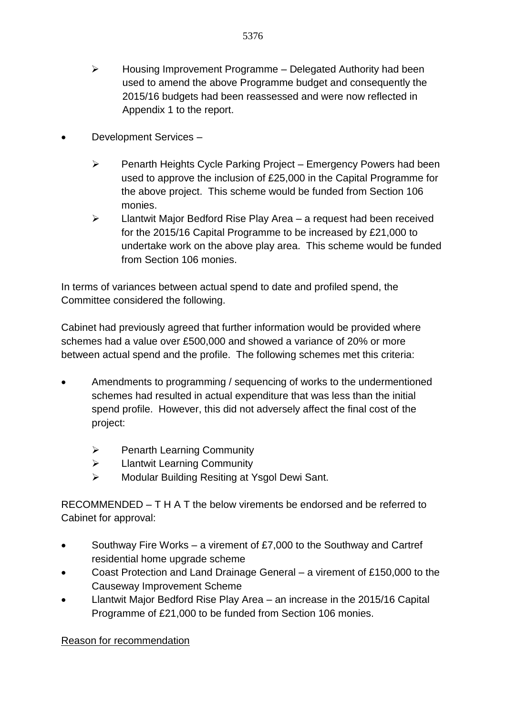- $\triangleright$  Housing Improvement Programme Delegated Authority had been used to amend the above Programme budget and consequently the 2015/16 budgets had been reassessed and were now reflected in Appendix 1 to the report.
- Development Services
	- $\triangleright$  Penarth Heights Cycle Parking Project Emergency Powers had been used to approve the inclusion of £25,000 in the Capital Programme for the above project. This scheme would be funded from Section 106 monies.
	- $\triangleright$  Llantwit Major Bedford Rise Play Area a request had been received for the 2015/16 Capital Programme to be increased by £21,000 to undertake work on the above play area. This scheme would be funded from Section 106 monies.

In terms of variances between actual spend to date and profiled spend, the Committee considered the following.

Cabinet had previously agreed that further information would be provided where schemes had a value over £500,000 and showed a variance of 20% or more between actual spend and the profile. The following schemes met this criteria:

- Amendments to programming / sequencing of works to the undermentioned schemes had resulted in actual expenditure that was less than the initial spend profile. However, this did not adversely affect the final cost of the project:
	- $\triangleright$  Penarth Learning Community
	- **Example 2** Llantwit Learning Community
	- Modular Building Resiting at Ysgol Dewi Sant.

RECOMMENDED – T H A T the below virements be endorsed and be referred to Cabinet for approval:

- Southway Fire Works a virement of £7,000 to the Southway and Cartref residential home upgrade scheme
- Coast Protection and Land Drainage General a virement of £150,000 to the Causeway Improvement Scheme
- Llantwit Major Bedford Rise Play Area an increase in the 2015/16 Capital Programme of £21,000 to be funded from Section 106 monies.

Reason for recommendation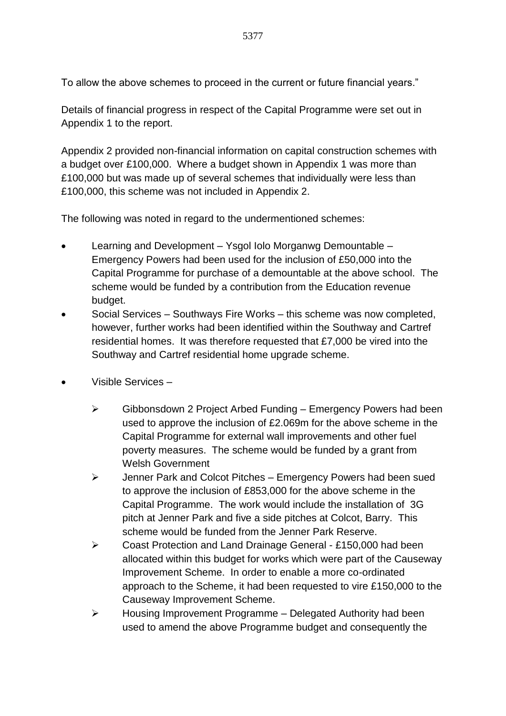To allow the above schemes to proceed in the current or future financial years."

Details of financial progress in respect of the Capital Programme were set out in Appendix 1 to the report.

Appendix 2 provided non-financial information on capital construction schemes with a budget over £100,000. Where a budget shown in Appendix 1 was more than £100,000 but was made up of several schemes that individually were less than £100,000, this scheme was not included in Appendix 2.

The following was noted in regard to the undermentioned schemes:

- Learning and Development Ysgol Iolo Morganwg Demountable Emergency Powers had been used for the inclusion of £50,000 into the Capital Programme for purchase of a demountable at the above school. The scheme would be funded by a contribution from the Education revenue budget.
- Social Services Southways Fire Works this scheme was now completed, however, further works had been identified within the Southway and Cartref residential homes. It was therefore requested that £7,000 be vired into the Southway and Cartref residential home upgrade scheme.
- Visible Services
	- $\triangleright$  Gibbonsdown 2 Project Arbed Funding Emergency Powers had been used to approve the inclusion of £2.069m for the above scheme in the Capital Programme for external wall improvements and other fuel poverty measures. The scheme would be funded by a grant from Welsh Government
	- $\triangleright$  Jenner Park and Colcot Pitches Emergency Powers had been sued to approve the inclusion of £853,000 for the above scheme in the Capital Programme. The work would include the installation of 3G pitch at Jenner Park and five a side pitches at Colcot, Barry. This scheme would be funded from the Jenner Park Reserve.
	- Coast Protection and Land Drainage General £150,000 had been allocated within this budget for works which were part of the Causeway Improvement Scheme. In order to enable a more co-ordinated approach to the Scheme, it had been requested to vire £150,000 to the Causeway Improvement Scheme.
	- $\triangleright$  Housing Improvement Programme Delegated Authority had been used to amend the above Programme budget and consequently the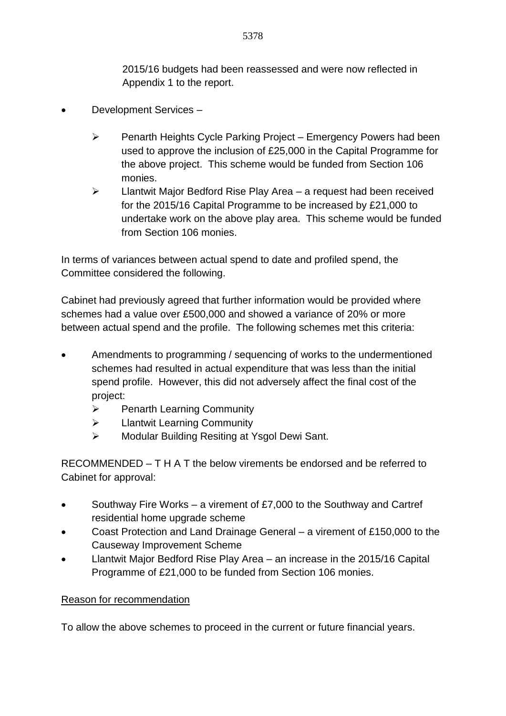2015/16 budgets had been reassessed and were now reflected in Appendix 1 to the report.

- Development Services
	- $\triangleright$  Penarth Heights Cycle Parking Project Emergency Powers had been used to approve the inclusion of £25,000 in the Capital Programme for the above project. This scheme would be funded from Section 106 monies.
	- $\triangleright$  Llantwit Major Bedford Rise Play Area a request had been received for the 2015/16 Capital Programme to be increased by £21,000 to undertake work on the above play area. This scheme would be funded from Section 106 monies.

In terms of variances between actual spend to date and profiled spend, the Committee considered the following.

Cabinet had previously agreed that further information would be provided where schemes had a value over £500,000 and showed a variance of 20% or more between actual spend and the profile. The following schemes met this criteria:

- Amendments to programming / sequencing of works to the undermentioned schemes had resulted in actual expenditure that was less than the initial spend profile. However, this did not adversely affect the final cost of the project:
	- $\triangleright$  Penarth Learning Community
	- > Llantwit Learning Community
	- Modular Building Resiting at Ysgol Dewi Sant.

RECOMMENDED – T H A T the below virements be endorsed and be referred to Cabinet for approval:

- Southway Fire Works a virement of £7,000 to the Southway and Cartref residential home upgrade scheme
- Coast Protection and Land Drainage General a virement of £150,000 to the Causeway Improvement Scheme
- Llantwit Major Bedford Rise Play Area an increase in the 2015/16 Capital Programme of £21,000 to be funded from Section 106 monies.

### Reason for recommendation

To allow the above schemes to proceed in the current or future financial years.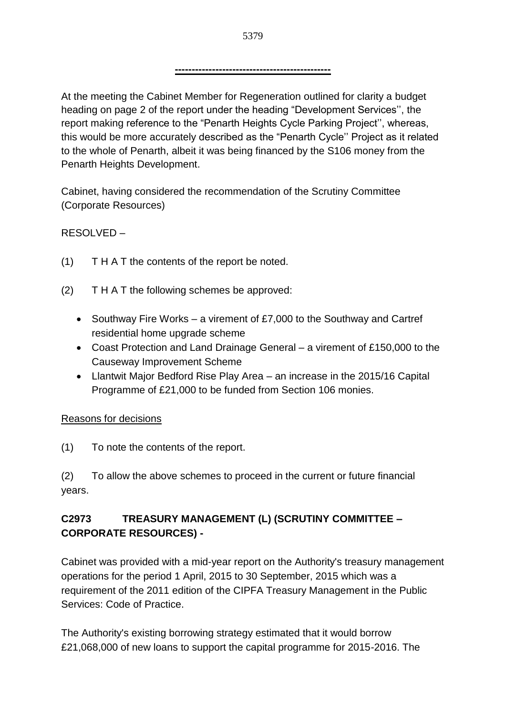At the meeting the Cabinet Member for Regeneration outlined for clarity a budget heading on page 2 of the report under the heading "Development Services'', the report making reference to the "Penarth Heights Cycle Parking Project'', whereas, this would be more accurately described as the "Penarth Cycle'' Project as it related to the whole of Penarth, albeit it was being financed by the S106 money from the Penarth Heights Development.

Cabinet, having considered the recommendation of the Scrutiny Committee (Corporate Resources)

RESOLVED –

- (1) T H A T the contents of the report be noted.
- (2) T H A T the following schemes be approved:
	- Southway Fire Works a virement of £7,000 to the Southway and Cartref residential home upgrade scheme
	- Coast Protection and Land Drainage General a virement of £150,000 to the Causeway Improvement Scheme
	- Llantwit Major Bedford Rise Play Area an increase in the 2015/16 Capital Programme of £21,000 to be funded from Section 106 monies.

## Reasons for decisions

(1) To note the contents of the report.

(2) To allow the above schemes to proceed in the current or future financial years.

# **C2973 TREASURY MANAGEMENT (L) (SCRUTINY COMMITTEE – CORPORATE RESOURCES) -**

Cabinet was provided with a mid-year report on the Authority's treasury management operations for the period 1 April, 2015 to 30 September, 2015 which was a requirement of the 2011 edition of the CIPFA Treasury Management in the Public Services: Code of Practice.

The Authority's existing borrowing strategy estimated that it would borrow £21,068,000 of new loans to support the capital programme for 2015-2016. The

**----------------------------------------------**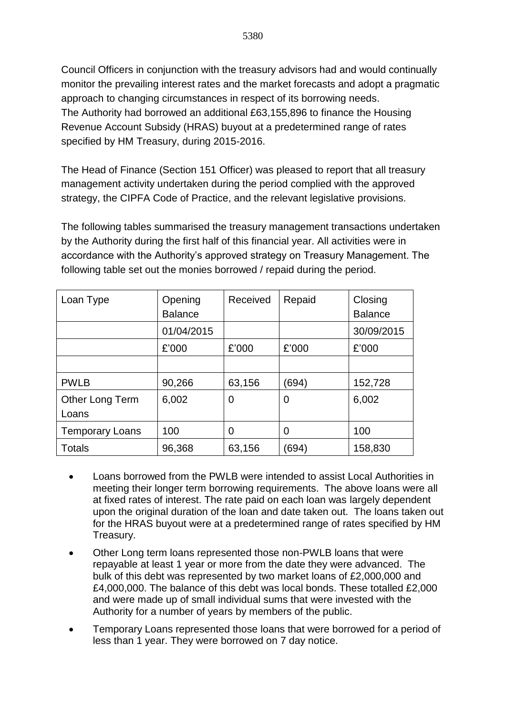Council Officers in conjunction with the treasury advisors had and would continually monitor the prevailing interest rates and the market forecasts and adopt a pragmatic approach to changing circumstances in respect of its borrowing needs. The Authority had borrowed an additional £63,155,896 to finance the Housing Revenue Account Subsidy (HRAS) buyout at a predetermined range of rates specified by HM Treasury, during 2015-2016.

The Head of Finance (Section 151 Officer) was pleased to report that all treasury management activity undertaken during the period complied with the approved strategy, the CIPFA Code of Practice, and the relevant legislative provisions.

The following tables summarised the treasury management transactions undertaken by the Authority during the first half of this financial year. All activities were in accordance with the Authority's approved strategy on Treasury Management. The following table set out the monies borrowed / repaid during the period.

| Loan Type                       | Opening<br><b>Balance</b> | Received | Repaid         | Closing<br><b>Balance</b> |
|---------------------------------|---------------------------|----------|----------------|---------------------------|
|                                 | 01/04/2015                |          |                | 30/09/2015                |
|                                 | £'000                     | £'000    | £'000          | £'000                     |
|                                 |                           |          |                |                           |
| <b>PWLB</b>                     | 90,266                    | 63,156   | (694)          | 152,728                   |
| <b>Other Long Term</b><br>Loans | 6,002                     | 0        | $\overline{0}$ | 6,002                     |
| <b>Temporary Loans</b>          | 100                       | 0        | 0              | 100                       |
| <b>Totals</b>                   | 96,368                    | 63,156   | (694)          | 158,830                   |

- Loans borrowed from the PWLB were intended to assist Local Authorities in meeting their longer term borrowing requirements. The above loans were all at fixed rates of interest. The rate paid on each loan was largely dependent upon the original duration of the loan and date taken out. The loans taken out for the HRAS buyout were at a predetermined range of rates specified by HM Treasury.
- Other Long term loans represented those non-PWLB loans that were repayable at least 1 year or more from the date they were advanced. The bulk of this debt was represented by two market loans of £2,000,000 and £4,000,000. The balance of this debt was local bonds. These totalled £2,000 and were made up of small individual sums that were invested with the Authority for a number of years by members of the public.
- Temporary Loans represented those loans that were borrowed for a period of less than 1 year. They were borrowed on 7 day notice.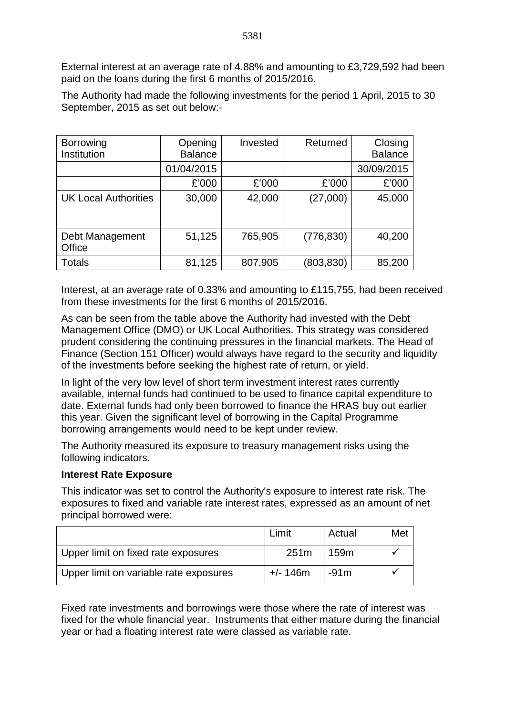External interest at an average rate of 4.88% and amounting to £3,729,592 had been paid on the loans during the first 6 months of 2015/2016.

The Authority had made the following investments for the period 1 April, 2015 to 30 September, 2015 as set out below:-

| <b>Borrowing</b><br>Institution | Opening<br><b>Balance</b> | Invested | Returned   | Closing<br><b>Balance</b> |
|---------------------------------|---------------------------|----------|------------|---------------------------|
|                                 | 01/04/2015                |          |            | 30/09/2015                |
|                                 | £'000                     | £'000    | £'000      | £'000                     |
| <b>UK Local Authorities</b>     | 30,000                    | 42,000   | (27,000)   | 45,000                    |
| Debt Management<br>Office       | 51,125                    | 765,905  | (776, 830) | 40,200                    |
| Totals                          | 81,125                    | 807,905  | (803, 830) | 85,200                    |

Interest, at an average rate of 0.33% and amounting to £115,755, had been received from these investments for the first 6 months of 2015/2016.

As can be seen from the table above the Authority had invested with the Debt Management Office (DMO) or UK Local Authorities. This strategy was considered prudent considering the continuing pressures in the financial markets. The Head of Finance (Section 151 Officer) would always have regard to the security and liquidity of the investments before seeking the highest rate of return, or yield.

In light of the very low level of short term investment interest rates currently available, internal funds had continued to be used to finance capital expenditure to date. External funds had only been borrowed to finance the HRAS buy out earlier this year. Given the significant level of borrowing in the Capital Programme borrowing arrangements would need to be kept under review.

The Authority measured its exposure to treasury management risks using the following indicators.

#### **Interest Rate Exposure**

This indicator was set to control the Authority's exposure to interest rate risk. The exposures to fixed and variable rate interest rates, expressed as an amount of net principal borrowed were:

|                                        | Limit            | Actual           | Met |
|----------------------------------------|------------------|------------------|-----|
| Upper limit on fixed rate exposures    | 251 <sub>m</sub> | 159 <sub>m</sub> |     |
| Upper limit on variable rate exposures | $+/- 146$ m      | $-91m$           |     |

Fixed rate investments and borrowings were those where the rate of interest was fixed for the whole financial year. Instruments that either mature during the financial year or had a floating interest rate were classed as variable rate.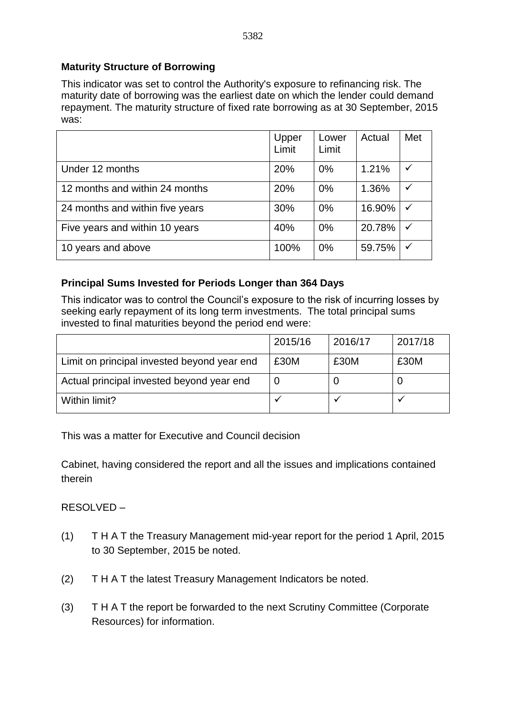#### **Maturity Structure of Borrowing**

This indicator was set to control the Authority's exposure to refinancing risk. The maturity date of borrowing was the earliest date on which the lender could demand repayment. The maturity structure of fixed rate borrowing as at 30 September, 2015 was:

|                                 | Upper<br>Limit | Lower<br>Limit | Actual | Met          |
|---------------------------------|----------------|----------------|--------|--------------|
| Under 12 months                 | 20%            | $0\%$          | 1.21%  | $\checkmark$ |
| 12 months and within 24 months  | 20%            | $0\%$          | 1.36%  | ✓            |
| 24 months and within five years | 30%            | $0\%$          | 16.90% | ✓            |
| Five years and within 10 years  | 40%            | $0\%$          | 20.78% | $\checkmark$ |
| 10 years and above              | 100%           | $0\%$          | 59.75% |              |

#### **Principal Sums Invested for Periods Longer than 364 Days**

This indicator was to control the Council's exposure to the risk of incurring losses by seeking early repayment of its long term investments. The total principal sums invested to final maturities beyond the period end were:

|                                             | 2015/16 | 2016/17 | 2017/18 |
|---------------------------------------------|---------|---------|---------|
| Limit on principal invested beyond year end | £30M    | £30M    | £30M    |
| Actual principal invested beyond year end   |         |         |         |
| Within limit?                               |         |         |         |

This was a matter for Executive and Council decision

Cabinet, having considered the report and all the issues and implications contained therein

RESOLVED –

- (1) T H A T the Treasury Management mid-year report for the period 1 April, 2015 to 30 September, 2015 be noted.
- (2) T H A T the latest Treasury Management Indicators be noted.
- (3) T H A T the report be forwarded to the next Scrutiny Committee (Corporate Resources) for information.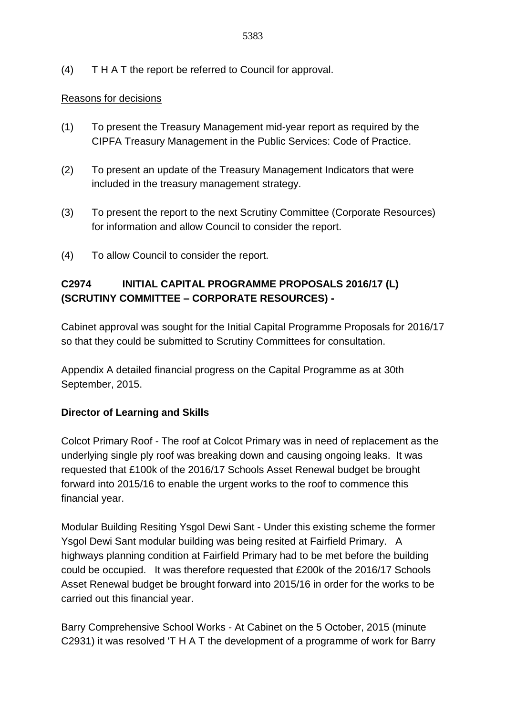(4) T H A T the report be referred to Council for approval.

#### Reasons for decisions

- (1) To present the Treasury Management mid-year report as required by the CIPFA Treasury Management in the Public Services: Code of Practice.
- (2) To present an update of the Treasury Management Indicators that were included in the treasury management strategy.
- (3) To present the report to the next Scrutiny Committee (Corporate Resources) for information and allow Council to consider the report.
- (4) To allow Council to consider the report.

## **C2974 INITIAL CAPITAL PROGRAMME PROPOSALS 2016/17 (L) (SCRUTINY COMMITTEE – CORPORATE RESOURCES) -**

Cabinet approval was sought for the Initial Capital Programme Proposals for 2016/17 so that they could be submitted to Scrutiny Committees for consultation.

Appendix A detailed financial progress on the Capital Programme as at 30th September, 2015.

### **Director of Learning and Skills**

Colcot Primary Roof - The roof at Colcot Primary was in need of replacement as the underlying single ply roof was breaking down and causing ongoing leaks. It was requested that £100k of the 2016/17 Schools Asset Renewal budget be brought forward into 2015/16 to enable the urgent works to the roof to commence this financial year.

Modular Building Resiting Ysgol Dewi Sant - Under this existing scheme the former Ysgol Dewi Sant modular building was being resited at Fairfield Primary. A highways planning condition at Fairfield Primary had to be met before the building could be occupied. It was therefore requested that £200k of the 2016/17 Schools Asset Renewal budget be brought forward into 2015/16 in order for the works to be carried out this financial year.

Barry Comprehensive School Works - At Cabinet on the 5 October, 2015 (minute C2931) it was resolved 'T H A T the development of a programme of work for Barry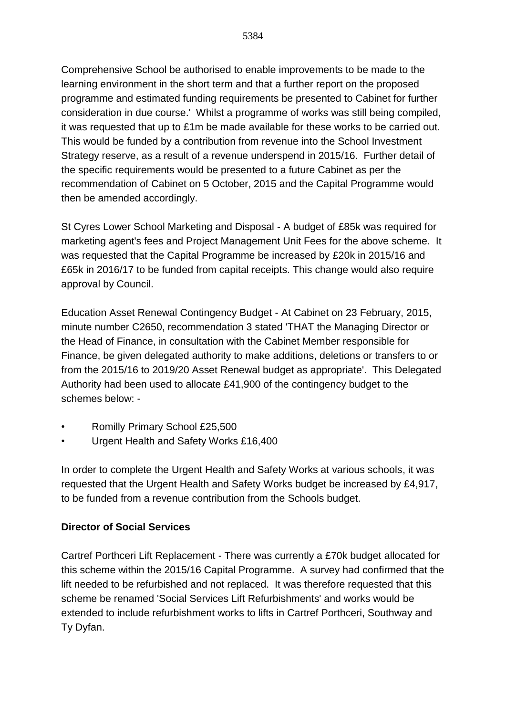Comprehensive School be authorised to enable improvements to be made to the learning environment in the short term and that a further report on the proposed programme and estimated funding requirements be presented to Cabinet for further consideration in due course.' Whilst a programme of works was still being compiled, it was requested that up to £1m be made available for these works to be carried out. This would be funded by a contribution from revenue into the School Investment Strategy reserve, as a result of a revenue underspend in 2015/16. Further detail of the specific requirements would be presented to a future Cabinet as per the recommendation of Cabinet on 5 October, 2015 and the Capital Programme would then be amended accordingly.

St Cyres Lower School Marketing and Disposal - A budget of £85k was required for marketing agent's fees and Project Management Unit Fees for the above scheme. It was requested that the Capital Programme be increased by £20k in 2015/16 and £65k in 2016/17 to be funded from capital receipts. This change would also require approval by Council.

Education Asset Renewal Contingency Budget - At Cabinet on 23 February, 2015, minute number C2650, recommendation 3 stated 'THAT the Managing Director or the Head of Finance, in consultation with the Cabinet Member responsible for Finance, be given delegated authority to make additions, deletions or transfers to or from the 2015/16 to 2019/20 Asset Renewal budget as appropriate'. This Delegated Authority had been used to allocate £41,900 of the contingency budget to the schemes below: -

- Romilly Primary School £25,500
- Urgent Health and Safety Works £16,400

In order to complete the Urgent Health and Safety Works at various schools, it was requested that the Urgent Health and Safety Works budget be increased by £4,917, to be funded from a revenue contribution from the Schools budget.

### **Director of Social Services**

Cartref Porthceri Lift Replacement - There was currently a £70k budget allocated for this scheme within the 2015/16 Capital Programme. A survey had confirmed that the lift needed to be refurbished and not replaced. It was therefore requested that this scheme be renamed 'Social Services Lift Refurbishments' and works would be extended to include refurbishment works to lifts in Cartref Porthceri, Southway and Ty Dyfan.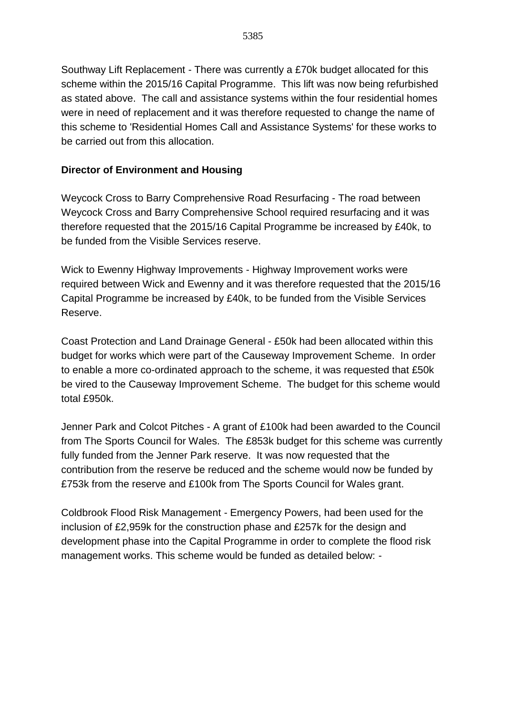Southway Lift Replacement - There was currently a £70k budget allocated for this scheme within the 2015/16 Capital Programme. This lift was now being refurbished as stated above. The call and assistance systems within the four residential homes were in need of replacement and it was therefore requested to change the name of this scheme to 'Residential Homes Call and Assistance Systems' for these works to be carried out from this allocation.

## **Director of Environment and Housing**

Weycock Cross to Barry Comprehensive Road Resurfacing - The road between Weycock Cross and Barry Comprehensive School required resurfacing and it was therefore requested that the 2015/16 Capital Programme be increased by £40k, to be funded from the Visible Services reserve.

Wick to Ewenny Highway Improvements - Highway Improvement works were required between Wick and Ewenny and it was therefore requested that the 2015/16 Capital Programme be increased by £40k, to be funded from the Visible Services Reserve.

Coast Protection and Land Drainage General - £50k had been allocated within this budget for works which were part of the Causeway Improvement Scheme. In order to enable a more co-ordinated approach to the scheme, it was requested that £50k be vired to the Causeway Improvement Scheme. The budget for this scheme would total £950k

Jenner Park and Colcot Pitches - A grant of £100k had been awarded to the Council from The Sports Council for Wales. The £853k budget for this scheme was currently fully funded from the Jenner Park reserve. It was now requested that the contribution from the reserve be reduced and the scheme would now be funded by £753k from the reserve and £100k from The Sports Council for Wales grant.

Coldbrook Flood Risk Management - Emergency Powers, had been used for the inclusion of £2,959k for the construction phase and £257k for the design and development phase into the Capital Programme in order to complete the flood risk management works. This scheme would be funded as detailed below: -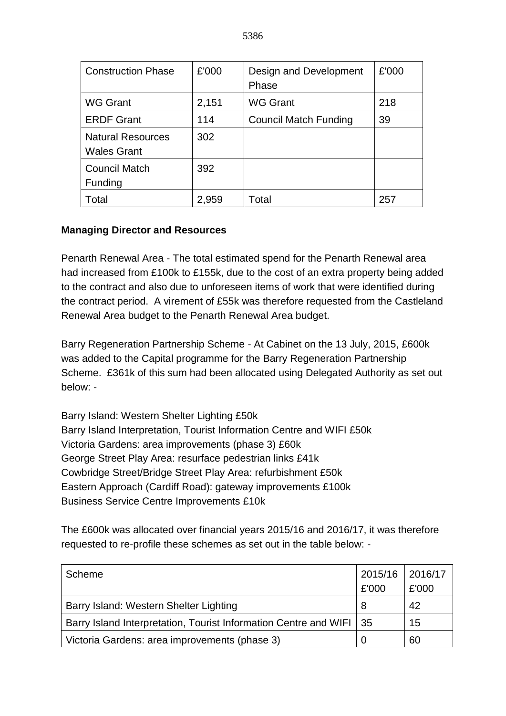| <b>Construction Phase</b>                      | £'000 | Design and Development<br>Phase | £'000 |
|------------------------------------------------|-------|---------------------------------|-------|
| <b>WG Grant</b>                                | 2,151 | <b>WG Grant</b>                 | 218   |
| <b>ERDF Grant</b>                              | 114   | <b>Council Match Funding</b>    | 39    |
| <b>Natural Resources</b><br><b>Wales Grant</b> | 302   |                                 |       |
| <b>Council Match</b><br>Funding                | 392   |                                 |       |
| Total                                          | 2,959 | Total                           | 257   |

# **Managing Director and Resources**

Penarth Renewal Area - The total estimated spend for the Penarth Renewal area had increased from £100k to £155k, due to the cost of an extra property being added to the contract and also due to unforeseen items of work that were identified during the contract period. A virement of £55k was therefore requested from the Castleland Renewal Area budget to the Penarth Renewal Area budget.

Barry Regeneration Partnership Scheme - At Cabinet on the 13 July, 2015, £600k was added to the Capital programme for the Barry Regeneration Partnership Scheme. £361k of this sum had been allocated using Delegated Authority as set out below: -

Barry Island: Western Shelter Lighting £50k Barry Island Interpretation, Tourist Information Centre and WIFI £50k Victoria Gardens: area improvements (phase 3) £60k George Street Play Area: resurface pedestrian links £41k Cowbridge Street/Bridge Street Play Area: refurbishment £50k Eastern Approach (Cardiff Road): gateway improvements £100k Business Service Centre Improvements £10k

The £600k was allocated over financial years 2015/16 and 2016/17, it was therefore requested to re-profile these schemes as set out in the table below: -

| Scheme                                                                | 2015/16 2016/17 |       |
|-----------------------------------------------------------------------|-----------------|-------|
|                                                                       | £'000           | £'000 |
| Barry Island: Western Shelter Lighting                                |                 | 42    |
| Barry Island Interpretation, Tourist Information Centre and WIFI   35 |                 | 15    |
| Victoria Gardens: area improvements (phase 3)                         |                 | 60    |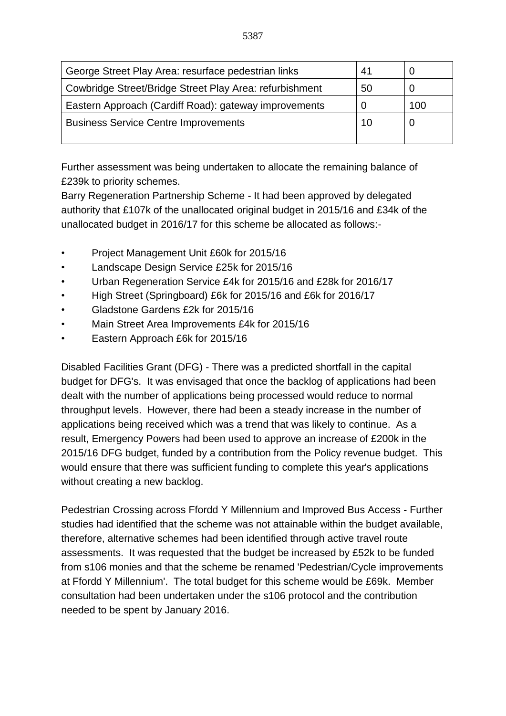| George Street Play Area: resurface pedestrian links     | 41 |     |
|---------------------------------------------------------|----|-----|
| Cowbridge Street/Bridge Street Play Area: refurbishment | 50 |     |
| Eastern Approach (Cardiff Road): gateway improvements   |    | 100 |
| <b>Business Service Centre Improvements</b>             | 10 |     |
|                                                         |    |     |

Further assessment was being undertaken to allocate the remaining balance of £239k to priority schemes.

Barry Regeneration Partnership Scheme - It had been approved by delegated authority that £107k of the unallocated original budget in 2015/16 and £34k of the unallocated budget in 2016/17 for this scheme be allocated as follows:-

- Project Management Unit £60k for 2015/16
- Landscape Design Service £25k for 2015/16
- Urban Regeneration Service £4k for 2015/16 and £28k for 2016/17
- High Street (Springboard) £6k for 2015/16 and £6k for 2016/17
- Gladstone Gardens £2k for 2015/16
- Main Street Area Improvements £4k for 2015/16
- Eastern Approach £6k for 2015/16

Disabled Facilities Grant (DFG) - There was a predicted shortfall in the capital budget for DFG's. It was envisaged that once the backlog of applications had been dealt with the number of applications being processed would reduce to normal throughput levels. However, there had been a steady increase in the number of applications being received which was a trend that was likely to continue. As a result, Emergency Powers had been used to approve an increase of £200k in the 2015/16 DFG budget, funded by a contribution from the Policy revenue budget. This would ensure that there was sufficient funding to complete this year's applications without creating a new backlog.

Pedestrian Crossing across Ffordd Y Millennium and Improved Bus Access - Further studies had identified that the scheme was not attainable within the budget available, therefore, alternative schemes had been identified through active travel route assessments. It was requested that the budget be increased by £52k to be funded from s106 monies and that the scheme be renamed 'Pedestrian/Cycle improvements at Ffordd Y Millennium'. The total budget for this scheme would be £69k. Member consultation had been undertaken under the s106 protocol and the contribution needed to be spent by January 2016.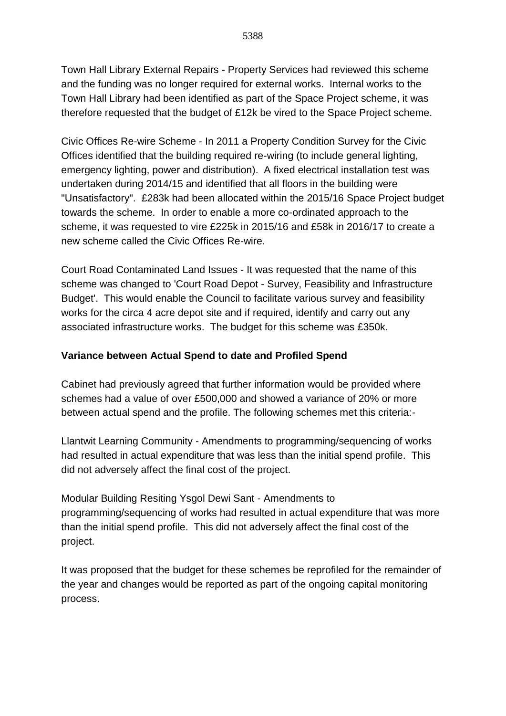Town Hall Library External Repairs - Property Services had reviewed this scheme and the funding was no longer required for external works. Internal works to the Town Hall Library had been identified as part of the Space Project scheme, it was therefore requested that the budget of £12k be vired to the Space Project scheme.

Civic Offices Re-wire Scheme - In 2011 a Property Condition Survey for the Civic Offices identified that the building required re-wiring (to include general lighting, emergency lighting, power and distribution). A fixed electrical installation test was undertaken during 2014/15 and identified that all floors in the building were "Unsatisfactory". £283k had been allocated within the 2015/16 Space Project budget towards the scheme. In order to enable a more co-ordinated approach to the scheme, it was requested to vire £225k in 2015/16 and £58k in 2016/17 to create a new scheme called the Civic Offices Re-wire.

Court Road Contaminated Land Issues - It was requested that the name of this scheme was changed to 'Court Road Depot - Survey, Feasibility and Infrastructure Budget'. This would enable the Council to facilitate various survey and feasibility works for the circa 4 acre depot site and if required, identify and carry out any associated infrastructure works. The budget for this scheme was £350k.

## **Variance between Actual Spend to date and Profiled Spend**

Cabinet had previously agreed that further information would be provided where schemes had a value of over £500,000 and showed a variance of 20% or more between actual spend and the profile. The following schemes met this criteria:-

Llantwit Learning Community - Amendments to programming/sequencing of works had resulted in actual expenditure that was less than the initial spend profile. This did not adversely affect the final cost of the project.

Modular Building Resiting Ysgol Dewi Sant - Amendments to programming/sequencing of works had resulted in actual expenditure that was more than the initial spend profile. This did not adversely affect the final cost of the project.

It was proposed that the budget for these schemes be reprofiled for the remainder of the year and changes would be reported as part of the ongoing capital monitoring process.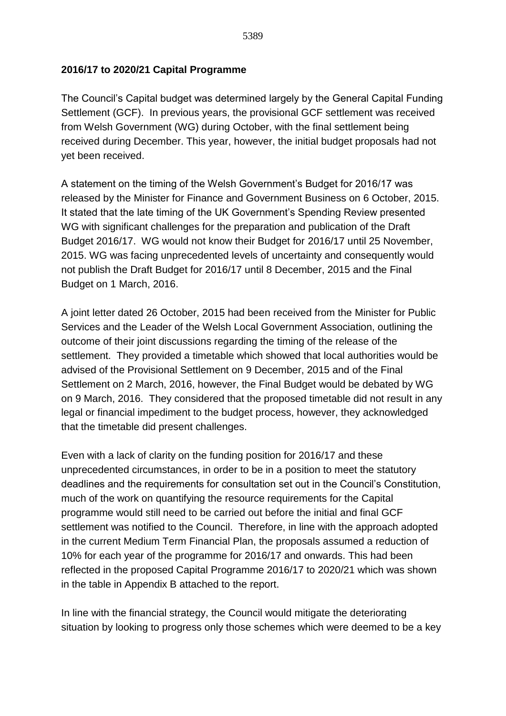### **2016/17 to 2020/21 Capital Programme**

The Council's Capital budget was determined largely by the General Capital Funding Settlement (GCF). In previous years, the provisional GCF settlement was received from Welsh Government (WG) during October, with the final settlement being received during December. This year, however, the initial budget proposals had not yet been received.

A statement on the timing of the Welsh Government's Budget for 2016/17 was released by the Minister for Finance and Government Business on 6 October, 2015. It stated that the late timing of the UK Government's Spending Review presented WG with significant challenges for the preparation and publication of the Draft Budget 2016/17. WG would not know their Budget for 2016/17 until 25 November, 2015. WG was facing unprecedented levels of uncertainty and consequently would not publish the Draft Budget for 2016/17 until 8 December, 2015 and the Final Budget on 1 March, 2016.

A joint letter dated 26 October, 2015 had been received from the Minister for Public Services and the Leader of the Welsh Local Government Association, outlining the outcome of their joint discussions regarding the timing of the release of the settlement. They provided a timetable which showed that local authorities would be advised of the Provisional Settlement on 9 December, 2015 and of the Final Settlement on 2 March, 2016, however, the Final Budget would be debated by WG on 9 March, 2016. They considered that the proposed timetable did not result in any legal or financial impediment to the budget process, however, they acknowledged that the timetable did present challenges.

Even with a lack of clarity on the funding position for 2016/17 and these unprecedented circumstances, in order to be in a position to meet the statutory deadlines and the requirements for consultation set out in the Council's Constitution, much of the work on quantifying the resource requirements for the Capital programme would still need to be carried out before the initial and final GCF settlement was notified to the Council. Therefore, in line with the approach adopted in the current Medium Term Financial Plan, the proposals assumed a reduction of 10% for each year of the programme for 2016/17 and onwards. This had been reflected in the proposed Capital Programme 2016/17 to 2020/21 which was shown in the table in Appendix B attached to the report.

In line with the financial strategy, the Council would mitigate the deteriorating situation by looking to progress only those schemes which were deemed to be a key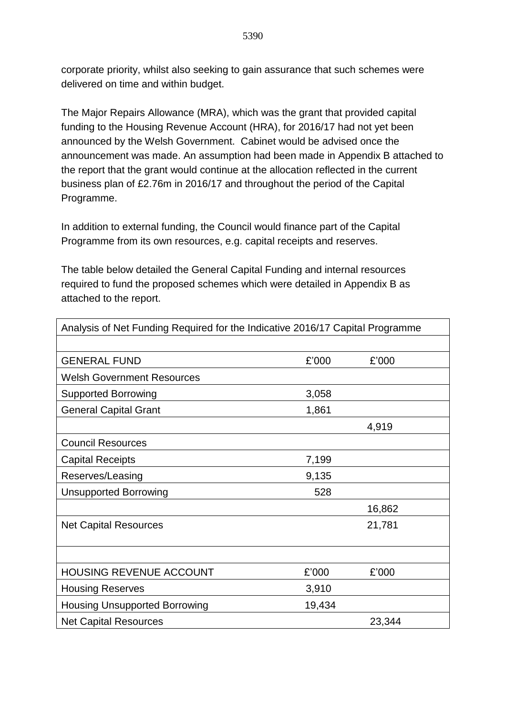corporate priority, whilst also seeking to gain assurance that such schemes were delivered on time and within budget.

The Major Repairs Allowance (MRA), which was the grant that provided capital funding to the Housing Revenue Account (HRA), for 2016/17 had not yet been announced by the Welsh Government. Cabinet would be advised once the announcement was made. An assumption had been made in Appendix B attached to the report that the grant would continue at the allocation reflected in the current business plan of £2.76m in 2016/17 and throughout the period of the Capital Programme.

In addition to external funding, the Council would finance part of the Capital Programme from its own resources, e.g. capital receipts and reserves.

The table below detailed the General Capital Funding and internal resources required to fund the proposed schemes which were detailed in Appendix B as attached to the report.

| Analysis of Net Funding Required for the Indicative 2016/17 Capital Programme |        |        |  |  |  |  |
|-------------------------------------------------------------------------------|--------|--------|--|--|--|--|
|                                                                               |        |        |  |  |  |  |
| <b>GENERAL FUND</b>                                                           | £'000  | £'000  |  |  |  |  |
| <b>Welsh Government Resources</b>                                             |        |        |  |  |  |  |
| <b>Supported Borrowing</b>                                                    | 3,058  |        |  |  |  |  |
| <b>General Capital Grant</b>                                                  | 1,861  |        |  |  |  |  |
|                                                                               |        | 4,919  |  |  |  |  |
| <b>Council Resources</b>                                                      |        |        |  |  |  |  |
| <b>Capital Receipts</b>                                                       | 7,199  |        |  |  |  |  |
| Reserves/Leasing                                                              | 9,135  |        |  |  |  |  |
| <b>Unsupported Borrowing</b>                                                  | 528    |        |  |  |  |  |
|                                                                               |        | 16,862 |  |  |  |  |
| <b>Net Capital Resources</b>                                                  |        | 21,781 |  |  |  |  |
|                                                                               |        |        |  |  |  |  |
|                                                                               |        |        |  |  |  |  |
| <b>HOUSING REVENUE ACCOUNT</b>                                                | £'000  | £'000  |  |  |  |  |
| <b>Housing Reserves</b>                                                       | 3,910  |        |  |  |  |  |
| <b>Housing Unsupported Borrowing</b>                                          | 19,434 |        |  |  |  |  |
| <b>Net Capital Resources</b>                                                  |        | 23,344 |  |  |  |  |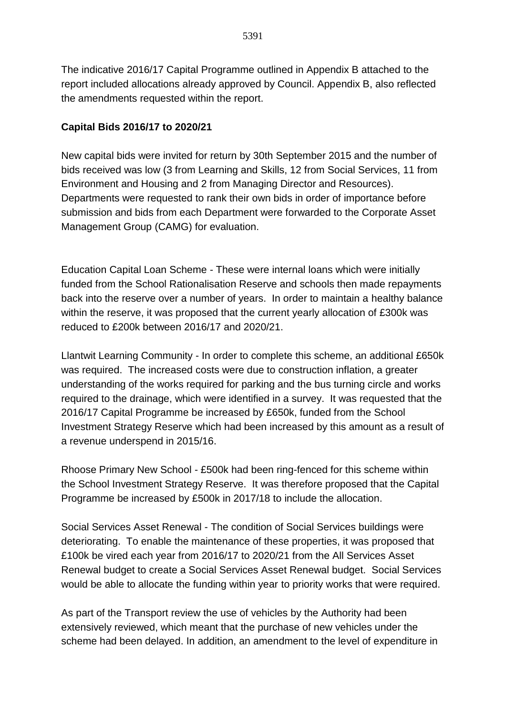The indicative 2016/17 Capital Programme outlined in Appendix B attached to the report included allocations already approved by Council. Appendix B, also reflected the amendments requested within the report.

## **Capital Bids 2016/17 to 2020/21**

New capital bids were invited for return by 30th September 2015 and the number of bids received was low (3 from Learning and Skills, 12 from Social Services, 11 from Environment and Housing and 2 from Managing Director and Resources). Departments were requested to rank their own bids in order of importance before submission and bids from each Department were forwarded to the Corporate Asset Management Group (CAMG) for evaluation.

Education Capital Loan Scheme - These were internal loans which were initially funded from the School Rationalisation Reserve and schools then made repayments back into the reserve over a number of years. In order to maintain a healthy balance within the reserve, it was proposed that the current yearly allocation of £300k was reduced to £200k between 2016/17 and 2020/21.

Llantwit Learning Community - In order to complete this scheme, an additional £650k was required. The increased costs were due to construction inflation, a greater understanding of the works required for parking and the bus turning circle and works required to the drainage, which were identified in a survey. It was requested that the 2016/17 Capital Programme be increased by £650k, funded from the School Investment Strategy Reserve which had been increased by this amount as a result of a revenue underspend in 2015/16.

Rhoose Primary New School - £500k had been ring-fenced for this scheme within the School Investment Strategy Reserve. It was therefore proposed that the Capital Programme be increased by £500k in 2017/18 to include the allocation.

Social Services Asset Renewal - The condition of Social Services buildings were deteriorating. To enable the maintenance of these properties, it was proposed that £100k be vired each year from 2016/17 to 2020/21 from the All Services Asset Renewal budget to create a Social Services Asset Renewal budget. Social Services would be able to allocate the funding within year to priority works that were required.

As part of the Transport review the use of vehicles by the Authority had been extensively reviewed, which meant that the purchase of new vehicles under the scheme had been delayed. In addition, an amendment to the level of expenditure in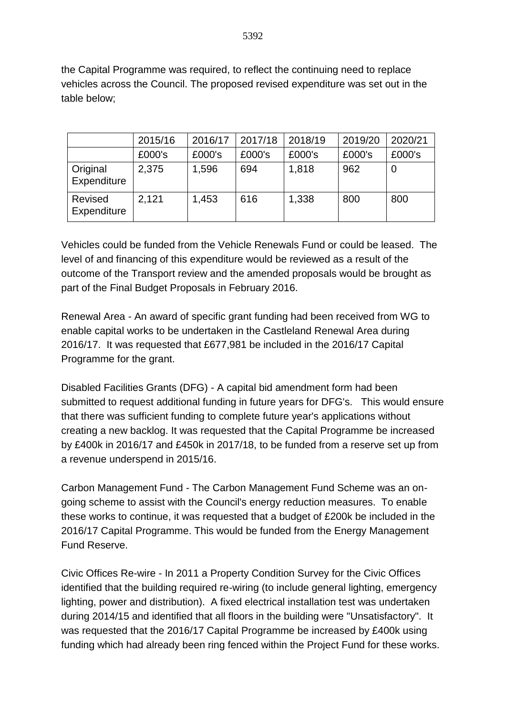the Capital Programme was required, to reflect the continuing need to replace vehicles across the Council. The proposed revised expenditure was set out in the table below;

|                         | 2015/16 | 2016/17 | 2017/18 | 2018/19 | 2019/20 | 2020/21 |
|-------------------------|---------|---------|---------|---------|---------|---------|
|                         | £000's  | £000's  | £000's  | £000's  | £000's  | £000's  |
| Original<br>Expenditure | 2,375   | 1,596   | 694     | 1,818   | 962     | 0       |
| Revised<br>Expenditure  | 2,121   | 1,453   | 616     | 1,338   | 800     | 800     |

Vehicles could be funded from the Vehicle Renewals Fund or could be leased. The level of and financing of this expenditure would be reviewed as a result of the outcome of the Transport review and the amended proposals would be brought as part of the Final Budget Proposals in February 2016.

Renewal Area - An award of specific grant funding had been received from WG to enable capital works to be undertaken in the Castleland Renewal Area during 2016/17. It was requested that £677,981 be included in the 2016/17 Capital Programme for the grant.

Disabled Facilities Grants (DFG) - A capital bid amendment form had been submitted to request additional funding in future years for DFG's. This would ensure that there was sufficient funding to complete future year's applications without creating a new backlog. It was requested that the Capital Programme be increased by £400k in 2016/17 and £450k in 2017/18, to be funded from a reserve set up from a revenue underspend in 2015/16.

Carbon Management Fund - The Carbon Management Fund Scheme was an ongoing scheme to assist with the Council's energy reduction measures. To enable these works to continue, it was requested that a budget of £200k be included in the 2016/17 Capital Programme. This would be funded from the Energy Management Fund Reserve.

Civic Offices Re-wire - In 2011 a Property Condition Survey for the Civic Offices identified that the building required re-wiring (to include general lighting, emergency lighting, power and distribution). A fixed electrical installation test was undertaken during 2014/15 and identified that all floors in the building were "Unsatisfactory". It was requested that the 2016/17 Capital Programme be increased by £400k using funding which had already been ring fenced within the Project Fund for these works.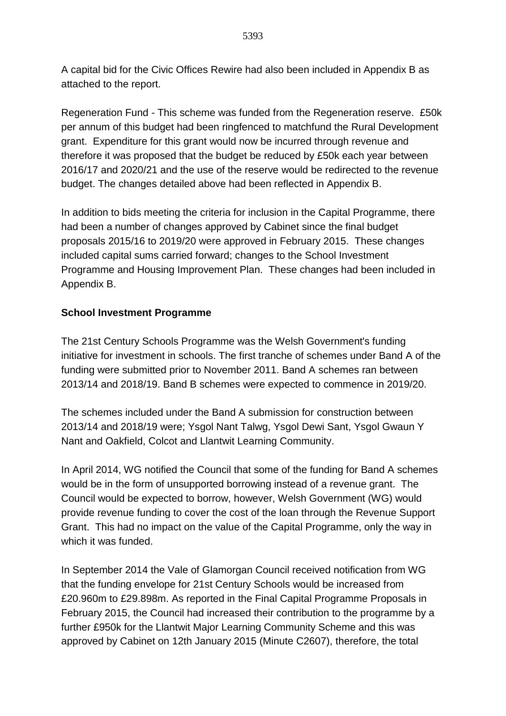A capital bid for the Civic Offices Rewire had also been included in Appendix B as attached to the report.

Regeneration Fund - This scheme was funded from the Regeneration reserve. £50k per annum of this budget had been ringfenced to matchfund the Rural Development grant. Expenditure for this grant would now be incurred through revenue and therefore it was proposed that the budget be reduced by £50k each year between 2016/17 and 2020/21 and the use of the reserve would be redirected to the revenue budget. The changes detailed above had been reflected in Appendix B.

In addition to bids meeting the criteria for inclusion in the Capital Programme, there had been a number of changes approved by Cabinet since the final budget proposals 2015/16 to 2019/20 were approved in February 2015. These changes included capital sums carried forward; changes to the School Investment Programme and Housing Improvement Plan. These changes had been included in Appendix B.

## **School Investment Programme**

The 21st Century Schools Programme was the Welsh Government's funding initiative for investment in schools. The first tranche of schemes under Band A of the funding were submitted prior to November 2011. Band A schemes ran between 2013/14 and 2018/19. Band B schemes were expected to commence in 2019/20.

The schemes included under the Band A submission for construction between 2013/14 and 2018/19 were; Ysgol Nant Talwg, Ysgol Dewi Sant, Ysgol Gwaun Y Nant and Oakfield, Colcot and Llantwit Learning Community.

In April 2014, WG notified the Council that some of the funding for Band A schemes would be in the form of unsupported borrowing instead of a revenue grant. The Council would be expected to borrow, however, Welsh Government (WG) would provide revenue funding to cover the cost of the loan through the Revenue Support Grant. This had no impact on the value of the Capital Programme, only the way in which it was funded.

In September 2014 the Vale of Glamorgan Council received notification from WG that the funding envelope for 21st Century Schools would be increased from £20.960m to £29.898m. As reported in the Final Capital Programme Proposals in February 2015, the Council had increased their contribution to the programme by a further £950k for the Llantwit Major Learning Community Scheme and this was approved by Cabinet on 12th January 2015 (Minute C2607), therefore, the total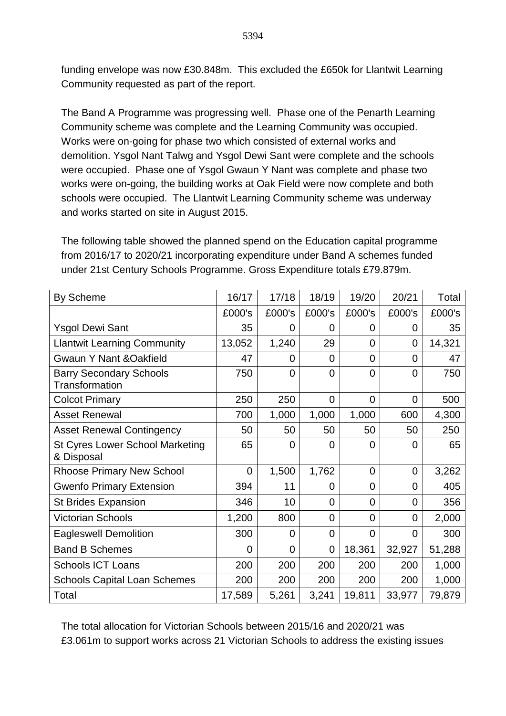funding envelope was now £30.848m. This excluded the £650k for Llantwit Learning Community requested as part of the report.

The Band A Programme was progressing well. Phase one of the Penarth Learning Community scheme was complete and the Learning Community was occupied. Works were on-going for phase two which consisted of external works and demolition. Ysgol Nant Talwg and Ysgol Dewi Sant were complete and the schools were occupied. Phase one of Ysgol Gwaun Y Nant was complete and phase two works were on-going, the building works at Oak Field were now complete and both schools were occupied. The Llantwit Learning Community scheme was underway and works started on site in August 2015.

The following table showed the planned spend on the Education capital programme from 2016/17 to 2020/21 incorporating expenditure under Band A schemes funded under 21st Century Schools Programme. Gross Expenditure totals £79.879m.

| By Scheme                                               | 16/17  | 17/18          | 18/19          | 19/20          | 20/21          | Total  |
|---------------------------------------------------------|--------|----------------|----------------|----------------|----------------|--------|
|                                                         | £000's | £000's         | £000's         | £000's         | £000's         | £000's |
| <b>Ysgol Dewi Sant</b>                                  | 35     | 0              | 0              | 0              | $\overline{0}$ | 35     |
| <b>Llantwit Learning Community</b>                      | 13,052 | 1,240          | 29             | 0              | $\overline{0}$ | 14,321 |
| <b>Gwaun Y Nant &amp; Oakfield</b>                      | 47     | 0              | 0              | 0              | $\overline{0}$ | 47     |
| <b>Barry Secondary Schools</b><br><b>Transformation</b> | 750    | $\overline{0}$ | $\overline{0}$ | $\overline{0}$ | $\overline{0}$ | 750    |
| <b>Colcot Primary</b>                                   | 250    | 250            | 0              | 0              | $\overline{0}$ | 500    |
| <b>Asset Renewal</b>                                    | 700    | 1,000          | 1,000          | 1,000          | 600            | 4,300  |
| <b>Asset Renewal Contingency</b>                        | 50     | 50             | 50             | 50             | 50             | 250    |
| <b>St Cyres Lower School Marketing</b><br>& Disposal    | 65     | 0              | 0              | $\overline{0}$ | 0              | 65     |
| <b>Rhoose Primary New School</b>                        | 0      | 1,500          | 1,762          | $\overline{0}$ | $\overline{0}$ | 3,262  |
| <b>Gwenfo Primary Extension</b>                         | 394    | 11             | 0              | $\overline{0}$ | 0              | 405    |
| <b>St Brides Expansion</b>                              | 346    | 10             | $\overline{0}$ | 0              | 0              | 356    |
| <b>Victorian Schools</b>                                | 1,200  | 800            | $\Omega$       | 0              | $\overline{0}$ | 2,000  |
| <b>Eagleswell Demolition</b>                            | 300    | 0              | $\overline{0}$ | $\overline{0}$ | 0              | 300    |
| <b>Band B Schemes</b>                                   | 0      | 0              | 0              | 18,361         | 32,927         | 51,288 |
| <b>Schools ICT Loans</b>                                | 200    | 200            | 200            | 200            | 200            | 1,000  |
| <b>Schools Capital Loan Schemes</b>                     | 200    | 200            | 200            | 200            | 200            | 1,000  |
| Total                                                   | 17,589 | 5,261          | 3,241          | 19,811         | 33,977         | 79,879 |

The total allocation for Victorian Schools between 2015/16 and 2020/21 was £3.061m to support works across 21 Victorian Schools to address the existing issues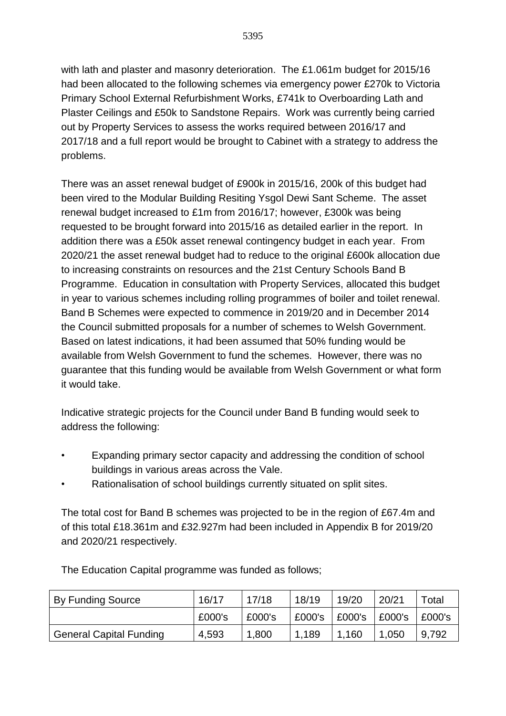with lath and plaster and masonry deterioration. The £1.061m budget for 2015/16 had been allocated to the following schemes via emergency power £270k to Victoria Primary School External Refurbishment Works, £741k to Overboarding Lath and Plaster Ceilings and £50k to Sandstone Repairs. Work was currently being carried out by Property Services to assess the works required between 2016/17 and 2017/18 and a full report would be brought to Cabinet with a strategy to address the problems.

There was an asset renewal budget of £900k in 2015/16, 200k of this budget had been vired to the Modular Building Resiting Ysgol Dewi Sant Scheme. The asset renewal budget increased to £1m from 2016/17; however, £300k was being requested to be brought forward into 2015/16 as detailed earlier in the report. In addition there was a £50k asset renewal contingency budget in each year. From 2020/21 the asset renewal budget had to reduce to the original £600k allocation due to increasing constraints on resources and the 21st Century Schools Band B Programme. Education in consultation with Property Services, allocated this budget in year to various schemes including rolling programmes of boiler and toilet renewal. Band B Schemes were expected to commence in 2019/20 and in December 2014 the Council submitted proposals for a number of schemes to Welsh Government. Based on latest indications, it had been assumed that 50% funding would be available from Welsh Government to fund the schemes. However, there was no guarantee that this funding would be available from Welsh Government or what form it would take.

Indicative strategic projects for the Council under Band B funding would seek to address the following:

- Expanding primary sector capacity and addressing the condition of school buildings in various areas across the Vale.
- Rationalisation of school buildings currently situated on split sites.

The total cost for Band B schemes was projected to be in the region of £67.4m and of this total £18.361m and £32.927m had been included in Appendix B for 2019/20 and 2020/21 respectively.

| By Funding Source              | 16/17  | 17/18  | 18/19  | 19/20  | 20/21  | Total  |
|--------------------------------|--------|--------|--------|--------|--------|--------|
|                                | £000's | £000's | £000's | £000's | £000's | E000's |
| <b>General Capital Funding</b> | 4,593  | 1,800  | 1,189  | 1,160  | 1,050  | 9,792  |

The Education Capital programme was funded as follows;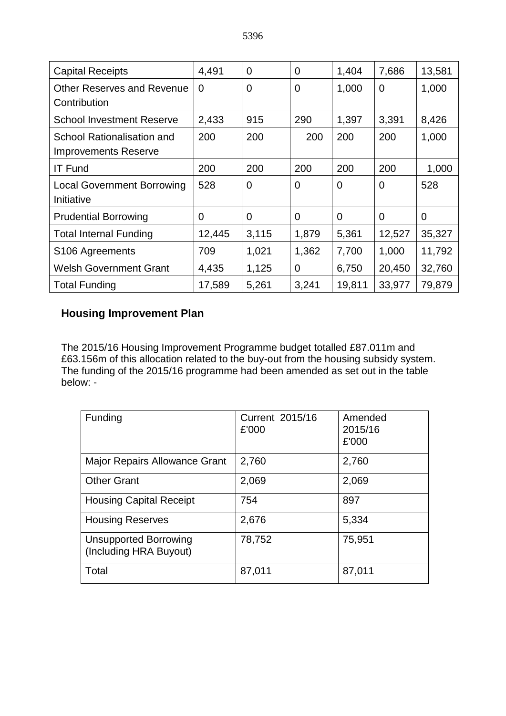| <b>Capital Receipts</b>           | 4,491    | $\overline{0}$ | $\overline{0}$ | 1,404          | 7,686          | 13,581         |
|-----------------------------------|----------|----------------|----------------|----------------|----------------|----------------|
| <b>Other Reserves and Revenue</b> | $\Omega$ | $\overline{0}$ | $\overline{0}$ | 1,000          | $\overline{0}$ | 1,000          |
| Contribution                      |          |                |                |                |                |                |
| <b>School Investment Reserve</b>  | 2,433    | 915            | 290            | 1,397          | 3,391          | 8,426          |
| School Rationalisation and        | 200      | 200            | 200            | 200            | 200            | 1,000          |
| <b>Improvements Reserve</b>       |          |                |                |                |                |                |
| <b>IT Fund</b>                    | 200      | 200            | 200            | 200            | 200            | 1,000          |
| <b>Local Government Borrowing</b> | 528      | $\overline{0}$ | $\overline{0}$ | $\overline{0}$ | $\overline{0}$ | 528            |
| Initiative                        |          |                |                |                |                |                |
| <b>Prudential Borrowing</b>       | 0        | $\overline{0}$ | $\overline{0}$ | 0              | $\overline{0}$ | $\overline{0}$ |
| <b>Total Internal Funding</b>     | 12,445   | 3,115          | 1,879          | 5,361          | 12,527         | 35,327         |
| S106 Agreements                   | 709      | 1,021          | 1,362          | 7,700          | 1,000          | 11,792         |
| <b>Welsh Government Grant</b>     | 4,435    | 1,125          | $\overline{0}$ | 6,750          | 20,450         | 32,760         |
| <b>Total Funding</b>              | 17,589   | 5,261          | 3,241          | 19,811         | 33,977         | 79,879         |

# **Housing Improvement Plan**

The 2015/16 Housing Improvement Programme budget totalled £87.011m and £63.156m of this allocation related to the buy-out from the housing subsidy system. The funding of the 2015/16 programme had been amended as set out in the table below: -

| Funding                                                | Current 2015/16<br>£'000 | Amended<br>2015/16<br>£'000 |
|--------------------------------------------------------|--------------------------|-----------------------------|
| <b>Major Repairs Allowance Grant</b>                   | 2,760                    | 2,760                       |
| <b>Other Grant</b>                                     | 2,069                    | 2,069                       |
| <b>Housing Capital Receipt</b>                         | 754                      | 897                         |
| <b>Housing Reserves</b>                                | 2,676                    | 5,334                       |
| <b>Unsupported Borrowing</b><br>(Including HRA Buyout) | 78,752                   | 75,951                      |
| Total                                                  | 87,011                   | 87,011                      |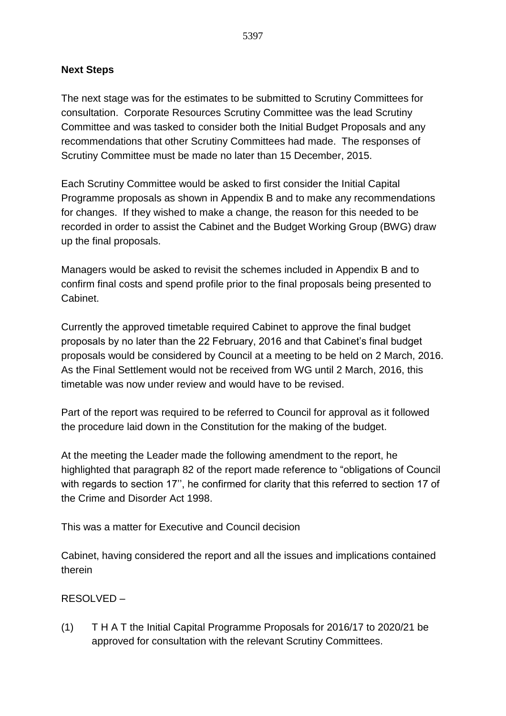### **Next Steps**

The next stage was for the estimates to be submitted to Scrutiny Committees for consultation. Corporate Resources Scrutiny Committee was the lead Scrutiny Committee and was tasked to consider both the Initial Budget Proposals and any recommendations that other Scrutiny Committees had made. The responses of Scrutiny Committee must be made no later than 15 December, 2015.

Each Scrutiny Committee would be asked to first consider the Initial Capital Programme proposals as shown in Appendix B and to make any recommendations for changes. If they wished to make a change, the reason for this needed to be recorded in order to assist the Cabinet and the Budget Working Group (BWG) draw up the final proposals.

Managers would be asked to revisit the schemes included in Appendix B and to confirm final costs and spend profile prior to the final proposals being presented to Cabinet.

Currently the approved timetable required Cabinet to approve the final budget proposals by no later than the 22 February, 2016 and that Cabinet's final budget proposals would be considered by Council at a meeting to be held on 2 March, 2016. As the Final Settlement would not be received from WG until 2 March, 2016, this timetable was now under review and would have to be revised.

Part of the report was required to be referred to Council for approval as it followed the procedure laid down in the Constitution for the making of the budget.

At the meeting the Leader made the following amendment to the report, he highlighted that paragraph 82 of the report made reference to "obligations of Council with regards to section 17'', he confirmed for clarity that this referred to section 17 of the Crime and Disorder Act 1998.

This was a matter for Executive and Council decision

Cabinet, having considered the report and all the issues and implications contained therein

### RESOLVED –

(1) T H A T the Initial Capital Programme Proposals for 2016/17 to 2020/21 be approved for consultation with the relevant Scrutiny Committees.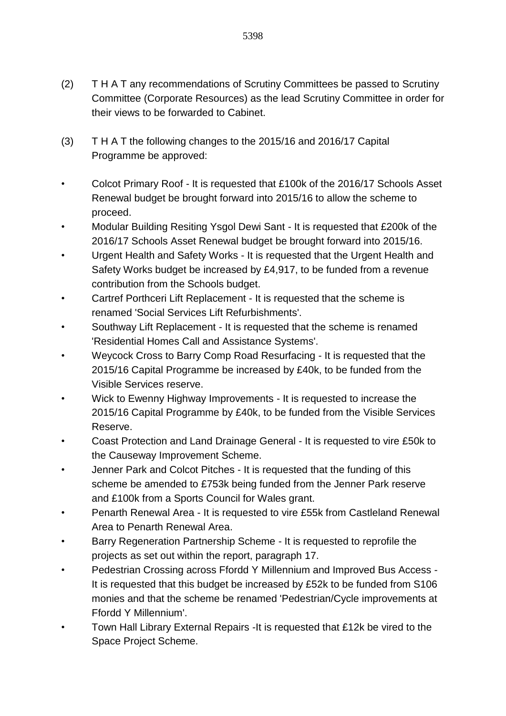- (2) T H A T any recommendations of Scrutiny Committees be passed to Scrutiny Committee (Corporate Resources) as the lead Scrutiny Committee in order for their views to be forwarded to Cabinet.
- (3) T H A T the following changes to the 2015/16 and 2016/17 Capital Programme be approved:
- Colcot Primary Roof It is requested that £100k of the 2016/17 Schools Asset Renewal budget be brought forward into 2015/16 to allow the scheme to proceed.
- Modular Building Resiting Ysgol Dewi Sant It is requested that £200k of the 2016/17 Schools Asset Renewal budget be brought forward into 2015/16.
- Urgent Health and Safety Works It is requested that the Urgent Health and Safety Works budget be increased by £4,917, to be funded from a revenue contribution from the Schools budget.
- Cartref Porthceri Lift Replacement It is requested that the scheme is renamed 'Social Services Lift Refurbishments'.
- Southway Lift Replacement It is requested that the scheme is renamed 'Residential Homes Call and Assistance Systems'.
- Weycock Cross to Barry Comp Road Resurfacing It is requested that the 2015/16 Capital Programme be increased by £40k, to be funded from the Visible Services reserve.
- Wick to Ewenny Highway Improvements It is requested to increase the 2015/16 Capital Programme by £40k, to be funded from the Visible Services Reserve.
- Coast Protection and Land Drainage General It is requested to vire £50k to the Causeway Improvement Scheme.
- Jenner Park and Colcot Pitches It is requested that the funding of this scheme be amended to £753k being funded from the Jenner Park reserve and £100k from a Sports Council for Wales grant.
- Penarth Renewal Area It is requested to vire £55k from Castleland Renewal Area to Penarth Renewal Area.
- Barry Regeneration Partnership Scheme It is requested to reprofile the projects as set out within the report, paragraph 17.
- Pedestrian Crossing across Ffordd Y Millennium and Improved Bus Access It is requested that this budget be increased by £52k to be funded from S106 monies and that the scheme be renamed 'Pedestrian/Cycle improvements at Ffordd Y Millennium'.
- Town Hall Library External Repairs -It is requested that £12k be vired to the Space Project Scheme.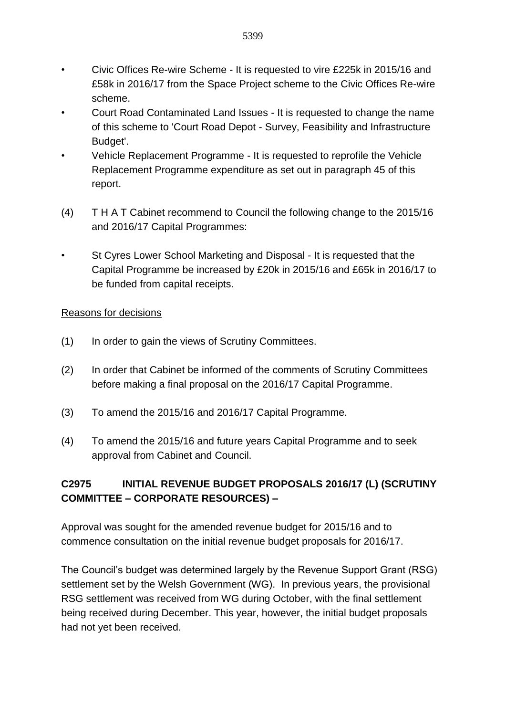- Civic Offices Re-wire Scheme It is requested to vire £225k in 2015/16 and £58k in 2016/17 from the Space Project scheme to the Civic Offices Re-wire scheme.
- Court Road Contaminated Land Issues It is requested to change the name of this scheme to 'Court Road Depot - Survey, Feasibility and Infrastructure Budget'.
- Vehicle Replacement Programme It is requested to reprofile the Vehicle Replacement Programme expenditure as set out in paragraph 45 of this report.
- (4) T H A T Cabinet recommend to Council the following change to the 2015/16 and 2016/17 Capital Programmes:
- St Cyres Lower School Marketing and Disposal It is requested that the Capital Programme be increased by £20k in 2015/16 and £65k in 2016/17 to be funded from capital receipts.

### Reasons for decisions

- (1) In order to gain the views of Scrutiny Committees.
- (2) In order that Cabinet be informed of the comments of Scrutiny Committees before making a final proposal on the 2016/17 Capital Programme.
- (3) To amend the 2015/16 and 2016/17 Capital Programme.
- (4) To amend the 2015/16 and future years Capital Programme and to seek approval from Cabinet and Council.

# **C2975 INITIAL REVENUE BUDGET PROPOSALS 2016/17 (L) (SCRUTINY COMMITTEE – CORPORATE RESOURCES) –**

Approval was sought for the amended revenue budget for 2015/16 and to commence consultation on the initial revenue budget proposals for 2016/17.

The Council's budget was determined largely by the Revenue Support Grant (RSG) settlement set by the Welsh Government (WG). In previous years, the provisional RSG settlement was received from WG during October, with the final settlement being received during December. This year, however, the initial budget proposals had not yet been received.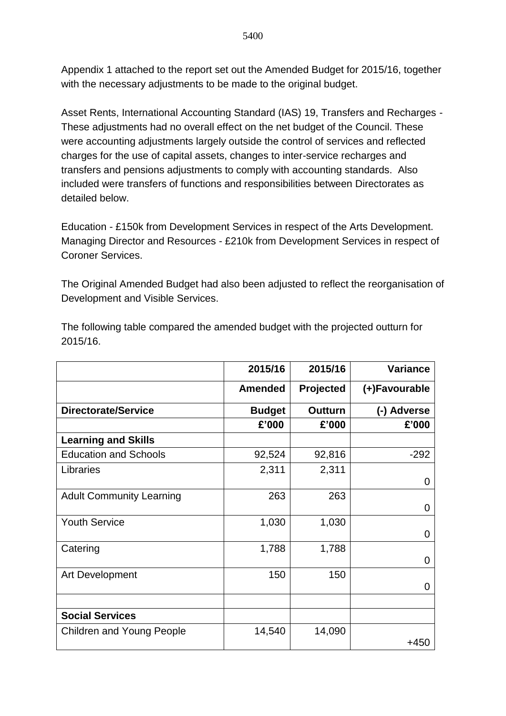Appendix 1 attached to the report set out the Amended Budget for 2015/16, together with the necessary adjustments to be made to the original budget.

Asset Rents, International Accounting Standard (IAS) 19, Transfers and Recharges - These adjustments had no overall effect on the net budget of the Council. These were accounting adjustments largely outside the control of services and reflected charges for the use of capital assets, changes to inter-service recharges and transfers and pensions adjustments to comply with accounting standards. Also included were transfers of functions and responsibilities between Directorates as detailed below.

Education - £150k from Development Services in respect of the Arts Development. Managing Director and Resources - £210k from Development Services in respect of Coroner Services.

The Original Amended Budget had also been adjusted to reflect the reorganisation of Development and Visible Services.

|                                  | 2015/16        | 2015/16        | <b>Variance</b> |
|----------------------------------|----------------|----------------|-----------------|
|                                  | <b>Amended</b> | Projected      | (+)Favourable   |
| <b>Directorate/Service</b>       | <b>Budget</b>  | <b>Outturn</b> | (-) Adverse     |
|                                  | £'000          | £'000          | £'000           |
| <b>Learning and Skills</b>       |                |                |                 |
| <b>Education and Schools</b>     | 92,524         | 92,816         | $-292$          |
| Libraries                        | 2,311          | 2,311          | 0               |
| <b>Adult Community Learning</b>  | 263            | 263            | 0               |
| <b>Youth Service</b>             | 1,030          | 1,030          | 0               |
| Catering                         | 1,788          | 1,788          | $\overline{0}$  |
| Art Development                  | 150            | 150            | 0               |
|                                  |                |                |                 |
| <b>Social Services</b>           |                |                |                 |
| <b>Children and Young People</b> | 14,540         | 14,090         | +450            |

The following table compared the amended budget with the projected outturn for 2015/16.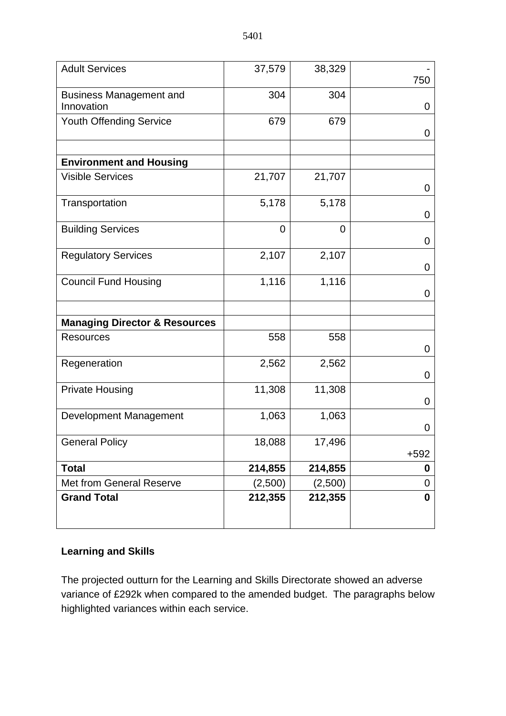| <b>Adult Services</b>                        | 37,579         | 38,329      | 750              |
|----------------------------------------------|----------------|-------------|------------------|
| <b>Business Management and</b><br>Innovation | 304            | 304         | 0                |
| Youth Offending Service                      | 679            | 679         | 0                |
| <b>Environment and Housing</b>               |                |             |                  |
| <b>Visible Services</b>                      | 21,707         | 21,707      | 0                |
| Transportation                               | 5,178          | 5,178       | 0                |
| <b>Building Services</b>                     | $\overline{0}$ | $\mathbf 0$ | 0                |
| <b>Regulatory Services</b>                   | 2,107          | 2,107       | 0                |
| <b>Council Fund Housing</b>                  | 1,116          | 1,116       | 0                |
| <b>Managing Director &amp; Resources</b>     |                |             |                  |
| <b>Resources</b>                             | 558            | 558         | 0                |
| Regeneration                                 | 2,562          | 2,562       | 0                |
| <b>Private Housing</b>                       | 11,308         | 11,308      | 0                |
| Development Management                       | 1,063          | 1,063       | 0                |
| <b>General Policy</b>                        | 18,088         | 17,496      | $+592$           |
| <b>Total</b>                                 | 214,855        | 214,855     | 0                |
| <b>Met from General Reserve</b>              | (2,500)        | (2,500)     | 0                |
| <b>Grand Total</b>                           | 212,355        | 212,355     | $\boldsymbol{0}$ |

## **Learning and Skills**

The projected outturn for the Learning and Skills Directorate showed an adverse variance of £292k when compared to the amended budget. The paragraphs below highlighted variances within each service.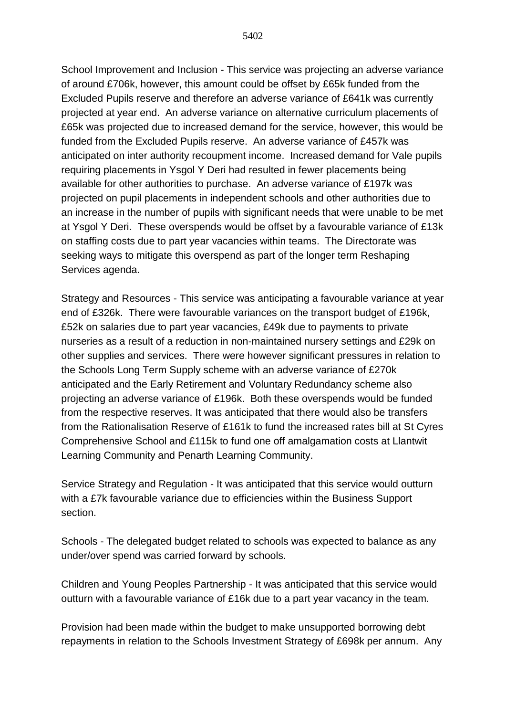School Improvement and Inclusion - This service was projecting an adverse variance of around £706k, however, this amount could be offset by £65k funded from the Excluded Pupils reserve and therefore an adverse variance of £641k was currently projected at year end. An adverse variance on alternative curriculum placements of £65k was projected due to increased demand for the service, however, this would be funded from the Excluded Pupils reserve. An adverse variance of £457k was anticipated on inter authority recoupment income. Increased demand for Vale pupils requiring placements in Ysgol Y Deri had resulted in fewer placements being available for other authorities to purchase. An adverse variance of £197k was projected on pupil placements in independent schools and other authorities due to an increase in the number of pupils with significant needs that were unable to be met at Ysgol Y Deri. These overspends would be offset by a favourable variance of £13k on staffing costs due to part year vacancies within teams. The Directorate was seeking ways to mitigate this overspend as part of the longer term Reshaping Services agenda.

Strategy and Resources - This service was anticipating a favourable variance at year end of £326k. There were favourable variances on the transport budget of £196k, £52k on salaries due to part year vacancies, £49k due to payments to private nurseries as a result of a reduction in non-maintained nursery settings and £29k on other supplies and services. There were however significant pressures in relation to the Schools Long Term Supply scheme with an adverse variance of £270k anticipated and the Early Retirement and Voluntary Redundancy scheme also projecting an adverse variance of £196k. Both these overspends would be funded from the respective reserves. It was anticipated that there would also be transfers from the Rationalisation Reserve of £161k to fund the increased rates bill at St Cyres Comprehensive School and £115k to fund one off amalgamation costs at Llantwit Learning Community and Penarth Learning Community.

Service Strategy and Regulation - It was anticipated that this service would outturn with a £7k favourable variance due to efficiencies within the Business Support section.

Schools - The delegated budget related to schools was expected to balance as any under/over spend was carried forward by schools.

Children and Young Peoples Partnership - It was anticipated that this service would outturn with a favourable variance of £16k due to a part year vacancy in the team.

Provision had been made within the budget to make unsupported borrowing debt repayments in relation to the Schools Investment Strategy of £698k per annum. Any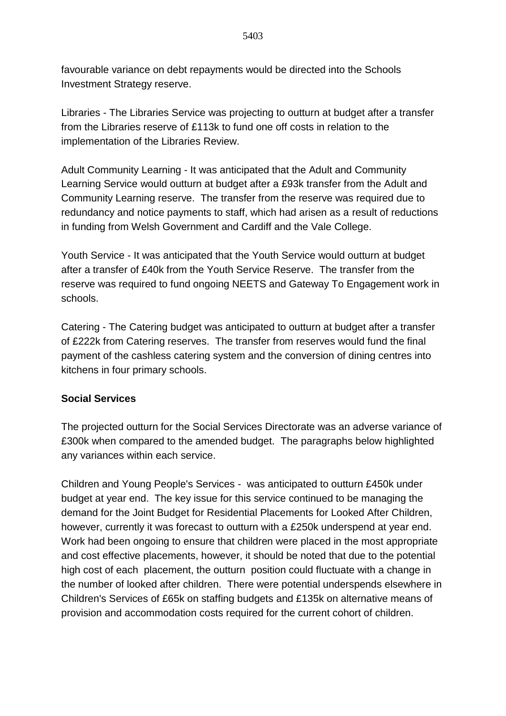favourable variance on debt repayments would be directed into the Schools Investment Strategy reserve.

Libraries - The Libraries Service was projecting to outturn at budget after a transfer from the Libraries reserve of £113k to fund one off costs in relation to the implementation of the Libraries Review.

Adult Community Learning - It was anticipated that the Adult and Community Learning Service would outturn at budget after a £93k transfer from the Adult and Community Learning reserve. The transfer from the reserve was required due to redundancy and notice payments to staff, which had arisen as a result of reductions in funding from Welsh Government and Cardiff and the Vale College.

Youth Service - It was anticipated that the Youth Service would outturn at budget after a transfer of £40k from the Youth Service Reserve. The transfer from the reserve was required to fund ongoing NEETS and Gateway To Engagement work in schools.

Catering - The Catering budget was anticipated to outturn at budget after a transfer of £222k from Catering reserves. The transfer from reserves would fund the final payment of the cashless catering system and the conversion of dining centres into kitchens in four primary schools.

### **Social Services**

The projected outturn for the Social Services Directorate was an adverse variance of £300k when compared to the amended budget. The paragraphs below highlighted any variances within each service.

Children and Young People's Services - was anticipated to outturn £450k under budget at year end. The key issue for this service continued to be managing the demand for the Joint Budget for Residential Placements for Looked After Children, however, currently it was forecast to outturn with a £250k underspend at year end. Work had been ongoing to ensure that children were placed in the most appropriate and cost effective placements, however, it should be noted that due to the potential high cost of each placement, the outturn position could fluctuate with a change in the number of looked after children. There were potential underspends elsewhere in Children's Services of £65k on staffing budgets and £135k on alternative means of provision and accommodation costs required for the current cohort of children.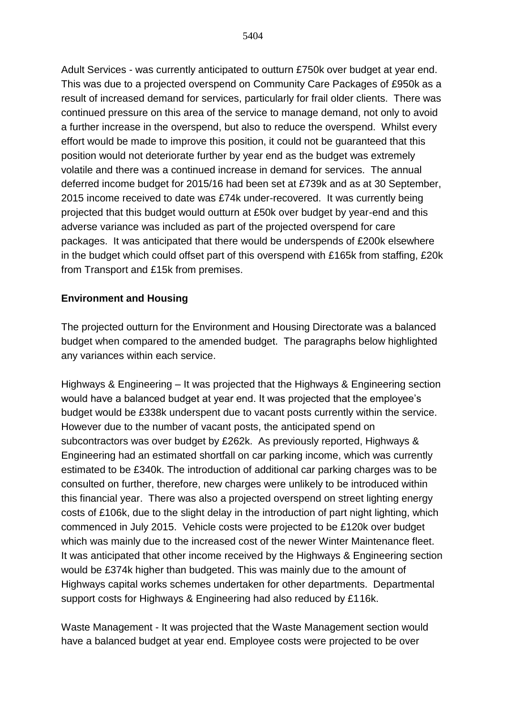Adult Services - was currently anticipated to outturn £750k over budget at year end. This was due to a projected overspend on Community Care Packages of £950k as a result of increased demand for services, particularly for frail older clients. There was continued pressure on this area of the service to manage demand, not only to avoid a further increase in the overspend, but also to reduce the overspend. Whilst every effort would be made to improve this position, it could not be guaranteed that this position would not deteriorate further by year end as the budget was extremely volatile and there was a continued increase in demand for services. The annual deferred income budget for 2015/16 had been set at £739k and as at 30 September, 2015 income received to date was £74k under-recovered. It was currently being projected that this budget would outturn at £50k over budget by year-end and this adverse variance was included as part of the projected overspend for care packages. It was anticipated that there would be underspends of £200k elsewhere in the budget which could offset part of this overspend with £165k from staffing, £20k from Transport and £15k from premises.

#### **Environment and Housing**

The projected outturn for the Environment and Housing Directorate was a balanced budget when compared to the amended budget. The paragraphs below highlighted any variances within each service.

Highways & Engineering – It was projected that the Highways & Engineering section would have a balanced budget at year end. It was projected that the employee's budget would be £338k underspent due to vacant posts currently within the service. However due to the number of vacant posts, the anticipated spend on subcontractors was over budget by £262k. As previously reported, Highways & Engineering had an estimated shortfall on car parking income, which was currently estimated to be £340k. The introduction of additional car parking charges was to be consulted on further, therefore, new charges were unlikely to be introduced within this financial year. There was also a projected overspend on street lighting energy costs of £106k, due to the slight delay in the introduction of part night lighting, which commenced in July 2015. Vehicle costs were projected to be £120k over budget which was mainly due to the increased cost of the newer Winter Maintenance fleet. It was anticipated that other income received by the Highways & Engineering section would be £374k higher than budgeted. This was mainly due to the amount of Highways capital works schemes undertaken for other departments. Departmental support costs for Highways & Engineering had also reduced by £116k.

Waste Management - It was projected that the Waste Management section would have a balanced budget at year end. Employee costs were projected to be over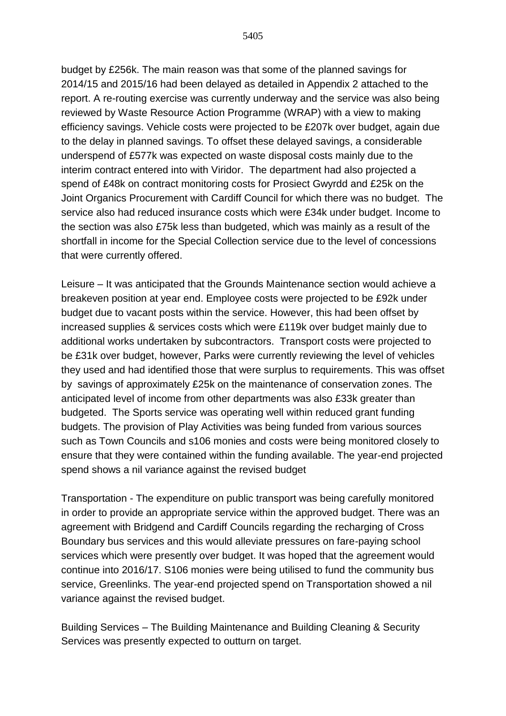5405

budget by £256k. The main reason was that some of the planned savings for 2014/15 and 2015/16 had been delayed as detailed in Appendix 2 attached to the report. A re-routing exercise was currently underway and the service was also being reviewed by Waste Resource Action Programme (WRAP) with a view to making efficiency savings. Vehicle costs were projected to be £207k over budget, again due to the delay in planned savings. To offset these delayed savings, a considerable underspend of £577k was expected on waste disposal costs mainly due to the interim contract entered into with Viridor. The department had also projected a spend of £48k on contract monitoring costs for Prosiect Gwyrdd and £25k on the Joint Organics Procurement with Cardiff Council for which there was no budget. The service also had reduced insurance costs which were £34k under budget. Income to the section was also £75k less than budgeted, which was mainly as a result of the shortfall in income for the Special Collection service due to the level of concessions that were currently offered.

Leisure – It was anticipated that the Grounds Maintenance section would achieve a breakeven position at year end. Employee costs were projected to be £92k under budget due to vacant posts within the service. However, this had been offset by increased supplies & services costs which were £119k over budget mainly due to additional works undertaken by subcontractors. Transport costs were projected to be £31k over budget, however, Parks were currently reviewing the level of vehicles they used and had identified those that were surplus to requirements. This was offset by savings of approximately £25k on the maintenance of conservation zones. The anticipated level of income from other departments was also £33k greater than budgeted. The Sports service was operating well within reduced grant funding budgets. The provision of Play Activities was being funded from various sources such as Town Councils and s106 monies and costs were being monitored closely to ensure that they were contained within the funding available. The year-end projected spend shows a nil variance against the revised budget

Transportation - The expenditure on public transport was being carefully monitored in order to provide an appropriate service within the approved budget. There was an agreement with Bridgend and Cardiff Councils regarding the recharging of Cross Boundary bus services and this would alleviate pressures on fare-paying school services which were presently over budget. It was hoped that the agreement would continue into 2016/17. S106 monies were being utilised to fund the community bus service, Greenlinks. The year-end projected spend on Transportation showed a nil variance against the revised budget.

Building Services – The Building Maintenance and Building Cleaning & Security Services was presently expected to outturn on target.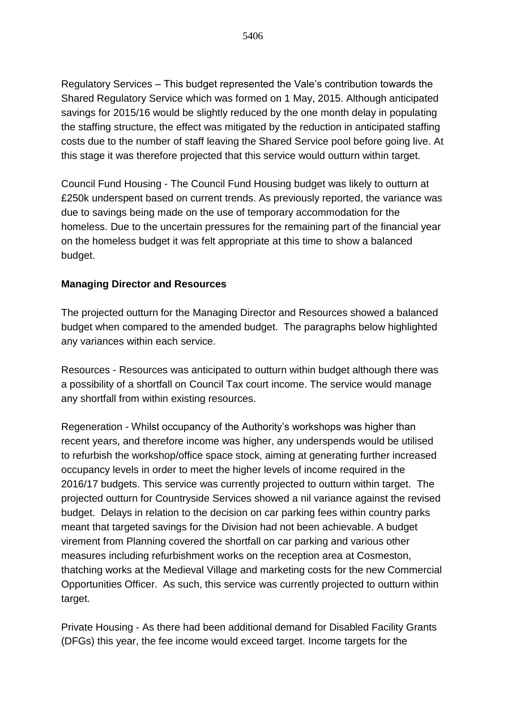Regulatory Services – This budget represented the Vale's contribution towards the Shared Regulatory Service which was formed on 1 May, 2015. Although anticipated savings for 2015/16 would be slightly reduced by the one month delay in populating the staffing structure, the effect was mitigated by the reduction in anticipated staffing costs due to the number of staff leaving the Shared Service pool before going live. At this stage it was therefore projected that this service would outturn within target.

Council Fund Housing - The Council Fund Housing budget was likely to outturn at £250k underspent based on current trends. As previously reported, the variance was due to savings being made on the use of temporary accommodation for the homeless. Due to the uncertain pressures for the remaining part of the financial year on the homeless budget it was felt appropriate at this time to show a balanced budget.

### **Managing Director and Resources**

The projected outturn for the Managing Director and Resources showed a balanced budget when compared to the amended budget. The paragraphs below highlighted any variances within each service.

Resources - Resources was anticipated to outturn within budget although there was a possibility of a shortfall on Council Tax court income. The service would manage any shortfall from within existing resources.

Regeneration - Whilst occupancy of the Authority's workshops was higher than recent years, and therefore income was higher, any underspends would be utilised to refurbish the workshop/office space stock, aiming at generating further increased occupancy levels in order to meet the higher levels of income required in the 2016/17 budgets. This service was currently projected to outturn within target. The projected outturn for Countryside Services showed a nil variance against the revised budget. Delays in relation to the decision on car parking fees within country parks meant that targeted savings for the Division had not been achievable. A budget virement from Planning covered the shortfall on car parking and various other measures including refurbishment works on the reception area at Cosmeston, thatching works at the Medieval Village and marketing costs for the new Commercial Opportunities Officer. As such, this service was currently projected to outturn within target.

Private Housing - As there had been additional demand for Disabled Facility Grants (DFGs) this year, the fee income would exceed target. Income targets for the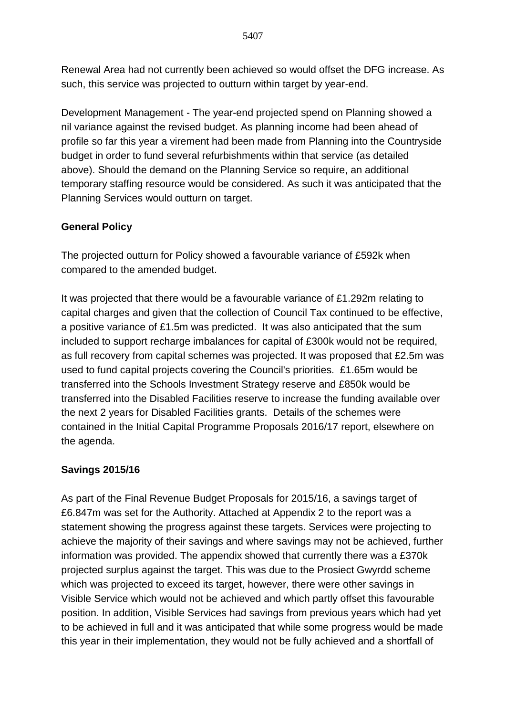Renewal Area had not currently been achieved so would offset the DFG increase. As such, this service was projected to outturn within target by year-end.

Development Management - The year-end projected spend on Planning showed a nil variance against the revised budget. As planning income had been ahead of profile so far this year a virement had been made from Planning into the Countryside budget in order to fund several refurbishments within that service (as detailed above). Should the demand on the Planning Service so require, an additional temporary staffing resource would be considered. As such it was anticipated that the Planning Services would outturn on target.

# **General Policy**

The projected outturn for Policy showed a favourable variance of £592k when compared to the amended budget.

It was projected that there would be a favourable variance of £1.292m relating to capital charges and given that the collection of Council Tax continued to be effective, a positive variance of £1.5m was predicted. It was also anticipated that the sum included to support recharge imbalances for capital of £300k would not be required, as full recovery from capital schemes was projected. It was proposed that £2.5m was used to fund capital projects covering the Council's priorities. £1.65m would be transferred into the Schools Investment Strategy reserve and £850k would be transferred into the Disabled Facilities reserve to increase the funding available over the next 2 years for Disabled Facilities grants. Details of the schemes were contained in the Initial Capital Programme Proposals 2016/17 report, elsewhere on the agenda.

# **Savings 2015/16**

As part of the Final Revenue Budget Proposals for 2015/16, a savings target of £6.847m was set for the Authority. Attached at Appendix 2 to the report was a statement showing the progress against these targets. Services were projecting to achieve the majority of their savings and where savings may not be achieved, further information was provided. The appendix showed that currently there was a £370k projected surplus against the target. This was due to the Prosiect Gwyrdd scheme which was projected to exceed its target, however, there were other savings in Visible Service which would not be achieved and which partly offset this favourable position. In addition, Visible Services had savings from previous years which had yet to be achieved in full and it was anticipated that while some progress would be made this year in their implementation, they would not be fully achieved and a shortfall of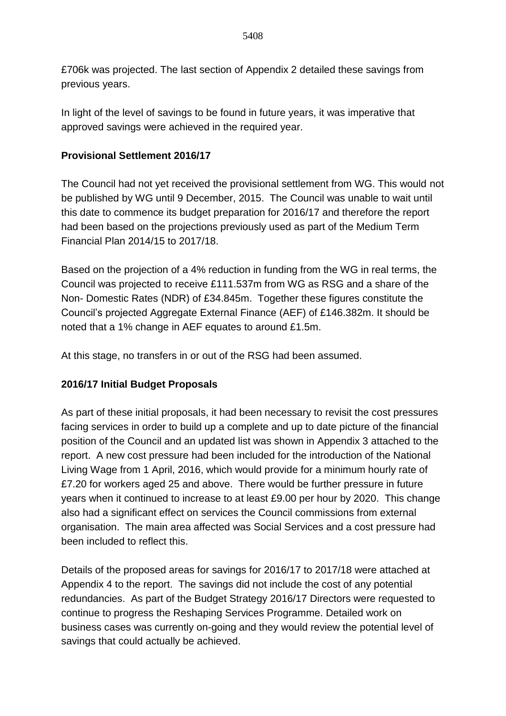£706k was projected. The last section of Appendix 2 detailed these savings from previous years.

In light of the level of savings to be found in future years, it was imperative that approved savings were achieved in the required year.

## **Provisional Settlement 2016/17**

The Council had not yet received the provisional settlement from WG. This would not be published by WG until 9 December, 2015. The Council was unable to wait until this date to commence its budget preparation for 2016/17 and therefore the report had been based on the projections previously used as part of the Medium Term Financial Plan 2014/15 to 2017/18.

Based on the projection of a 4% reduction in funding from the WG in real terms, the Council was projected to receive £111.537m from WG as RSG and a share of the Non- Domestic Rates (NDR) of £34.845m. Together these figures constitute the Council's projected Aggregate External Finance (AEF) of £146.382m. It should be noted that a 1% change in AEF equates to around £1.5m.

At this stage, no transfers in or out of the RSG had been assumed.

## **2016/17 Initial Budget Proposals**

As part of these initial proposals, it had been necessary to revisit the cost pressures facing services in order to build up a complete and up to date picture of the financial position of the Council and an updated list was shown in Appendix 3 attached to the report. A new cost pressure had been included for the introduction of the National Living Wage from 1 April, 2016, which would provide for a minimum hourly rate of £7.20 for workers aged 25 and above. There would be further pressure in future years when it continued to increase to at least £9.00 per hour by 2020. This change also had a significant effect on services the Council commissions from external organisation. The main area affected was Social Services and a cost pressure had been included to reflect this.

Details of the proposed areas for savings for 2016/17 to 2017/18 were attached at Appendix 4 to the report. The savings did not include the cost of any potential redundancies. As part of the Budget Strategy 2016/17 Directors were requested to continue to progress the Reshaping Services Programme. Detailed work on business cases was currently on-going and they would review the potential level of savings that could actually be achieved.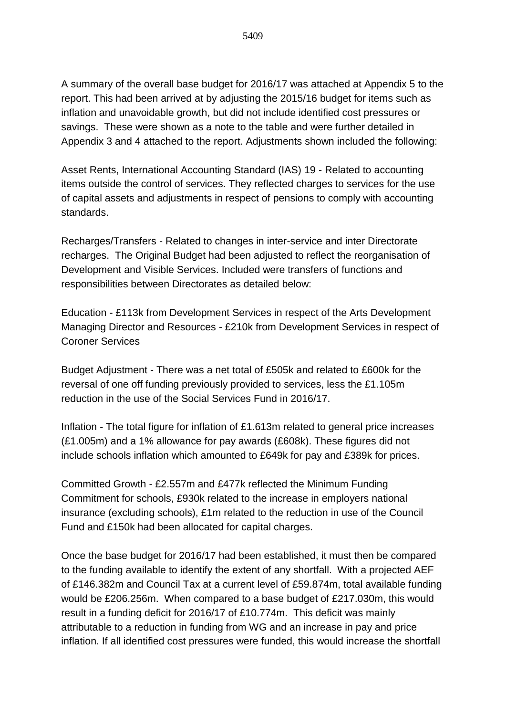A summary of the overall base budget for 2016/17 was attached at Appendix 5 to the report. This had been arrived at by adjusting the 2015/16 budget for items such as inflation and unavoidable growth, but did not include identified cost pressures or savings. These were shown as a note to the table and were further detailed in Appendix 3 and 4 attached to the report. Adjustments shown included the following:

Asset Rents, International Accounting Standard (IAS) 19 - Related to accounting items outside the control of services. They reflected charges to services for the use of capital assets and adjustments in respect of pensions to comply with accounting standards.

Recharges/Transfers - Related to changes in inter-service and inter Directorate recharges. The Original Budget had been adjusted to reflect the reorganisation of Development and Visible Services. Included were transfers of functions and responsibilities between Directorates as detailed below:

Education - £113k from Development Services in respect of the Arts Development Managing Director and Resources - £210k from Development Services in respect of Coroner Services

Budget Adjustment - There was a net total of £505k and related to £600k for the reversal of one off funding previously provided to services, less the £1.105m reduction in the use of the Social Services Fund in 2016/17.

Inflation - The total figure for inflation of £1.613m related to general price increases (£1.005m) and a 1% allowance for pay awards (£608k). These figures did not include schools inflation which amounted to £649k for pay and £389k for prices.

Committed Growth - £2.557m and £477k reflected the Minimum Funding Commitment for schools, £930k related to the increase in employers national insurance (excluding schools), £1m related to the reduction in use of the Council Fund and £150k had been allocated for capital charges.

Once the base budget for 2016/17 had been established, it must then be compared to the funding available to identify the extent of any shortfall. With a projected AEF of £146.382m and Council Tax at a current level of £59.874m, total available funding would be £206.256m. When compared to a base budget of £217.030m, this would result in a funding deficit for 2016/17 of £10.774m. This deficit was mainly attributable to a reduction in funding from WG and an increase in pay and price inflation. If all identified cost pressures were funded, this would increase the shortfall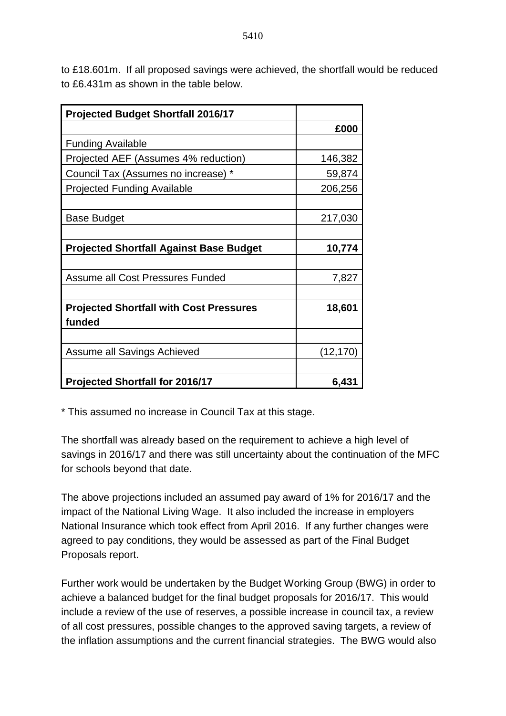to £18.601m. If all proposed savings were achieved, the shortfall would be reduced to £6.431m as shown in the table below.

| <b>Projected Budget Shortfall 2016/17</b>      |          |
|------------------------------------------------|----------|
|                                                | £000     |
| <b>Funding Available</b>                       |          |
| Projected AEF (Assumes 4% reduction)           | 146,382  |
| Council Tax (Assumes no increase) *            | 59,874   |
| <b>Projected Funding Available</b>             | 206,256  |
|                                                |          |
| Base Budget                                    | 217,030  |
|                                                |          |
| <b>Projected Shortfall Against Base Budget</b> | 10,774   |
|                                                |          |
| Assume all Cost Pressures Funded               | 7,827    |
|                                                |          |
| <b>Projected Shortfall with Cost Pressures</b> | 18,601   |
| funded                                         |          |
|                                                |          |
| Assume all Savings Achieved                    | (12,170) |
|                                                |          |
| <b>Projected Shortfall for 2016/17</b>         | 6,431    |

\* This assumed no increase in Council Tax at this stage.

The shortfall was already based on the requirement to achieve a high level of savings in 2016/17 and there was still uncertainty about the continuation of the MFC for schools beyond that date.

The above projections included an assumed pay award of 1% for 2016/17 and the impact of the National Living Wage. It also included the increase in employers National Insurance which took effect from April 2016. If any further changes were agreed to pay conditions, they would be assessed as part of the Final Budget Proposals report.

Further work would be undertaken by the Budget Working Group (BWG) in order to achieve a balanced budget for the final budget proposals for 2016/17. This would include a review of the use of reserves, a possible increase in council tax, a review of all cost pressures, possible changes to the approved saving targets, a review of the inflation assumptions and the current financial strategies. The BWG would also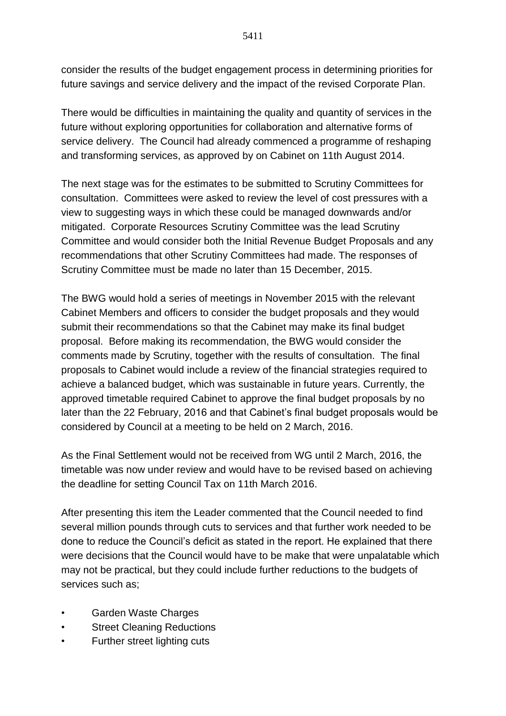consider the results of the budget engagement process in determining priorities for future savings and service delivery and the impact of the revised Corporate Plan.

There would be difficulties in maintaining the quality and quantity of services in the future without exploring opportunities for collaboration and alternative forms of service delivery. The Council had already commenced a programme of reshaping and transforming services, as approved by on Cabinet on 11th August 2014.

The next stage was for the estimates to be submitted to Scrutiny Committees for consultation. Committees were asked to review the level of cost pressures with a view to suggesting ways in which these could be managed downwards and/or mitigated. Corporate Resources Scrutiny Committee was the lead Scrutiny Committee and would consider both the Initial Revenue Budget Proposals and any recommendations that other Scrutiny Committees had made. The responses of Scrutiny Committee must be made no later than 15 December, 2015.

The BWG would hold a series of meetings in November 2015 with the relevant Cabinet Members and officers to consider the budget proposals and they would submit their recommendations so that the Cabinet may make its final budget proposal. Before making its recommendation, the BWG would consider the comments made by Scrutiny, together with the results of consultation. The final proposals to Cabinet would include a review of the financial strategies required to achieve a balanced budget, which was sustainable in future years. Currently, the approved timetable required Cabinet to approve the final budget proposals by no later than the 22 February, 2016 and that Cabinet's final budget proposals would be considered by Council at a meeting to be held on 2 March, 2016.

As the Final Settlement would not be received from WG until 2 March, 2016, the timetable was now under review and would have to be revised based on achieving the deadline for setting Council Tax on 11th March 2016.

After presenting this item the Leader commented that the Council needed to find several million pounds through cuts to services and that further work needed to be done to reduce the Council's deficit as stated in the report. He explained that there were decisions that the Council would have to be make that were unpalatable which may not be practical, but they could include further reductions to the budgets of services such as;

- Garden Waste Charges
- Street Cleaning Reductions
- Further street lighting cuts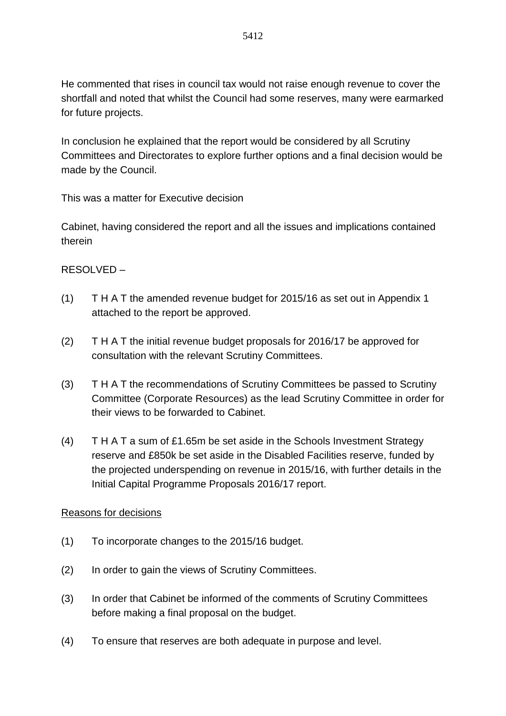He commented that rises in council tax would not raise enough revenue to cover the shortfall and noted that whilst the Council had some reserves, many were earmarked for future projects.

In conclusion he explained that the report would be considered by all Scrutiny Committees and Directorates to explore further options and a final decision would be made by the Council.

This was a matter for Executive decision

Cabinet, having considered the report and all the issues and implications contained therein

## RESOLVED –

- (1) T H A T the amended revenue budget for 2015/16 as set out in Appendix 1 attached to the report be approved.
- (2) T H A T the initial revenue budget proposals for 2016/17 be approved for consultation with the relevant Scrutiny Committees.
- (3) T H A T the recommendations of Scrutiny Committees be passed to Scrutiny Committee (Corporate Resources) as the lead Scrutiny Committee in order for their views to be forwarded to Cabinet.
- (4) T H A T a sum of £1.65m be set aside in the Schools Investment Strategy reserve and £850k be set aside in the Disabled Facilities reserve, funded by the projected underspending on revenue in 2015/16, with further details in the Initial Capital Programme Proposals 2016/17 report.

### Reasons for decisions

- (1) To incorporate changes to the 2015/16 budget.
- (2) In order to gain the views of Scrutiny Committees.
- (3) In order that Cabinet be informed of the comments of Scrutiny Committees before making a final proposal on the budget.
- (4) To ensure that reserves are both adequate in purpose and level.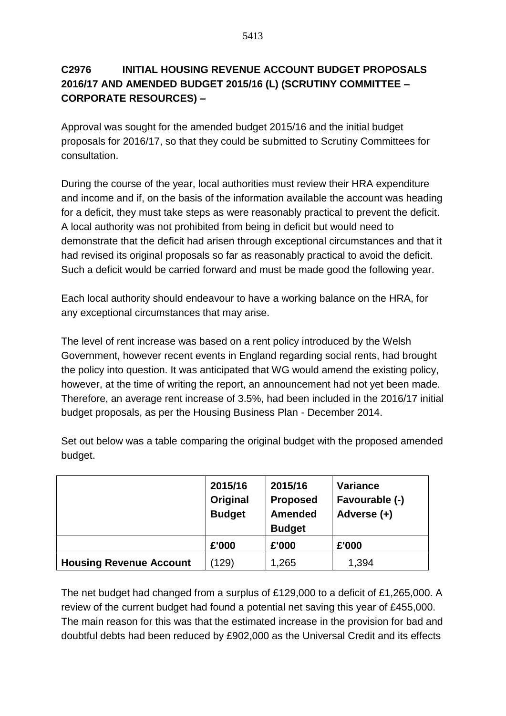# **C2976 INITIAL HOUSING REVENUE ACCOUNT BUDGET PROPOSALS 2016/17 AND AMENDED BUDGET 2015/16 (L) (SCRUTINY COMMITTEE – CORPORATE RESOURCES) –**

Approval was sought for the amended budget 2015/16 and the initial budget proposals for 2016/17, so that they could be submitted to Scrutiny Committees for consultation.

During the course of the year, local authorities must review their HRA expenditure and income and if, on the basis of the information available the account was heading for a deficit, they must take steps as were reasonably practical to prevent the deficit. A local authority was not prohibited from being in deficit but would need to demonstrate that the deficit had arisen through exceptional circumstances and that it had revised its original proposals so far as reasonably practical to avoid the deficit. Such a deficit would be carried forward and must be made good the following year.

Each local authority should endeavour to have a working balance on the HRA, for any exceptional circumstances that may arise.

The level of rent increase was based on a rent policy introduced by the Welsh Government, however recent events in England regarding social rents, had brought the policy into question. It was anticipated that WG would amend the existing policy, however, at the time of writing the report, an announcement had not yet been made. Therefore, an average rent increase of 3.5%, had been included in the 2016/17 initial budget proposals, as per the Housing Business Plan - December 2014.

|                                | 2015/16<br>Original<br><b>Budget</b> | 2015/16<br><b>Proposed</b><br><b>Amended</b><br><b>Budget</b> | <b>Variance</b><br>Favourable (-)<br>Adverse (+) |
|--------------------------------|--------------------------------------|---------------------------------------------------------------|--------------------------------------------------|
|                                | £'000                                | £'000                                                         | £'000                                            |
| <b>Housing Revenue Account</b> | (129)                                | 1,265                                                         | 1,394                                            |

Set out below was a table comparing the original budget with the proposed amended budget.

The net budget had changed from a surplus of £129,000 to a deficit of £1,265,000. A review of the current budget had found a potential net saving this year of £455,000. The main reason for this was that the estimated increase in the provision for bad and doubtful debts had been reduced by £902,000 as the Universal Credit and its effects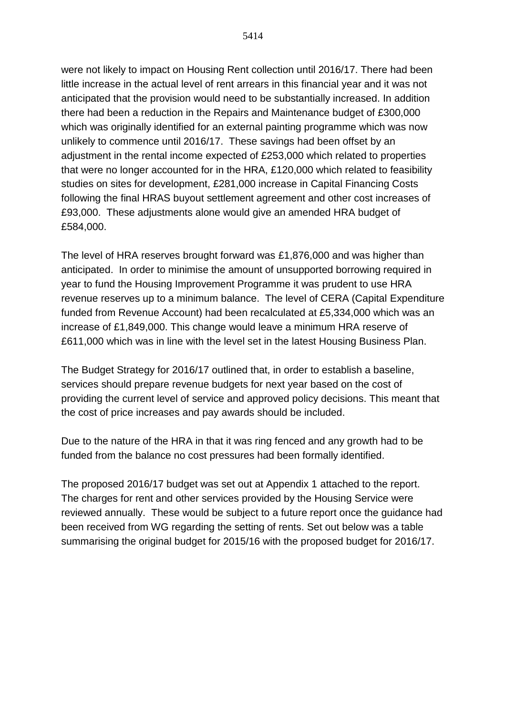were not likely to impact on Housing Rent collection until 2016/17. There had been little increase in the actual level of rent arrears in this financial year and it was not anticipated that the provision would need to be substantially increased. In addition there had been a reduction in the Repairs and Maintenance budget of £300,000 which was originally identified for an external painting programme which was now unlikely to commence until 2016/17. These savings had been offset by an adjustment in the rental income expected of £253,000 which related to properties that were no longer accounted for in the HRA, £120,000 which related to feasibility studies on sites for development, £281,000 increase in Capital Financing Costs following the final HRAS buyout settlement agreement and other cost increases of £93,000. These adjustments alone would give an amended HRA budget of £584,000.

The level of HRA reserves brought forward was £1,876,000 and was higher than anticipated. In order to minimise the amount of unsupported borrowing required in year to fund the Housing Improvement Programme it was prudent to use HRA revenue reserves up to a minimum balance. The level of CERA (Capital Expenditure funded from Revenue Account) had been recalculated at £5,334,000 which was an increase of £1,849,000. This change would leave a minimum HRA reserve of £611,000 which was in line with the level set in the latest Housing Business Plan.

The Budget Strategy for 2016/17 outlined that, in order to establish a baseline, services should prepare revenue budgets for next year based on the cost of providing the current level of service and approved policy decisions. This meant that the cost of price increases and pay awards should be included.

Due to the nature of the HRA in that it was ring fenced and any growth had to be funded from the balance no cost pressures had been formally identified.

The proposed 2016/17 budget was set out at Appendix 1 attached to the report. The charges for rent and other services provided by the Housing Service were reviewed annually. These would be subject to a future report once the guidance had been received from WG regarding the setting of rents. Set out below was a table summarising the original budget for 2015/16 with the proposed budget for 2016/17.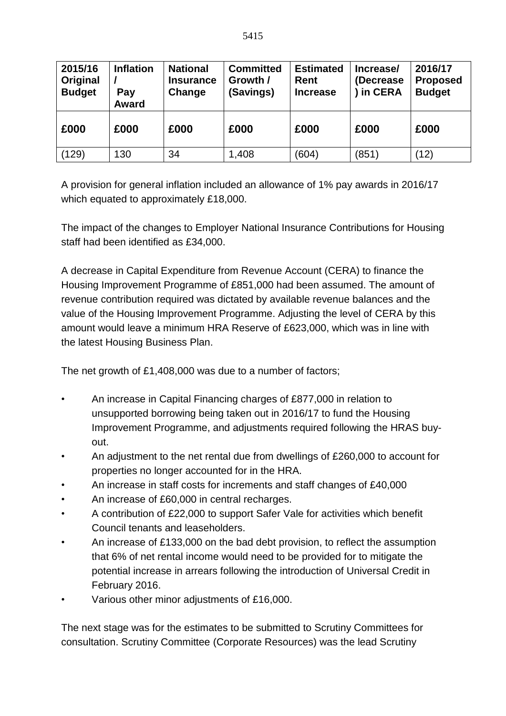| 2015/16<br>Original<br><b>Budget</b> | <b>Inflation</b><br>Pay<br><b>Award</b> | <b>National</b><br><b>Insurance</b><br>Change | <b>Committed</b><br>Growth /<br>(Savings) | <b>Estimated</b><br><b>Rent</b><br><b>Increase</b> | Increase/<br>(Decrease)<br>in CERA | 2016/17<br><b>Proposed</b><br><b>Budget</b> |
|--------------------------------------|-----------------------------------------|-----------------------------------------------|-------------------------------------------|----------------------------------------------------|------------------------------------|---------------------------------------------|
| £000                                 | £000                                    | £000                                          | £000                                      | £000                                               | £000                               | £000                                        |
| (129)                                | 130                                     | 34                                            | 1,408                                     | (604)                                              | (851)                              | (12)                                        |

A provision for general inflation included an allowance of 1% pay awards in 2016/17 which equated to approximately £18,000.

The impact of the changes to Employer National Insurance Contributions for Housing staff had been identified as £34,000.

A decrease in Capital Expenditure from Revenue Account (CERA) to finance the Housing Improvement Programme of £851,000 had been assumed. The amount of revenue contribution required was dictated by available revenue balances and the value of the Housing Improvement Programme. Adjusting the level of CERA by this amount would leave a minimum HRA Reserve of £623,000, which was in line with the latest Housing Business Plan.

The net growth of £1,408,000 was due to a number of factors;

- An increase in Capital Financing charges of £877,000 in relation to unsupported borrowing being taken out in 2016/17 to fund the Housing Improvement Programme, and adjustments required following the HRAS buyout.
- An adjustment to the net rental due from dwellings of £260,000 to account for properties no longer accounted for in the HRA.
- An increase in staff costs for increments and staff changes of £40,000
- An increase of £60,000 in central recharges.
- A contribution of £22,000 to support Safer Vale for activities which benefit Council tenants and leaseholders.
- An increase of £133,000 on the bad debt provision, to reflect the assumption that 6% of net rental income would need to be provided for to mitigate the potential increase in arrears following the introduction of Universal Credit in February 2016.
- Various other minor adjustments of £16,000.

The next stage was for the estimates to be submitted to Scrutiny Committees for consultation. Scrutiny Committee (Corporate Resources) was the lead Scrutiny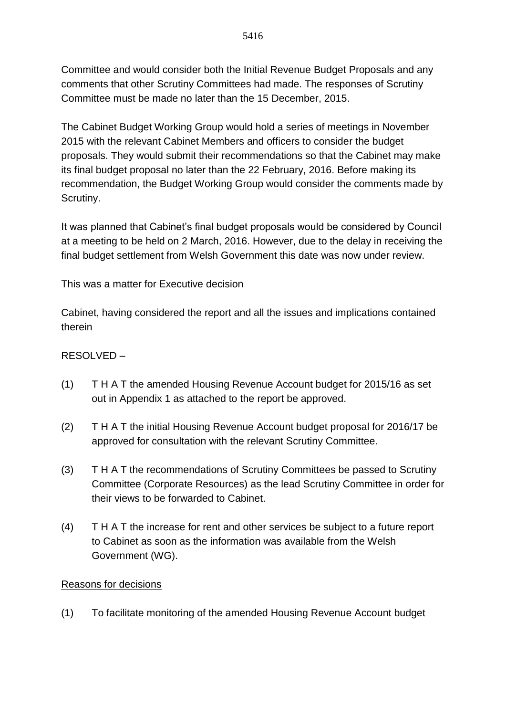Committee and would consider both the Initial Revenue Budget Proposals and any comments that other Scrutiny Committees had made. The responses of Scrutiny Committee must be made no later than the 15 December, 2015.

The Cabinet Budget Working Group would hold a series of meetings in November 2015 with the relevant Cabinet Members and officers to consider the budget proposals. They would submit their recommendations so that the Cabinet may make its final budget proposal no later than the 22 February, 2016. Before making its recommendation, the Budget Working Group would consider the comments made by Scrutiny.

It was planned that Cabinet's final budget proposals would be considered by Council at a meeting to be held on 2 March, 2016. However, due to the delay in receiving the final budget settlement from Welsh Government this date was now under review.

This was a matter for Executive decision

Cabinet, having considered the report and all the issues and implications contained therein

### RESOLVED –

- (1) T H A T the amended Housing Revenue Account budget for 2015/16 as set out in Appendix 1 as attached to the report be approved.
- (2) T H A T the initial Housing Revenue Account budget proposal for 2016/17 be approved for consultation with the relevant Scrutiny Committee.
- (3) T H A T the recommendations of Scrutiny Committees be passed to Scrutiny Committee (Corporate Resources) as the lead Scrutiny Committee in order for their views to be forwarded to Cabinet.
- (4) T H A T the increase for rent and other services be subject to a future report to Cabinet as soon as the information was available from the Welsh Government (WG).

#### Reasons for decisions

(1) To facilitate monitoring of the amended Housing Revenue Account budget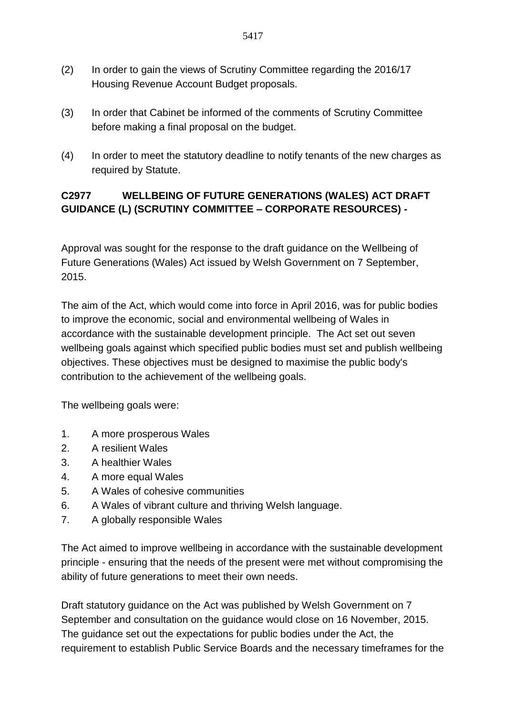- (2) In order to gain the views of Scrutiny Committee regarding the 2016/17 Housing Revenue Account Budget proposals.
- (3) In order that Cabinet be informed of the comments of Scrutiny Committee before making a final proposal on the budget.
- (4) In order to meet the statutory deadline to notify tenants of the new charges as required by Statute.

## **C2977 WELLBEING OF FUTURE GENERATIONS (WALES) ACT DRAFT GUIDANCE (L) (SCRUTINY COMMITTEE – CORPORATE RESOURCES) -**

Approval was sought for the response to the draft guidance on the Wellbeing of Future Generations (Wales) Act issued by Welsh Government on 7 September, 2015.

The aim of the Act, which would come into force in April 2016, was for public bodies to improve the economic, social and environmental wellbeing of Wales in accordance with the sustainable development principle. The Act set out seven wellbeing goals against which specified public bodies must set and publish wellbeing objectives. These objectives must be designed to maximise the public body's contribution to the achievement of the wellbeing goals.

The wellbeing goals were:

- 1. A more prosperous Wales
- 2. A resilient Wales
- 3. A healthier Wales
- 4. A more equal Wales
- 5. A Wales of cohesive communities
- 6. A Wales of vibrant culture and thriving Welsh language.
- 7. A globally responsible Wales

The Act aimed to improve wellbeing in accordance with the sustainable development principle - ensuring that the needs of the present were met without compromising the ability of future generations to meet their own needs.

Draft statutory guidance on the Act was published by Welsh Government on 7 September and consultation on the guidance would close on 16 November, 2015. The guidance set out the expectations for public bodies under the Act, the requirement to establish Public Service Boards and the necessary timeframes for the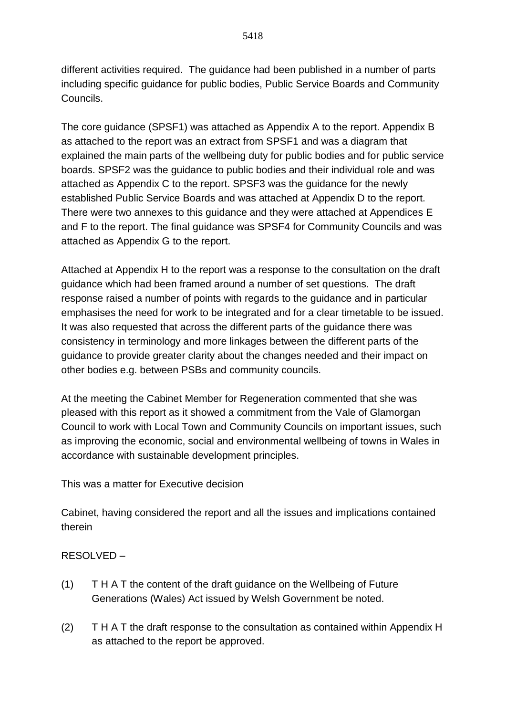different activities required. The guidance had been published in a number of parts including specific guidance for public bodies, Public Service Boards and Community Councils.

The core guidance (SPSF1) was attached as Appendix A to the report. Appendix B as attached to the report was an extract from SPSF1 and was a diagram that explained the main parts of the wellbeing duty for public bodies and for public service boards. SPSF2 was the guidance to public bodies and their individual role and was attached as Appendix C to the report. SPSF3 was the guidance for the newly established Public Service Boards and was attached at Appendix D to the report. There were two annexes to this guidance and they were attached at Appendices E and F to the report. The final guidance was SPSF4 for Community Councils and was attached as Appendix G to the report.

Attached at Appendix H to the report was a response to the consultation on the draft guidance which had been framed around a number of set questions. The draft response raised a number of points with regards to the guidance and in particular emphasises the need for work to be integrated and for a clear timetable to be issued. It was also requested that across the different parts of the guidance there was consistency in terminology and more linkages between the different parts of the guidance to provide greater clarity about the changes needed and their impact on other bodies e.g. between PSBs and community councils.

At the meeting the Cabinet Member for Regeneration commented that she was pleased with this report as it showed a commitment from the Vale of Glamorgan Council to work with Local Town and Community Councils on important issues, such as improving the economic, social and environmental wellbeing of towns in Wales in accordance with sustainable development principles.

This was a matter for Executive decision

Cabinet, having considered the report and all the issues and implications contained therein

RESOLVED –

- (1) T H A T the content of the draft guidance on the Wellbeing of Future Generations (Wales) Act issued by Welsh Government be noted.
- (2) T H A T the draft response to the consultation as contained within Appendix H as attached to the report be approved.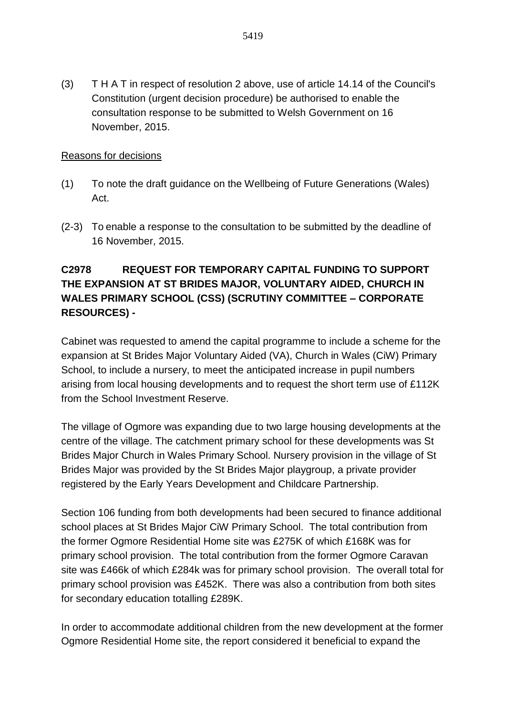(3) T H A T in respect of resolution 2 above, use of article 14.14 of the Council's Constitution (urgent decision procedure) be authorised to enable the consultation response to be submitted to Welsh Government on 16 November, 2015.

#### Reasons for decisions

- (1) To note the draft guidance on the Wellbeing of Future Generations (Wales) Act.
- (2-3) To enable a response to the consultation to be submitted by the deadline of 16 November, 2015.

## **C2978 REQUEST FOR TEMPORARY CAPITAL FUNDING TO SUPPORT THE EXPANSION AT ST BRIDES MAJOR, VOLUNTARY AIDED, CHURCH IN WALES PRIMARY SCHOOL (CSS) (SCRUTINY COMMITTEE – CORPORATE RESOURCES) -**

Cabinet was requested to amend the capital programme to include a scheme for the expansion at St Brides Major Voluntary Aided (VA), Church in Wales (CiW) Primary School, to include a nursery, to meet the anticipated increase in pupil numbers arising from local housing developments and to request the short term use of £112K from the School Investment Reserve.

The village of Ogmore was expanding due to two large housing developments at the centre of the village. The catchment primary school for these developments was St Brides Major Church in Wales Primary School. Nursery provision in the village of St Brides Major was provided by the St Brides Major playgroup, a private provider registered by the Early Years Development and Childcare Partnership.

Section 106 funding from both developments had been secured to finance additional school places at St Brides Major CiW Primary School. The total contribution from the former Ogmore Residential Home site was £275K of which £168K was for primary school provision. The total contribution from the former Ogmore Caravan site was £466k of which £284k was for primary school provision. The overall total for primary school provision was £452K. There was also a contribution from both sites for secondary education totalling £289K.

In order to accommodate additional children from the new development at the former Ogmore Residential Home site, the report considered it beneficial to expand the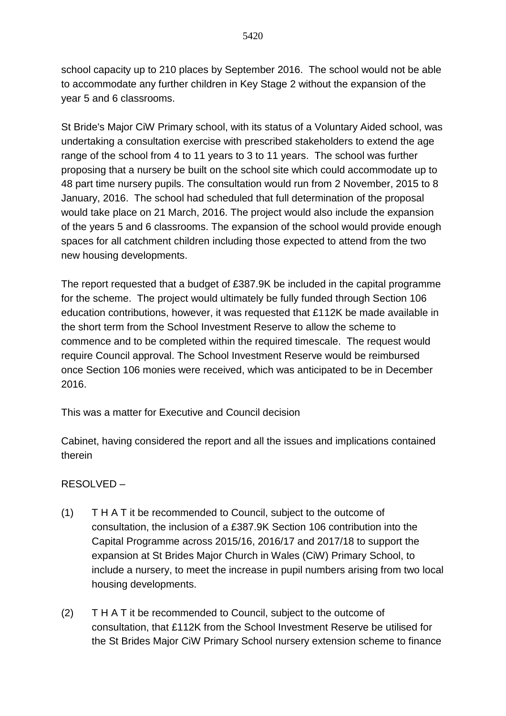school capacity up to 210 places by September 2016. The school would not be able to accommodate any further children in Key Stage 2 without the expansion of the year 5 and 6 classrooms.

St Bride's Major CiW Primary school, with its status of a Voluntary Aided school, was undertaking a consultation exercise with prescribed stakeholders to extend the age range of the school from 4 to 11 years to 3 to 11 years. The school was further proposing that a nursery be built on the school site which could accommodate up to 48 part time nursery pupils. The consultation would run from 2 November, 2015 to 8 January, 2016. The school had scheduled that full determination of the proposal would take place on 21 March, 2016. The project would also include the expansion of the years 5 and 6 classrooms. The expansion of the school would provide enough spaces for all catchment children including those expected to attend from the two new housing developments.

The report requested that a budget of £387.9K be included in the capital programme for the scheme. The project would ultimately be fully funded through Section 106 education contributions, however, it was requested that £112K be made available in the short term from the School Investment Reserve to allow the scheme to commence and to be completed within the required timescale. The request would require Council approval. The School Investment Reserve would be reimbursed once Section 106 monies were received, which was anticipated to be in December 2016.

This was a matter for Executive and Council decision

Cabinet, having considered the report and all the issues and implications contained therein

### RESOLVED –

- (1) T H A T it be recommended to Council, subject to the outcome of consultation, the inclusion of a £387.9K Section 106 contribution into the Capital Programme across 2015/16, 2016/17 and 2017/18 to support the expansion at St Brides Major Church in Wales (CiW) Primary School, to include a nursery, to meet the increase in pupil numbers arising from two local housing developments.
- (2) T H A T it be recommended to Council, subject to the outcome of consultation, that £112K from the School Investment Reserve be utilised for the St Brides Major CiW Primary School nursery extension scheme to finance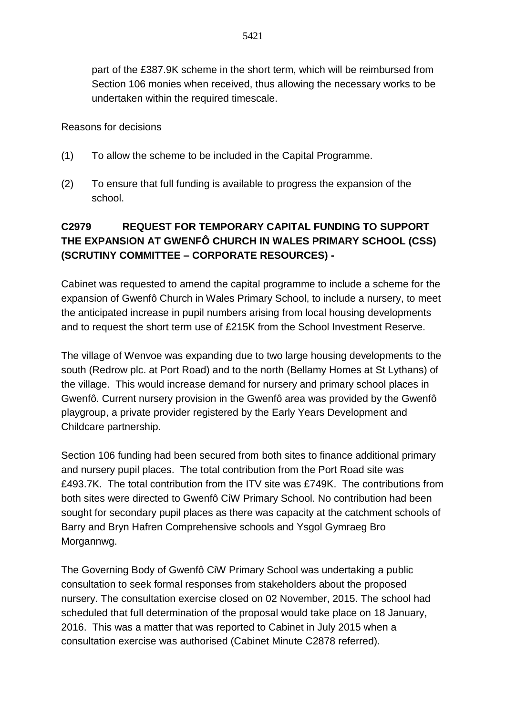part of the £387.9K scheme in the short term, which will be reimbursed from Section 106 monies when received, thus allowing the necessary works to be undertaken within the required timescale.

#### Reasons for decisions

- (1) To allow the scheme to be included in the Capital Programme.
- (2) To ensure that full funding is available to progress the expansion of the school.

# **C2979 REQUEST FOR TEMPORARY CAPITAL FUNDING TO SUPPORT THE EXPANSION AT GWENFÔ CHURCH IN WALES PRIMARY SCHOOL (CSS) (SCRUTINY COMMITTEE – CORPORATE RESOURCES) -**

Cabinet was requested to amend the capital programme to include a scheme for the expansion of Gwenfô Church in Wales Primary School, to include a nursery, to meet the anticipated increase in pupil numbers arising from local housing developments and to request the short term use of £215K from the School Investment Reserve.

The village of Wenvoe was expanding due to two large housing developments to the south (Redrow plc. at Port Road) and to the north (Bellamy Homes at St Lythans) of the village. This would increase demand for nursery and primary school places in Gwenfô. Current nursery provision in the Gwenfô area was provided by the Gwenfô playgroup, a private provider registered by the Early Years Development and Childcare partnership.

Section 106 funding had been secured from both sites to finance additional primary and nursery pupil places. The total contribution from the Port Road site was £493.7K. The total contribution from the ITV site was £749K. The contributions from both sites were directed to Gwenfô CiW Primary School. No contribution had been sought for secondary pupil places as there was capacity at the catchment schools of Barry and Bryn Hafren Comprehensive schools and Ysgol Gymraeg Bro Morgannwg.

The Governing Body of Gwenfô CiW Primary School was undertaking a public consultation to seek formal responses from stakeholders about the proposed nursery. The consultation exercise closed on 02 November, 2015. The school had scheduled that full determination of the proposal would take place on 18 January, 2016. This was a matter that was reported to Cabinet in July 2015 when a consultation exercise was authorised (Cabinet Minute C2878 referred).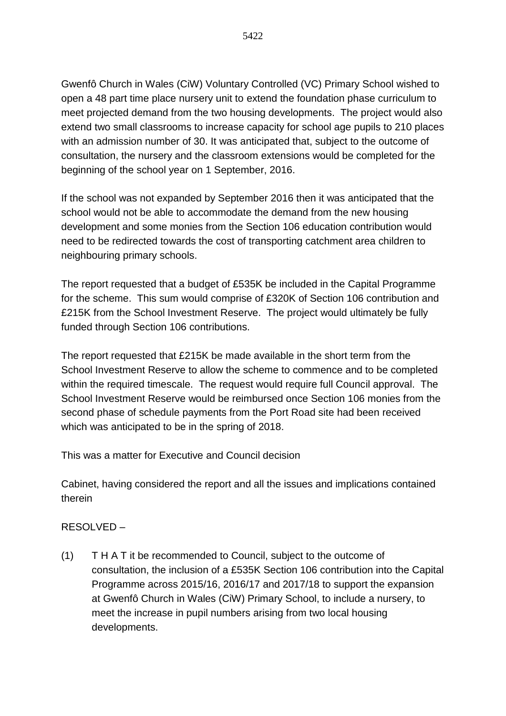Gwenfô Church in Wales (CiW) Voluntary Controlled (VC) Primary School wished to open a 48 part time place nursery unit to extend the foundation phase curriculum to meet projected demand from the two housing developments. The project would also extend two small classrooms to increase capacity for school age pupils to 210 places with an admission number of 30. It was anticipated that, subject to the outcome of consultation, the nursery and the classroom extensions would be completed for the beginning of the school year on 1 September, 2016.

If the school was not expanded by September 2016 then it was anticipated that the school would not be able to accommodate the demand from the new housing development and some monies from the Section 106 education contribution would need to be redirected towards the cost of transporting catchment area children to neighbouring primary schools.

The report requested that a budget of £535K be included in the Capital Programme for the scheme. This sum would comprise of £320K of Section 106 contribution and £215K from the School Investment Reserve. The project would ultimately be fully funded through Section 106 contributions.

The report requested that £215K be made available in the short term from the School Investment Reserve to allow the scheme to commence and to be completed within the required timescale. The request would require full Council approval. The School Investment Reserve would be reimbursed once Section 106 monies from the second phase of schedule payments from the Port Road site had been received which was anticipated to be in the spring of 2018.

This was a matter for Executive and Council decision

Cabinet, having considered the report and all the issues and implications contained therein

### RESOLVED –

(1) T H A T it be recommended to Council, subject to the outcome of consultation, the inclusion of a £535K Section 106 contribution into the Capital Programme across 2015/16, 2016/17 and 2017/18 to support the expansion at Gwenfô Church in Wales (CiW) Primary School, to include a nursery, to meet the increase in pupil numbers arising from two local housing developments.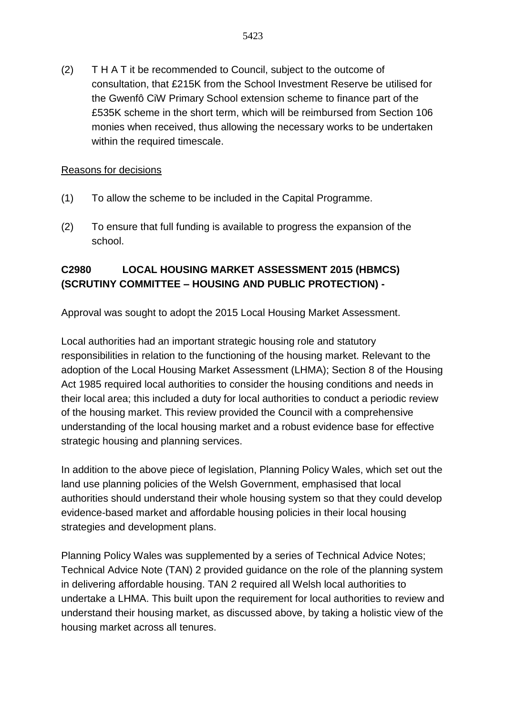(2) T H A T it be recommended to Council, subject to the outcome of consultation, that £215K from the School Investment Reserve be utilised for the Gwenfô CiW Primary School extension scheme to finance part of the £535K scheme in the short term, which will be reimbursed from Section 106 monies when received, thus allowing the necessary works to be undertaken within the required timescale.

#### Reasons for decisions

- (1) To allow the scheme to be included in the Capital Programme.
- (2) To ensure that full funding is available to progress the expansion of the school.

### **C2980 LOCAL HOUSING MARKET ASSESSMENT 2015 (HBMCS) (SCRUTINY COMMITTEE – HOUSING AND PUBLIC PROTECTION) -**

Approval was sought to adopt the 2015 Local Housing Market Assessment.

Local authorities had an important strategic housing role and statutory responsibilities in relation to the functioning of the housing market. Relevant to the adoption of the Local Housing Market Assessment (LHMA); Section 8 of the Housing Act 1985 required local authorities to consider the housing conditions and needs in their local area; this included a duty for local authorities to conduct a periodic review of the housing market. This review provided the Council with a comprehensive understanding of the local housing market and a robust evidence base for effective strategic housing and planning services.

In addition to the above piece of legislation. Planning Policy Wales, which set out the land use planning policies of the Welsh Government, emphasised that local authorities should understand their whole housing system so that they could develop evidence-based market and affordable housing policies in their local housing strategies and development plans.

Planning Policy Wales was supplemented by a series of Technical Advice Notes; Technical Advice Note (TAN) 2 provided guidance on the role of the planning system in delivering affordable housing. TAN 2 required all Welsh local authorities to undertake a LHMA. This built upon the requirement for local authorities to review and understand their housing market, as discussed above, by taking a holistic view of the housing market across all tenures.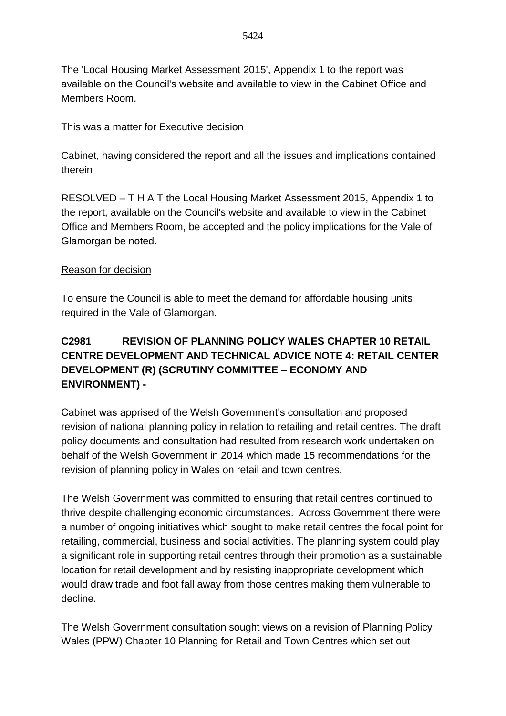The 'Local Housing Market Assessment 2015', Appendix 1 to the report was available on the Council's website and available to view in the Cabinet Office and Members Room.

This was a matter for Executive decision

Cabinet, having considered the report and all the issues and implications contained therein

RESOLVED – T H A T the Local Housing Market Assessment 2015, Appendix 1 to the report, available on the Council's website and available to view in the Cabinet Office and Members Room, be accepted and the policy implications for the Vale of Glamorgan be noted.

#### Reason for decision

To ensure the Council is able to meet the demand for affordable housing units required in the Vale of Glamorgan.

# **C2981 REVISION OF PLANNING POLICY WALES CHAPTER 10 RETAIL CENTRE DEVELOPMENT AND TECHNICAL ADVICE NOTE 4: RETAIL CENTER DEVELOPMENT (R) (SCRUTINY COMMITTEE – ECONOMY AND ENVIRONMENT) -**

Cabinet was apprised of the Welsh Government's consultation and proposed revision of national planning policy in relation to retailing and retail centres. The draft policy documents and consultation had resulted from research work undertaken on behalf of the Welsh Government in 2014 which made 15 recommendations for the revision of planning policy in Wales on retail and town centres.

The Welsh Government was committed to ensuring that retail centres continued to thrive despite challenging economic circumstances. Across Government there were a number of ongoing initiatives which sought to make retail centres the focal point for retailing, commercial, business and social activities. The planning system could play a significant role in supporting retail centres through their promotion as a sustainable location for retail development and by resisting inappropriate development which would draw trade and foot fall away from those centres making them vulnerable to decline.

The Welsh Government consultation sought views on a revision of Planning Policy Wales (PPW) Chapter 10 Planning for Retail and Town Centres which set out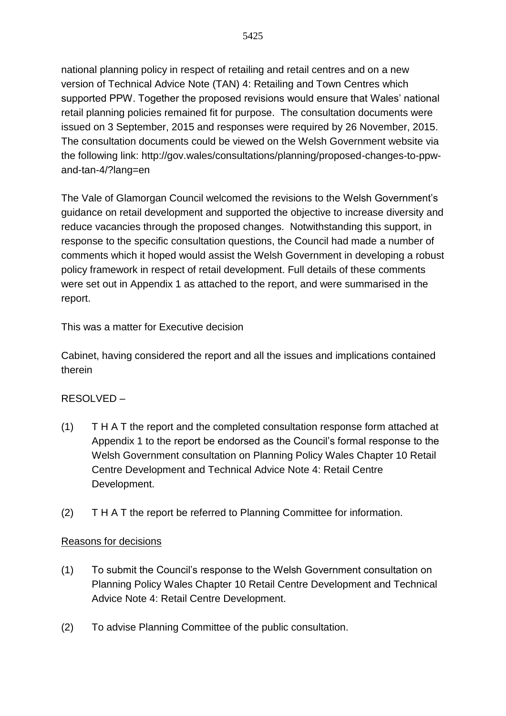national planning policy in respect of retailing and retail centres and on a new version of Technical Advice Note (TAN) 4: Retailing and Town Centres which supported PPW. Together the proposed revisions would ensure that Wales' national retail planning policies remained fit for purpose. The consultation documents were issued on 3 September, 2015 and responses were required by 26 November, 2015. The consultation documents could be viewed on the Welsh Government website via the following link: http://gov.wales/consultations/planning/proposed-changes-to-ppwand-tan-4/?lang=en

The Vale of Glamorgan Council welcomed the revisions to the Welsh Government's guidance on retail development and supported the objective to increase diversity and reduce vacancies through the proposed changes. Notwithstanding this support, in response to the specific consultation questions, the Council had made a number of comments which it hoped would assist the Welsh Government in developing a robust policy framework in respect of retail development. Full details of these comments were set out in Appendix 1 as attached to the report, and were summarised in the report.

This was a matter for Executive decision

Cabinet, having considered the report and all the issues and implications contained therein

### RESOLVED –

- (1) T H A T the report and the completed consultation response form attached at Appendix 1 to the report be endorsed as the Council's formal response to the Welsh Government consultation on Planning Policy Wales Chapter 10 Retail Centre Development and Technical Advice Note 4: Retail Centre Development.
- (2) T H A T the report be referred to Planning Committee for information.

#### Reasons for decisions

- (1) To submit the Council's response to the Welsh Government consultation on Planning Policy Wales Chapter 10 Retail Centre Development and Technical Advice Note 4: Retail Centre Development.
- (2) To advise Planning Committee of the public consultation.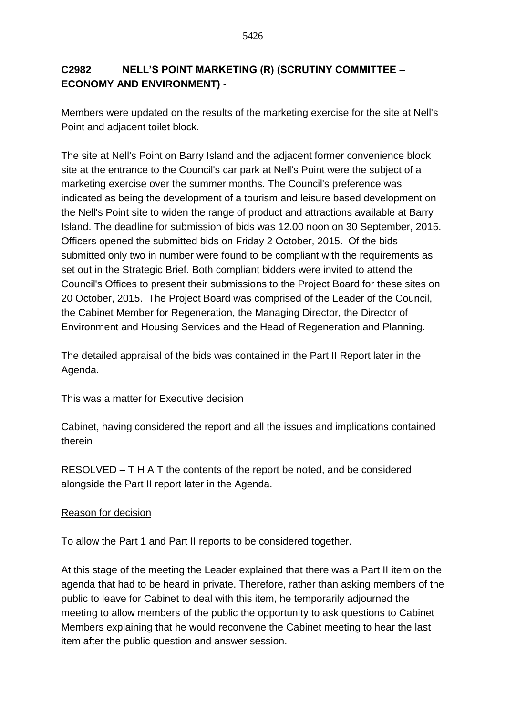## **C2982 NELL'S POINT MARKETING (R) (SCRUTINY COMMITTEE – ECONOMY AND ENVIRONMENT) -**

Members were updated on the results of the marketing exercise for the site at Nell's Point and adjacent toilet block.

The site at Nell's Point on Barry Island and the adjacent former convenience block site at the entrance to the Council's car park at Nell's Point were the subject of a marketing exercise over the summer months. The Council's preference was indicated as being the development of a tourism and leisure based development on the Nell's Point site to widen the range of product and attractions available at Barry Island. The deadline for submission of bids was 12.00 noon on 30 September, 2015. Officers opened the submitted bids on Friday 2 October, 2015. Of the bids submitted only two in number were found to be compliant with the requirements as set out in the Strategic Brief. Both compliant bidders were invited to attend the Council's Offices to present their submissions to the Project Board for these sites on 20 October, 2015. The Project Board was comprised of the Leader of the Council, the Cabinet Member for Regeneration, the Managing Director, the Director of Environment and Housing Services and the Head of Regeneration and Planning.

The detailed appraisal of the bids was contained in the Part II Report later in the Agenda.

This was a matter for Executive decision

Cabinet, having considered the report and all the issues and implications contained therein

RESOLVED – T H A T the contents of the report be noted, and be considered alongside the Part II report later in the Agenda.

### Reason for decision

To allow the Part 1 and Part II reports to be considered together.

At this stage of the meeting the Leader explained that there was a Part II item on the agenda that had to be heard in private. Therefore, rather than asking members of the public to leave for Cabinet to deal with this item, he temporarily adjourned the meeting to allow members of the public the opportunity to ask questions to Cabinet Members explaining that he would reconvene the Cabinet meeting to hear the last item after the public question and answer session.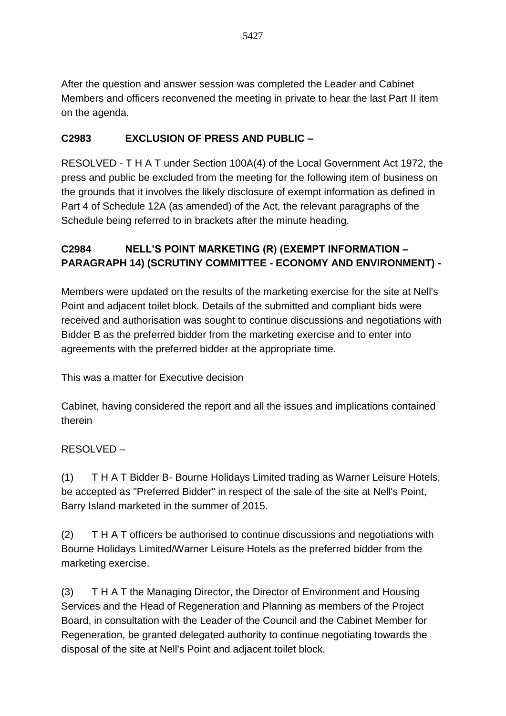After the question and answer session was completed the Leader and Cabinet Members and officers reconvened the meeting in private to hear the last Part II item on the agenda.

# **C2983 EXCLUSION OF PRESS AND PUBLIC –**

RESOLVED - T H A T under Section 100A(4) of the Local Government Act 1972, the press and public be excluded from the meeting for the following item of business on the grounds that it involves the likely disclosure of exempt information as defined in Part 4 of Schedule 12A (as amended) of the Act, the relevant paragraphs of the Schedule being referred to in brackets after the minute heading.

## **C2984 NELL'S POINT MARKETING (R) (EXEMPT INFORMATION – PARAGRAPH 14) (SCRUTINY COMMITTEE - ECONOMY AND ENVIRONMENT) -**

Members were updated on the results of the marketing exercise for the site at Nell's Point and adjacent toilet block. Details of the submitted and compliant bids were received and authorisation was sought to continue discussions and negotiations with Bidder B as the preferred bidder from the marketing exercise and to enter into agreements with the preferred bidder at the appropriate time.

This was a matter for Executive decision

Cabinet, having considered the report and all the issues and implications contained therein

### RESOLVED –

(1) T H A T Bidder B- Bourne Holidays Limited trading as Warner Leisure Hotels, be accepted as "Preferred Bidder" in respect of the sale of the site at Nell's Point, Barry Island marketed in the summer of 2015.

(2) T H A T officers be authorised to continue discussions and negotiations with Bourne Holidays Limited/Warner Leisure Hotels as the preferred bidder from the marketing exercise.

(3) T H A T the Managing Director, the Director of Environment and Housing Services and the Head of Regeneration and Planning as members of the Project Board, in consultation with the Leader of the Council and the Cabinet Member for Regeneration, be granted delegated authority to continue negotiating towards the disposal of the site at Nell's Point and adjacent toilet block.